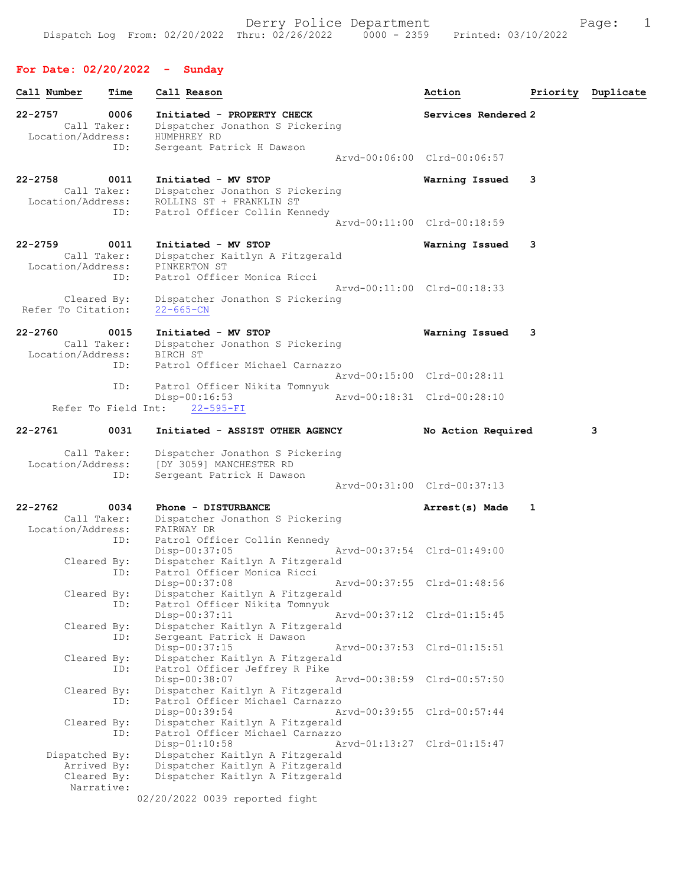## For Date: 02/20/2022 - Sunday

| Call Number                                                | Time        | Call Reason                                                                                                         | Action                      | Priority | Duplicate |
|------------------------------------------------------------|-------------|---------------------------------------------------------------------------------------------------------------------|-----------------------------|----------|-----------|
| 22-2757<br>Call Taker:<br>Location/Address:                | 0006<br>ID: | Initiated - PROPERTY CHECK<br>Dispatcher Jonathon S Pickering<br>HUMPHREY RD<br>Sergeant Patrick H Dawson           | Services Rendered 2         |          |           |
|                                                            |             |                                                                                                                     | Arvd-00:06:00 Clrd-00:06:57 |          |           |
| 22-2758<br>Call Taker:<br>Location/Address:                | 0011<br>ID: | Initiated - MV STOP<br>Dispatcher Jonathon S Pickering<br>ROLLINS ST + FRANKLIN ST<br>Patrol Officer Collin Kennedy | Warning Issued              | 3        |           |
|                                                            |             |                                                                                                                     | Aryd-00:11:00 Clrd-00:18:59 |          |           |
| 22-2759<br>Call Taker:<br>Location/Address:                | 0011<br>ID: | Initiated - MV STOP<br>Dispatcher Kaitlyn A Fitzgerald<br>PINKERTON ST<br>Patrol Officer Monica Ricci               | Warning Issued              | 3        |           |
| Cleared By:<br>Refer To Citation:                          |             | Dispatcher Jonathon S Pickering<br>$22 - 665 - CN$                                                                  | Arvd-00:11:00 Clrd-00:18:33 |          |           |
| 22-2760<br>Call Taker:<br>Location/Address:                | 0015        | Initiated - MV STOP<br>Dispatcher Jonathon S Pickering<br>BIRCH ST                                                  | Warning Issued              | 3        |           |
|                                                            | ID:         | Patrol Officer Michael Carnazzo                                                                                     | Arvd-00:15:00 Clrd-00:28:11 |          |           |
| Refer To Field Int:                                        | ID:         | Patrol Officer Nikita Tomnyuk<br>Disp-00:16:53<br>$22 - 595 - FI$                                                   | Arvd-00:18:31 Clrd-00:28:10 |          |           |
| 22-2761                                                    | 0031        | Initiated - ASSIST OTHER AGENCY                                                                                     | No Action Required          |          | з         |
| Call Taker:<br>Location/Address:                           | ID:         | Dispatcher Jonathon S Pickering<br>[DY 3059] MANCHESTER RD<br>Sergeant Patrick H Dawson                             |                             |          |           |
|                                                            |             |                                                                                                                     | Arvd-00:31:00 Clrd-00:37:13 |          |           |
| 22-2762<br>Call Taker:                                     | 0034        | Phone - DISTURBANCE<br>Dispatcher Jonathon S Pickering                                                              | Arrest(s) Made              | 1        |           |
| Location/Address:                                          | ID:         | FAIRWAY DR<br>Patrol Officer Collin Kennedy<br>Disp-00:37:05                                                        | Arvd-00:37:54 Clrd-01:49:00 |          |           |
| Cleared By:                                                | ID:         | Dispatcher Kaitlyn A Fitzgerald<br>Patrol Officer Monica Ricci<br>Disp-00:37:08                                     | Arvd-00:37:55 Clrd-01:48:56 |          |           |
| Cleared By:                                                | ID:         | Dispatcher Kaitlyn A Fitzgerald<br>Patrol Officer Nikita Tomnyuk<br>Disp-00:37:11                                   | Arvd-00:37:12 Clrd-01:15:45 |          |           |
| Cleared By:                                                | ID:         | Dispatcher Kaitlyn A Fitzgerald<br>Sergeant Patrick H Dawson<br>Disp-00:37:15                                       | Arvd-00:37:53 Clrd-01:15:51 |          |           |
| Cleared By:                                                | ID:         | Dispatcher Kaitlyn A Fitzgerald<br>Patrol Officer Jeffrey R Pike<br>Disp-00:38:07                                   | Arvd-00:38:59 Clrd-00:57:50 |          |           |
| Cleared By:                                                | ID:         | Dispatcher Kaitlyn A Fitzgerald<br>Patrol Officer Michael Carnazzo<br>Disp-00:39:54                                 | Arvd-00:39:55 Clrd-00:57:44 |          |           |
| Cleared By:                                                | ID:         | Dispatcher Kaitlyn A Fitzgerald<br>Patrol Officer Michael Carnazzo<br>Disp-01:10:58                                 | Arvd-01:13:27 Clrd-01:15:47 |          |           |
| Dispatched By:<br>Arrived By:<br>Cleared By:<br>Narrative: |             | Dispatcher Kaitlyn A Fitzgerald<br>Dispatcher Kaitlyn A Fitzgerald<br>Dispatcher Kaitlyn A Fitzgerald               |                             |          |           |
|                                                            |             | 02/20/2022 0039 reported fight                                                                                      |                             |          |           |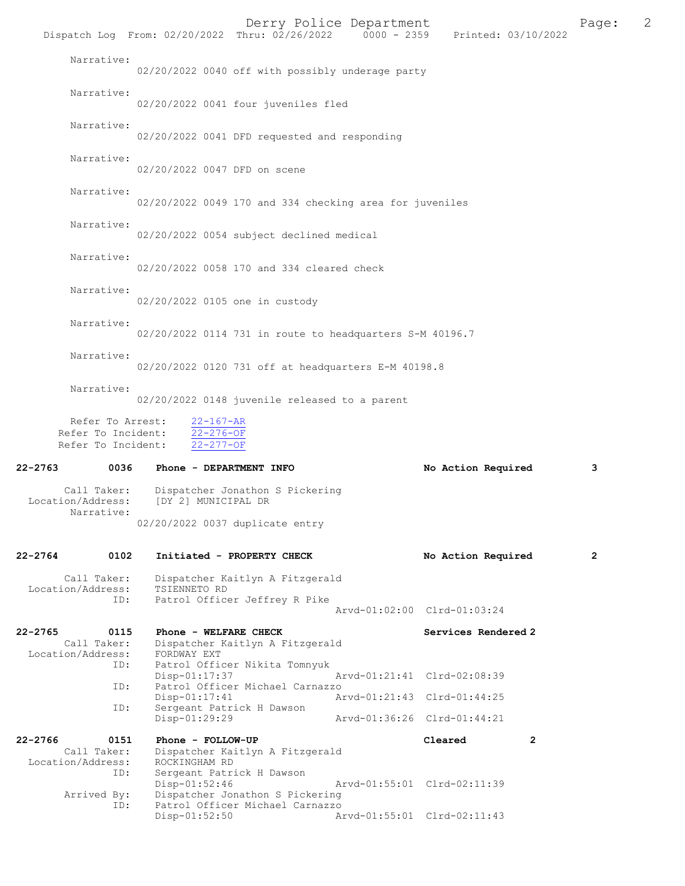|                                                              |                                                                 | Derry Police Department                                            |                             | Dispatch Log From: 02/20/2022 Thru: 02/26/2022 0000 - 2359 Printed: 03/10/2022 | Page:        | 2 |
|--------------------------------------------------------------|-----------------------------------------------------------------|--------------------------------------------------------------------|-----------------------------|--------------------------------------------------------------------------------|--------------|---|
| Narrative:                                                   |                                                                 | 02/20/2022 0040 off with possibly underage party                   |                             |                                                                                |              |   |
| Narrative:                                                   |                                                                 | 02/20/2022 0041 four juveniles fled                                |                             |                                                                                |              |   |
| Narrative:                                                   |                                                                 | 02/20/2022 0041 DFD requested and responding                       |                             |                                                                                |              |   |
| Narrative:                                                   | 02/20/2022 0047 DFD on scene                                    |                                                                    |                             |                                                                                |              |   |
| Narrative:                                                   |                                                                 | 02/20/2022 0049 170 and 334 checking area for juveniles            |                             |                                                                                |              |   |
| Narrative:                                                   |                                                                 | 02/20/2022 0054 subject declined medical                           |                             |                                                                                |              |   |
| Narrative:                                                   |                                                                 | 02/20/2022 0058 170 and 334 cleared check                          |                             |                                                                                |              |   |
| Narrative:                                                   | 02/20/2022 0105 one in custody                                  |                                                                    |                             |                                                                                |              |   |
| Narrative:                                                   |                                                                 | 02/20/2022 0114 731 in route to headquarters S-M 40196.7           |                             |                                                                                |              |   |
| Narrative:                                                   |                                                                 | 02/20/2022 0120 731 off at headquarters E-M 40198.8                |                             |                                                                                |              |   |
| Narrative:                                                   |                                                                 | 02/20/2022 0148 juvenile released to a parent                      |                             |                                                                                |              |   |
| Refer To Arrest:<br>Refer To Incident:<br>Refer To Incident: | $22 - 167 - AR$<br>$22 - 276 - OF$<br>$22 - 277 - OF$           |                                                                    |                             |                                                                                |              |   |
| 22-2763                                                      | 0036 Phone - DEPARTMENT INFO                                    |                                                                    |                             | No Action Required                                                             | 3            |   |
| Call Taker:<br>Location/Address:<br>Narrative:               | [DY 2] MUNICIPAL DR                                             | Dispatcher Jonathon S Pickering                                    |                             |                                                                                |              |   |
|                                                              | 02/20/2022 0037 duplicate entry                                 |                                                                    |                             |                                                                                |              |   |
| 22-2764<br>0102                                              |                                                                 | Initiated - PROPERTY CHECK                                         |                             | No Action Required                                                             | $\mathbf{2}$ |   |
| Call Taker:<br>Location/Address:<br>ID:                      | TSIENNETO RD                                                    | Dispatcher Kaitlyn A Fitzgerald<br>Patrol Officer Jeffrey R Pike   |                             |                                                                                |              |   |
|                                                              |                                                                 |                                                                    | Arvd-01:02:00 Clrd-01:03:24 |                                                                                |              |   |
| 22-2765<br>0115<br>Call Taker:<br>Location/Address:          | Phone - WELFARE CHECK<br>FORDWAY EXT                            | Dispatcher Kaitlyn A Fitzgerald                                    |                             | Services Rendered 2                                                            |              |   |
| ID:                                                          | $Disp-01:17:37$                                                 | Patrol Officer Nikita Tomnyuk                                      | Arvd-01:21:41 Clrd-02:08:39 |                                                                                |              |   |
| ID:                                                          | $Disp-01:17:41$                                                 | Patrol Officer Michael Carnazzo                                    | Arvd-01:21:43 Clrd-01:44:25 |                                                                                |              |   |
| ID:                                                          | Disp-01:29:29                                                   | Sergeant Patrick H Dawson                                          | Arvd-01:36:26 Clrd-01:44:21 |                                                                                |              |   |
| 22-2766<br>0151<br>Call Taker:<br>Location/Address:<br>ID:   | Phone - FOLLOW-UP<br>ROCKINGHAM RD<br>Sergeant Patrick H Dawson | Dispatcher Kaitlyn A Fitzgerald                                    |                             | Cleared<br>$\overline{2}$                                                      |              |   |
| Arrived By:<br>ID:                                           | $Disp-01:52:46$                                                 | Dispatcher Jonathon S Pickering<br>Patrol Officer Michael Carnazzo | Arvd-01:55:01 Clrd-02:11:39 |                                                                                |              |   |
|                                                              |                                                                 |                                                                    |                             |                                                                                |              |   |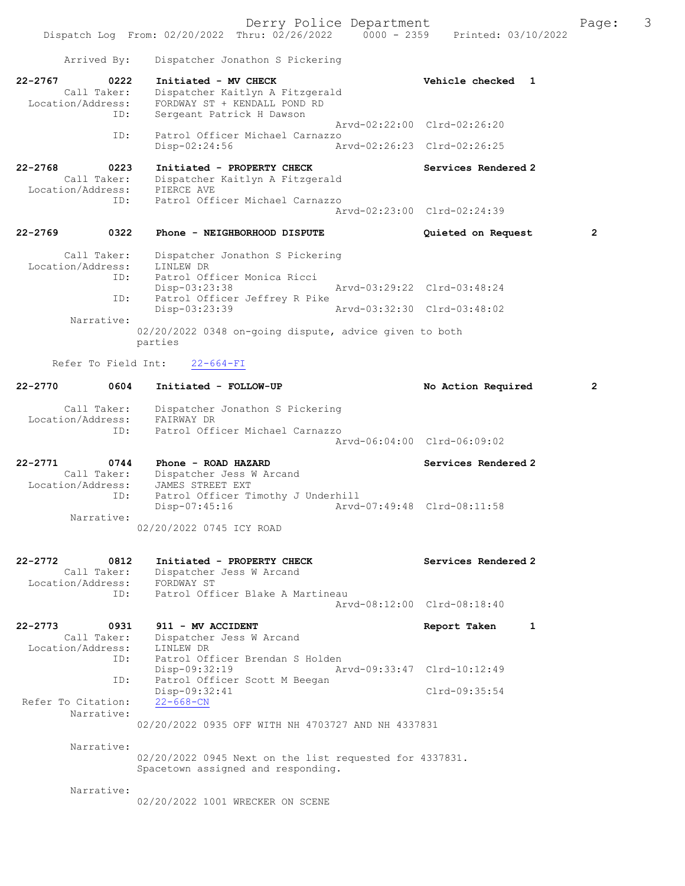| Arrived By:                                                    | Dispatcher Jonathon S Pickering                                                                           |                             |
|----------------------------------------------------------------|-----------------------------------------------------------------------------------------------------------|-----------------------------|
| $22 - 2767$<br>0222<br>Call Taker:<br>Location/Address:        | Initiated - MV CHECK<br>Dispatcher Kaitlyn A Fitzgerald<br>FORDWAY ST + KENDALL POND RD                   | Vehicle checked 1           |
| ID:                                                            | Sergeant Patrick H Dawson                                                                                 | Aryd-02:22:00 Clrd-02:26:20 |
| ID:                                                            | Patrol Officer Michael Carnazzo<br>Disp-02:24:56                                                          | Arvd-02:26:23 Clrd-02:26:25 |
| 22-2768<br>0223                                                | Initiated - PROPERTY CHECK                                                                                | Services Rendered 2         |
| Call Taker:<br>Location/Address:                               | Dispatcher Kaitlyn A Fitzgerald<br>PIERCE AVE                                                             |                             |
| ID:                                                            | Patrol Officer Michael Carnazzo                                                                           | Arvd-02:23:00 Clrd-02:24:39 |
| 0322<br>22-2769                                                | Phone - NEIGHBORHOOD DISPUTE                                                                              | 2<br>Quieted on Request     |
| Call Taker:                                                    | Dispatcher Jonathon S Pickering                                                                           |                             |
| Location/Address:<br>ID:                                       | LINLEW DR<br>Patrol Officer Monica Ricci                                                                  |                             |
| ID:                                                            | Disp-03:23:38<br>Patrol Officer Jeffrey R Pike                                                            | Aryd-03:29:22 Clrd-03:48:24 |
|                                                                | Disp-03:23:39                                                                                             | Aryd-03:32:30 Clrd-03:48:02 |
| Narrative:                                                     | 02/20/2022 0348 on-going dispute, advice given to both<br>parties                                         |                             |
| Refer To Field Int:                                            | $22 - 664 - FI$                                                                                           |                             |
| $22 - 2770$<br>0604                                            | Initiated - FOLLOW-UP                                                                                     | No Action Required<br>2     |
| Call Taker:<br>Location/Address:<br>ID:                        | Dispatcher Jonathon S Pickering<br>FAIRWAY DR<br>Patrol Officer Michael Carnazzo                          |                             |
|                                                                |                                                                                                           | Arvd-06:04:00 Clrd-06:09:02 |
| $22 - 2771$<br>0744<br>Call Taker:<br>Location/Address:<br>ID: | Phone - ROAD HAZARD<br>Dispatcher Jess W Arcand<br>JAMES STREET EXT<br>Patrol Officer Timothy J Underhill | Services Rendered 2         |
| Narrative:                                                     | $Disp-07:45:16$<br>02/20/2022 0745 ICY ROAD                                                               | Arvd-07:49:48 Clrd-08:11:58 |
| 0812<br>22-2772                                                | Initiated - PROPERTY CHECK                                                                                | Services Rendered 2         |
| Call Taker:<br>Location/Address:<br>ID:                        | Dispatcher Jess W Arcand<br>FORDWAY ST<br>Patrol Officer Blake A Martineau                                |                             |
|                                                                |                                                                                                           | Aryd-08:12:00 Clrd-08:18:40 |
| 22-2773<br>0931<br>Call Taker:<br>Location/Address:            | 911 - MV ACCIDENT<br>Dispatcher Jess W Arcand<br>LINLEW DR                                                | Report Taken<br>1           |
| ID:                                                            | Patrol Officer Brendan S Holden<br>Disp-09:32:19                                                          | Aryd-09:33:47 Clrd-10:12:49 |
| ID:<br>Refer To Citation:                                      | Patrol Officer Scott M Beegan<br>$Disp-09:32:41$<br>$22 - 668 - CN$                                       | $Clrd-09:35:54$             |
| Narrative:                                                     | 02/20/2022 0935 OFF WITH NH 4703727 AND NH 4337831                                                        |                             |
| Narrative:                                                     |                                                                                                           |                             |
|                                                                | 02/20/2022 0945 Next on the list requested for 4337831.<br>Spacetown assigned and responding.             |                             |
| Narrative:                                                     | 02/20/2022 1001 WRECKER ON SCENE                                                                          |                             |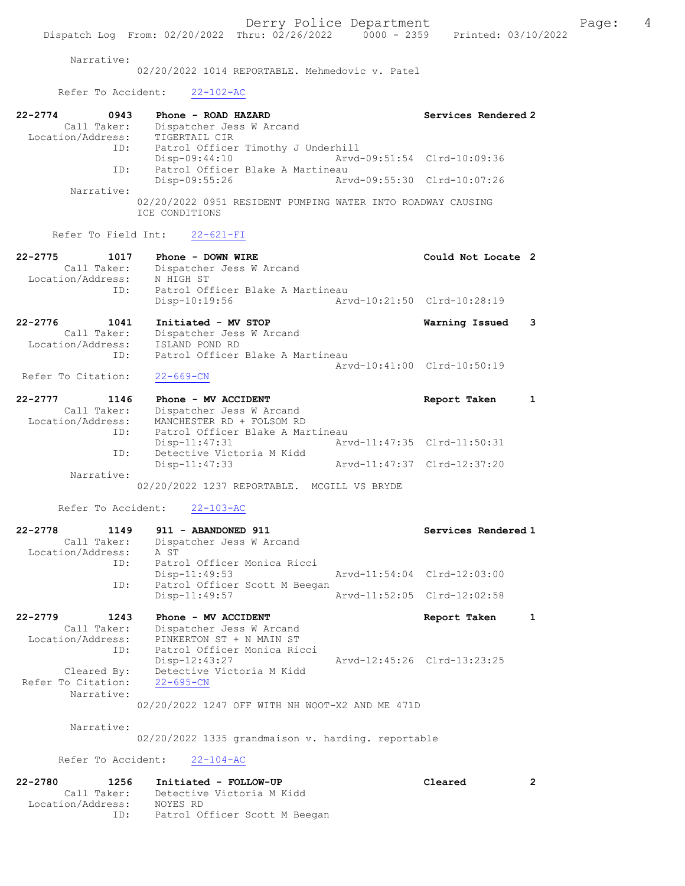## Narrative:

02/20/2022 1014 REPORTABLE. Mehmedovic v. Patel

## Refer To Accident: 22-102-AC

| $22 - 2774$       | 0943        | Phone - ROAD HAZARD                                                           |                             | Services Rendered 2 |
|-------------------|-------------|-------------------------------------------------------------------------------|-----------------------------|---------------------|
|                   | Call Taker: | Dispatcher Jess W Arcand                                                      |                             |                     |
| Location/Address: |             | TIGERTAIL CIR                                                                 |                             |                     |
|                   | ID:         | Patrol Officer Timothy J Underhill                                            |                             |                     |
|                   |             | $Disp-09:44:10$                                                               | Arvd-09:51:54 Clrd-10:09:36 |                     |
|                   | ID:         | Patrol Officer Blake A Martineau                                              |                             |                     |
|                   |             | Disp-09:55:26                                                                 | Arvd-09:55:30 Clrd-10:07:26 |                     |
|                   | Narrative:  |                                                                               |                             |                     |
|                   |             | 02/20/2022 0951 RESIDENT PUMPING WATER INTO ROADWAY CAUSING<br>ICE CONDITIONS |                             |                     |

### Refer To Field Int: 22-621-FI

| $22 - 2775$ | 1017              | Phone - DOWN WIRE                | Could Not Locate 2          |  |
|-------------|-------------------|----------------------------------|-----------------------------|--|
|             | Call Taker:       | Dispatcher Jess W Arcand         |                             |  |
|             | Location/Address: | N HIGH ST                        |                             |  |
|             | ID:               | Patrol Officer Blake A Martineau |                             |  |
|             |                   | Disp-10:19:56                    | Arvd-10:21:50 Clrd-10:28:19 |  |
| 22-2776     | 1041              | Initiated - MV STOP              | Warning Issued              |  |

| <u>.</u>          | ---- | -----------                          |                                  |                             | $max_{1}$ $max_{2}$ |  |
|-------------------|------|--------------------------------------|----------------------------------|-----------------------------|---------------------|--|
|                   |      | Call Taker: Dispatcher Jess W Arcand |                                  |                             |                     |  |
| Location/Address: |      | ISLAND POND RD                       |                                  |                             |                     |  |
|                   | TD:  |                                      | Patrol Officer Blake A Martineau |                             |                     |  |
|                   |      |                                      |                                  | Arvd-10:41:00 Clrd-10:50:19 |                     |  |

## Refer To Citation: 22-669-CN

| 22-2777           | 1146        | Phone - MV ACCIDENT              | Report Taken                |  |
|-------------------|-------------|----------------------------------|-----------------------------|--|
|                   | Call Taker: | Dispatcher Jess W Arcand         |                             |  |
| Location/Address: |             | MANCHESTER RD + FOLSOM RD        |                             |  |
|                   | ID:         | Patrol Officer Blake A Martineau |                             |  |
|                   |             | Disp-11:47:31                    | Arvd-11:47:35 Clrd-11:50:31 |  |
|                   | ID:         | Detective Victoria M Kidd        |                             |  |
|                   |             | $Disp-11:47:33$                  | Arvd-11:47:37 Clrd-12:37:20 |  |
|                   | Narrative:  |                                  |                             |  |

02/20/2022 1237 REPORTABLE. MCGILL VS BRYDE

#### Refer To Accident: 22-103-AC

| $22 - 2778$<br>1149 | 911 - ABANDONED 911           |                             | Services Rendered 1         |
|---------------------|-------------------------------|-----------------------------|-----------------------------|
| Call Taker:         | Dispatcher Jess W Arcand      |                             |                             |
| Location/Address:   | A ST                          |                             |                             |
| ID:                 | Patrol Officer Monica Ricci   |                             |                             |
|                     | Disp-11:49:53                 | Arvd-11:54:04 Clrd-12:03:00 |                             |
| ID:                 | Patrol Officer Scott M Beegan |                             |                             |
|                     | $Disp-11:49:57$               |                             | Arvd-11:52:05 Clrd-12:02:58 |
|                     |                               |                             |                             |

| 22-2779            | 1243        | Phone - MV ACCIDENT         | Report Taken                | $\mathbf{1}$ |
|--------------------|-------------|-----------------------------|-----------------------------|--------------|
|                    | Call Taker: | Dispatcher Jess W Arcand    |                             |              |
| Location/Address:  |             | PINKERTON ST + N MAIN ST    |                             |              |
|                    | ID:         | Patrol Officer Monica Ricci |                             |              |
|                    |             | Disp-12:43:27               | Arvd-12:45:26 Clrd-13:23:25 |              |
|                    | Cleared By: | Detective Victoria M Kidd   |                             |              |
| Refer To Citation: |             | $22 - 695 - CN$             |                             |              |
|                    | Narrative:  |                             |                             |              |

02/20/2022 1247 OFF WITH NH WOOT-X2 AND ME 471D

#### Narrative:

02/20/2022 1335 grandmaison v. harding. reportable

#### Refer To Accident: 22-104-AC

| 22-2780           | 1256        | Initiated - FOLLOW-UP         | Cleared |  |
|-------------------|-------------|-------------------------------|---------|--|
|                   | Call Taker: | Detective Victoria M Kidd     |         |  |
| Location/Address: |             | NOYES RD                      |         |  |
|                   | ID:         | Patrol Officer Scott M Beegan |         |  |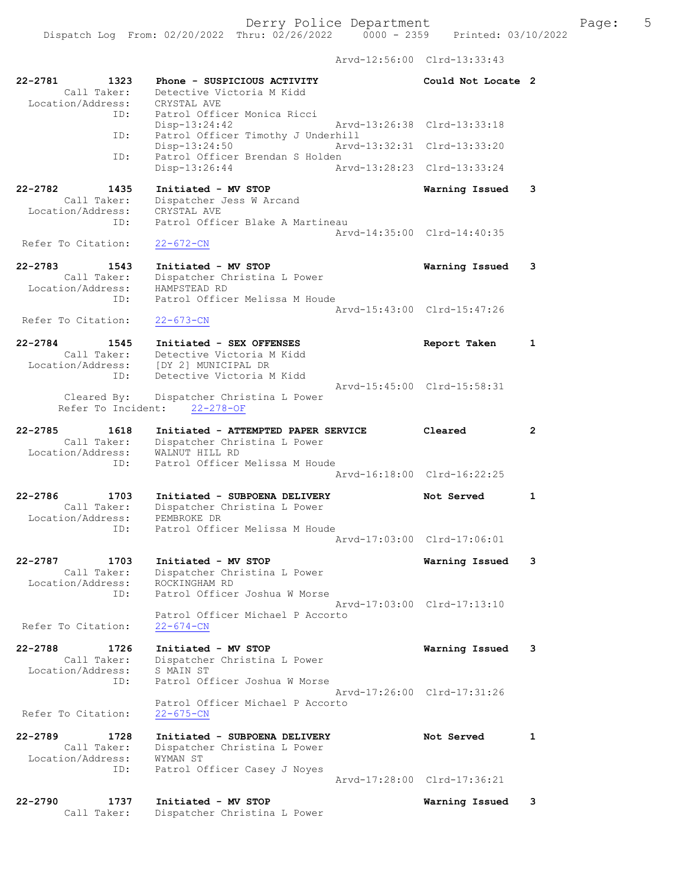Arvd-12:56:00 Clrd-13:33:43

| 22-2781<br>1323<br>Call Taker:<br>Location/Address:            | Phone - SUSPICIOUS ACTIVITY<br>Detective Victoria M Kidd<br>CRYSTAL AVE                               | Could Not Locate 2          |                |
|----------------------------------------------------------------|-------------------------------------------------------------------------------------------------------|-----------------------------|----------------|
| ID:                                                            | Patrol Officer Monica Ricci<br>Disp-13:24:42                                                          | Arvd-13:26:38 Clrd-13:33:18 |                |
| ID:                                                            | Patrol Officer Timothy J Underhill<br>$Disp-13:24:50$<br>Arvd-13:32:31                                | Clrd-13:33:20               |                |
| ID:                                                            | Patrol Officer Brendan S Holden<br>Disp-13:26:44<br>Arvd-13:28:23                                     | Clrd-13:33:24               |                |
| 22-2782<br>1435<br>Call Taker:<br>Location/Address:            | Initiated - MV STOP<br>Dispatcher Jess W Arcand<br>CRYSTAL AVE                                        | Warning Issued              | 3              |
| ID:<br>Refer To Citation:                                      | Patrol Officer Blake A Martineau<br>$22 - 672 - CN$                                                   | Arvd-14:35:00 Clrd-14:40:35 |                |
| $22 - 2783$<br>1543                                            |                                                                                                       |                             | 3              |
| Call Taker:<br>Location/Address:                               | Initiated - MV STOP<br>Dispatcher Christina L Power<br>HAMPSTEAD RD                                   | Warning Issued              |                |
| ID:<br>Refer To Citation:                                      | Patrol Officer Melissa M Houde<br>$22 - 673 - CN$                                                     | Arvd-15:43:00 Clrd-15:47:26 |                |
| $22 - 2784$<br>1545<br>Call Taker:                             | Initiated - SEX OFFENSES<br>Detective Victoria M Kidd                                                 | Report Taken                | 1              |
| Location/Address:<br>ID:                                       | [DY 2] MUNICIPAL DR<br>Detective Victoria M Kidd                                                      | Arvd-15:45:00 Clrd-15:58:31 |                |
| Cleared By:<br>Refer To Incident:                              | Dispatcher Christina L Power<br>$22 - 278 - OF$                                                       |                             |                |
| $22 - 2785$<br>1618<br>Call Taker:<br>Location/Address:        | Initiated - ATTEMPTED PAPER SERVICE<br>Dispatcher Christina L Power<br>WALNUT HILL RD                 | Cleared                     | $\overline{2}$ |
| ID:                                                            | Patrol Officer Melissa M Houde                                                                        | Arvd-16:18:00 Clrd-16:22:25 |                |
| $22 - 2786$<br>1703                                            | Initiated - SUBPOENA DELIVERY                                                                         | Not Served                  | $\mathbf{1}$   |
| Call Taker:<br>Location/Address:<br>ID:                        | Dispatcher Christina L Power<br>PEMBROKE DR<br>Patrol Officer Melissa M Houde                         |                             |                |
|                                                                |                                                                                                       | Arvd-17:03:00 Clrd-17:06:01 |                |
| 22-2787<br>1703<br>Call Taker:<br>Location/Address:<br>ID:     | Initiated - MV STOP<br>Dispatcher Christina L Power<br>ROCKINGHAM RD<br>Patrol Officer Joshua W Morse | Warning Issued              | 3              |
| Refer To Citation:                                             | Patrol Officer Michael P Accorto<br>$22 - 674 - CN$                                                   | Arvd-17:03:00 Clrd-17:13:10 |                |
|                                                                |                                                                                                       |                             |                |
| $22 - 2788$<br>1726<br>Call Taker:<br>Location/Address:<br>ID: | Initiated - MV STOP<br>Dispatcher Christina L Power<br>S MAIN ST<br>Patrol Officer Joshua W Morse     | Warning Issued              | 3              |
| Refer To Citation:                                             | Patrol Officer Michael P Accorto<br>22-675-CN                                                         | Arvd-17:26:00 Clrd-17:31:26 |                |
| $22 - 2789$<br>1728<br>Call Taker:<br>Location/Address:        | Initiated - SUBPOENA DELIVERY<br>Dispatcher Christina L Power<br>WYMAN ST                             | Not Served                  | 1              |
| ID:                                                            | Patrol Officer Casey J Noyes                                                                          | Arvd-17:28:00 Clrd-17:36:21 |                |
| $22 - 2790$<br>1737<br>Call Taker:                             | Initiated - MV STOP<br>Dispatcher Christina L Power                                                   | Warning Issued              | 3              |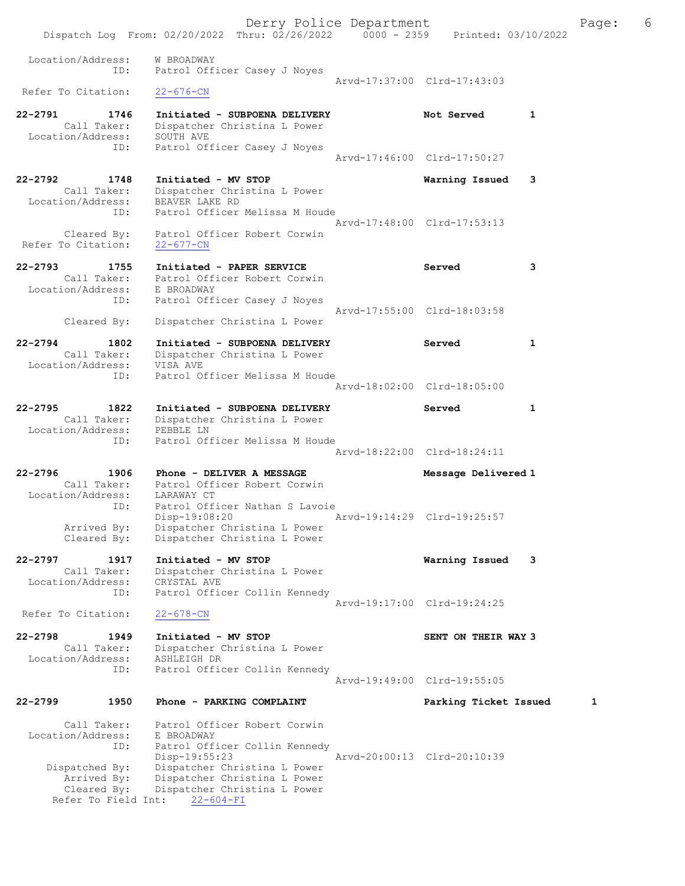Derry Police Department The Page: 6 Dispatch Log From: 02/20/2022 Thru: 02/26/2022 0000 - 2359 Printed: 03/10/2022 Location/Address: W BROADWAY ID: Patrol Officer Casey J Noyes Arvd-17:37:00 Clrd-17:43:03<br>22-676-CN Refer To Citation: 22-2791 1746 Initiated - SUBPOENA DELIVERY Not Served 1 Call Taker: Dispatcher Christina L Power Location/Address: SOUTH AVE ID: Patrol Officer Casey J Noyes Arvd-17:46:00 Clrd-17:50:27 22-2792 1748 Initiated - MV STOP Warning Issued 3 Call Taker: Dispatcher Christina L Power Location/Address: BEAVER LAKE RD ID: Patrol Officer Melissa M Houde Arvd-17:48:00 Clrd-17:53:13 Cleared By: Patrol Officer Robert Corwin Refer To Citation: 22-677-CN 22-2793 1755 Initiated - PAPER SERVICE Served 3 Call Taker: Patrol Officer Robert Corwin Location/Address: E BROADWAY ID: Patrol Officer Casey J Noyes Arvd-17:55:00 Clrd-18:03:58 Cleared By: Dispatcher Christina L Power 22-2794 1802 Initiated - SUBPOENA DELIVERY Served 1 Call Taker: Dispatcher Christina L Power Location/Address: VISA AVE ID: Patrol Officer Melissa M Houde Arvd-18:02:00 Clrd-18:05:00 22-2795 1822 Initiated - SUBPOENA DELIVERY Served 1 Call Taker: Dispatcher Christina L Power Location/Address: PEBBLE LN ID: Patrol Officer Melissa M Houde Arvd-18:22:00 Clrd-18:24:11 22-2796 1906 Phone - DELIVER A MESSAGE Message Delivered 1 Call Taker: Patrol Officer Robert Corwin Location/Address: LARAWAY CT ID: Patrol Officer Nathan S Lavoie Disp-19:08:20 Arvd-19:14:29 Clrd-19:25:57 Arrived By: Dispatcher Christina L Power Cleared By: Dispatcher Christina L Power 22-2797 1917 Initiated - MV STOP Warning Issued 3 Call Taker: Dispatcher Christina L Power Location/Address: CRYSTAL AVE ID: Patrol Officer Collin Kennedy Arvd-19:17:00 Clrd-19:24:25<br>22-678-CN Refer To Citation: 22-2798 1949 Initiated - MV STOP New SENT ON THEIR WAY 3 Call Taker: Dispatcher Christina L Power Location/Address: ASHLEIGH DR ID: Patrol Officer Collin Kennedy Arvd-19:49:00 Clrd-19:55:05 22-2799 1950 Phone - PARKING COMPLAINT Parking Ticket Issued 1 Call Taker: Patrol Officer Robert Corwin Location/Address: E BROADWAY ID: Patrol Officer Collin Kennedy<br>Disp-19:55:23 Arvd-20:00:13 Clrd-20:10:39 Dispatched By: Dispatcher Christina L Power Arrived By: Dispatcher Christina L Power Cleared By: Dispatcher Christina L Power Refer To Field Int: 22-604-FI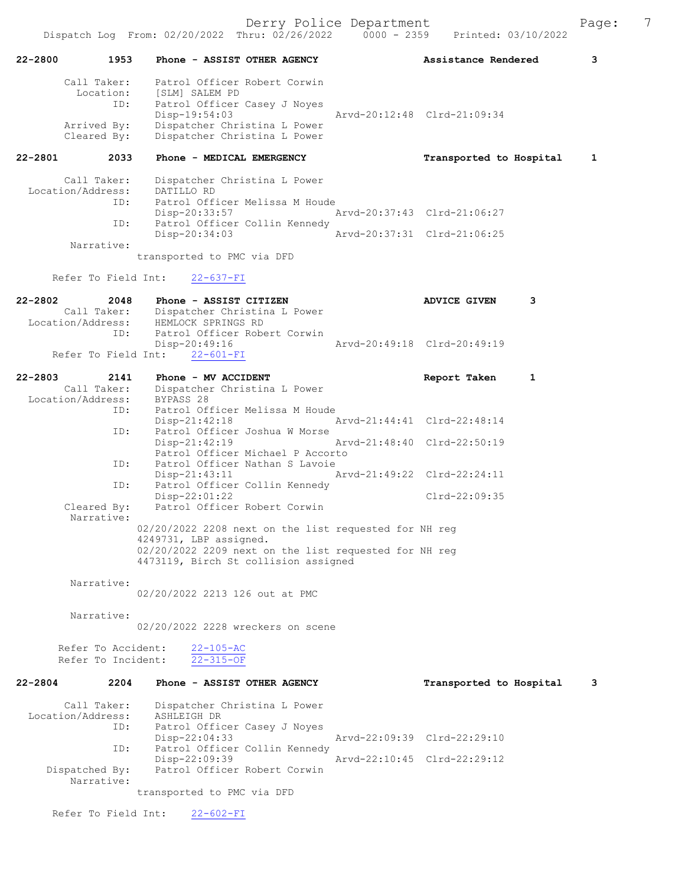| 22-2800     | 1953                                     | Phone - ASSIST OTHER AGENCY                                                                                             | Assistance Rendered         | 3            |
|-------------|------------------------------------------|-------------------------------------------------------------------------------------------------------------------------|-----------------------------|--------------|
|             | Call Taker:<br>Location:<br>ID:          | Patrol Officer Robert Corwin<br>[SLM] SALEM PD<br>Patrol Officer Casey J Noyes<br>Disp-19:54:03                         | Arvd-20:12:48 Clrd-21:09:34 |              |
|             | Arrived By:<br>Cleared By:               | Dispatcher Christina L Power<br>Dispatcher Christina L Power                                                            |                             |              |
| 22-2801     | 2033                                     | Phone - MEDICAL EMERGENCY                                                                                               | Transported to Hospital     | $\mathbf{1}$ |
|             | Call Taker:<br>Location/Address:<br>ID:  | Dispatcher Christina L Power<br>DATILLO RD<br>Patrol Officer Melissa M Houde<br>Disp-20:33:57                           | Arvd-20:37:43 Clrd-21:06:27 |              |
|             | ID:                                      | Patrol Officer Collin Kennedy<br>Disp-20:34:03                                                                          | Arvd-20:37:31 Clrd-21:06:25 |              |
|             | Narrative:                               | transported to PMC via DFD                                                                                              |                             |              |
|             | Refer To Field Int:                      | $22 - 637 - FI$                                                                                                         |                             |              |
| $22 - 2802$ | 2048<br>Location/Address:                | Phone - ASSIST CITIZEN<br>Call Taker: Dispatcher Christina L Power<br>HEMLOCK SPRINGS RD                                | 3<br><b>ADVICE GIVEN</b>    |              |
|             | ID:                                      | Patrol Officer Robert Corwin<br>Disp-20:49:16<br>Refer To Field Int: 22-601-FI                                          | Arvd-20:49:18 Clrd-20:49:19 |              |
| $22 - 2803$ | 2141                                     | Phone - MV ACCIDENT                                                                                                     | Report Taken<br>1           |              |
|             | Call Taker:<br>Location/Address:         | Dispatcher Christina L Power<br>BYPASS 28                                                                               |                             |              |
|             | ID:                                      | Patrol Officer Melissa M Houde<br>$Disp-21:42:18$                                                                       | Arvd-21:44:41 Clrd-22:48:14 |              |
|             | ID:                                      | Patrol Officer Joshua W Morse<br>$Disp-21:42:19$<br>Patrol Officer Michael P Accorto                                    | Arvd-21:48:40 Clrd-22:50:19 |              |
|             | ID:                                      | Patrol Officer Nathan S Lavoie<br>$Disp-21:43:11$                                                                       | Arvd-21:49:22 Clrd-22:24:11 |              |
|             | ID:<br>Cleared By:                       | Patrol Officer Collin Kennedy<br>Disp-22:01:22<br>Patrol Officer Robert Corwin                                          | $Clrd-22:09:35$             |              |
|             | Narrative:                               | 02/20/2022 2208 next on the list requested for NH reg                                                                   |                             |              |
|             |                                          | 4249731, LBP assigned.<br>02/20/2022 2209 next on the list requested for NH reg<br>4473119, Birch St collision assigned |                             |              |
|             | Narrative:                               | 02/20/2022 2213 126 out at PMC                                                                                          |                             |              |
|             | Narrative:                               | 02/20/2022 2228 wreckers on scene                                                                                       |                             |              |
|             | Refer To Accident:<br>Refer To Incident: | $22 - 105 - AC$<br>$22 - 315 - OF$                                                                                      |                             |              |
| $22 - 2804$ | 2204                                     | Phone - ASSIST OTHER AGENCY                                                                                             | Transported to Hospital     | 3            |
|             | Call Taker:<br>Location/Address:<br>ID:  | Dispatcher Christina L Power<br>ASHLEIGH DR<br>Patrol Officer Casey J Noyes                                             | Arvd-22:09:39 Clrd-22:29:10 |              |
|             | ID:                                      | $Disp-22:04:33$<br>Patrol Officer Collin Kennedy                                                                        |                             |              |
|             | Dispatched By:<br>Narrative:             | Disp-22:09:39<br>Patrol Officer Robert Corwin                                                                           | Arvd-22:10:45 Clrd-22:29:12 |              |
|             | Refer To Field Int:                      | transported to PMC via DFD<br>$22 - 602 - FI$                                                                           |                             |              |
|             |                                          |                                                                                                                         |                             |              |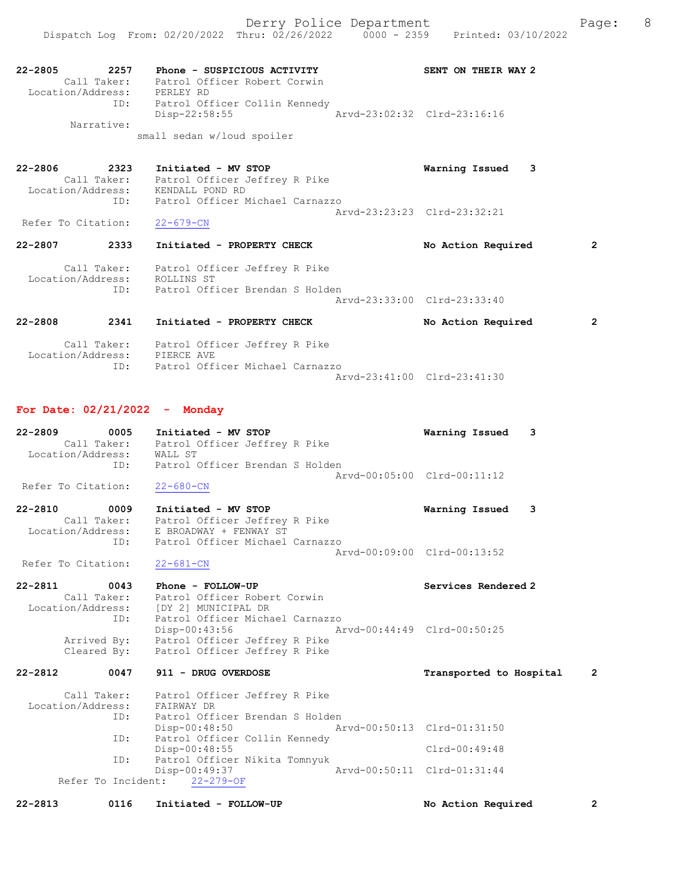22-2805 2257 Phone - SUSPICIOUS ACTIVITY SENT ON THEIR WAY 2 Call Taker: Patrol Officer Robert Corwin Location/Address: PERLEY RD ID: Patrol Officer Collin Kennedy Disp-22:58:55 Arvd-23:02:32 Clrd-23:16:16 Narrative: small sedan w/loud spoiler

22-2806 2323 Initiated - MV STOP Warning Issued 3 Call Taker: Patrol Officer Jeffrey R Pike Location/Address: KENDALL POND RD ID: Patrol Officer Michael Carnazzo Arvd-23:23:23 Clrd-23:32:21 Refer To Citation:

22-2807 2333 Initiated - PROPERTY CHECK No Action Required 2 Call Taker: Patrol Officer Jeffrey R Pike Location/Address: ROLLINS ST ID: Patrol Officer Brendan S Holden Arvd-23:33:00 Clrd-23:33:40

## 22-2808 2341 Initiated - PROPERTY CHECK No Action Required 2 Call Taker: Patrol Officer Jeffrey R Pike Location/Address: PIERCE AVE

| ------------------- |                                 |                             |
|---------------------|---------------------------------|-----------------------------|
|                     | Patrol Officer Michael Carnazzo |                             |
|                     |                                 | Arvd-23:41:00 Clrd-23:41:30 |

#### For Date: 02/21/2022 - Monday

| $22 - 2809$       | 0005        | Initiated - MV STOP             |  |                             | Warning Issued 3 |  |
|-------------------|-------------|---------------------------------|--|-----------------------------|------------------|--|
|                   | Call Taker: | Patrol Officer Jeffrey R Pike   |  |                             |                  |  |
| Location/Address: |             | WALL ST                         |  |                             |                  |  |
|                   | TD:         | Patrol Officer Brendan S Holden |  |                             |                  |  |
|                   |             |                                 |  | Aryd-00:05:00 Clrd-00:11:12 |                  |  |

Refer To Citation: 22-680-CN

22-2810 0009 Initiated - MV STOP Warning Issued 3 Call Taker: Patrol Officer Jeffrey R Pike Location/Address: E BROADWAY + FENWAY ST ID: Patrol Officer Michael Carnazzo Arvd-00:09:00 Clrd-00:13:52

Refer To Citation: 22-681-CN

22-2811 0043 Phone - FOLLOW-UP Services Rendered 2 Call Taker: Patrol Officer Robert Corwin Location/Address: [DY 2] MUNICIPAL DR ID: Patrol Officer Michael Carnazzo Disp-00:43:56 Arvd-00:44:49 Clrd-00:50:25 Arrived By: Patrol Officer Jeffrey R Pike Cleared By: Patrol Officer Jeffrey R Pike

### 22-2812 0047 911 - DRUG OVERDOSE TRANSPORT Transported to Hospital 2

| Call Taker:<br>Location/Address: |     | Patrol Officer Jeffrey R Pike<br>FAIRWAY DR |  |                             |                 |  |
|----------------------------------|-----|---------------------------------------------|--|-----------------------------|-----------------|--|
|                                  | ID: | Patrol Officer Brendan S Holden             |  |                             |                 |  |
|                                  |     | $Disp-00:48:50$                             |  | Arvd-00:50:13 Clrd-01:31:50 |                 |  |
|                                  | ID: | Patrol Officer Collin Kennedy               |  |                             |                 |  |
|                                  |     | $Disp-00:48:55$                             |  |                             | $Clrd-00:49:48$ |  |
|                                  | ID: | Patrol Officer Nikita Tomnyuk               |  |                             |                 |  |
|                                  |     | Disp-00:49:37                               |  | Arvd-00:50:11 Clrd-01:31:44 |                 |  |
|                                  |     | Refer To Incident: 22-279-OF                |  |                             |                 |  |

22-2813 0116 Initiated - FOLLOW-UP No Action Required 2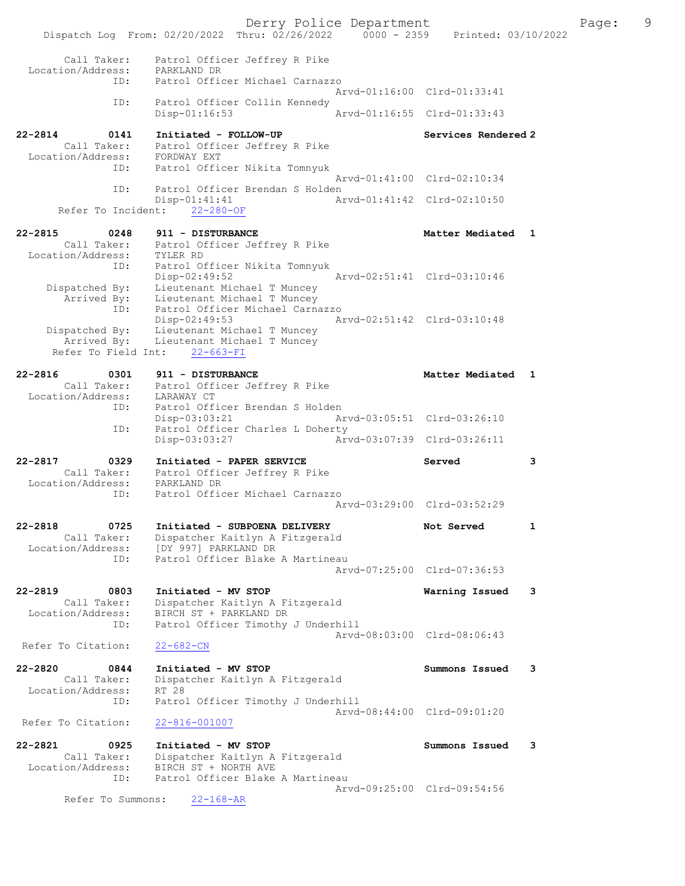Derry Police Department Fage: 9 Dispatch Log From: 02/20/2022 Thru: 02/26/2022 0000 - 2359 Printed: 03/10/2022 Call Taker: Patrol Officer Jeffrey R Pike Location/Address: PARKLAND DR ID: Patrol Officer Michael Carnazzo Arvd-01:16:00 Clrd-01:33:41 ID: Patrol Officer Collin Kennedy<br>Disp-01:16:53 Arvd-01:16:55 Clrd-01:33:43 Disp-01:16:53 22-2814 0141 Initiated - FOLLOW-UP Services Rendered 2 Call Taker: Patrol Officer Jeffrey R Pike Location/Address: FORDWAY EXT ID: Patrol Officer Nikita Tomnyuk Arvd-01:41:00 Clrd-02:10:34 ID: Patrol Officer Brendan S Holden Disp-01:41:41 Arvd-01:41:42 Clrd-02:10:50 Refer To Incident: 22-280-OF 22-2815 0248 911 - DISTURBANCE Nedlated 1 Call Taker: Patrol Officer Jeffrey R Pike Location/Address: TYLER RD ID: Patrol Officer Nikita Tomnyuk Disp-02:49:52 Arvd-02:51:41 Clrd-03:10:46 Dispatched By: Lieutenant Michael T Muncey Arrived By: Lieutenant Michael T Muncey ID: Patrol Officer Michael Carnazzo Disp-02:49:53 Arvd-02:51:42 Clrd-03:10:48 Dispatched By: Lieutenant Michael T Muncey Arrived By: Lieutenant Michael T Muncey Refer To Field Int: 22-663-FI 22-2816 0301 911 - DISTURBANCE Matter Mediated 1 Call Taker: Patrol Officer Jeffrey R Pike Location/Address: LARAWAY CT ID: Patrol Officer Brendan S Holden Disp-03:03:21 Arvd-03:05:51 Clrd-03:26:10 ID: Patrol Officer Charles L Doherty Disp-03:03:27 Arvd-03:07:39 Clrd-03:26:11 22-2817 0329 Initiated - PAPER SERVICE Served 3 Call Taker: Patrol Officer Jeffrey R Pike Location/Address: PARKLAND DR ID: Patrol Officer Michael Carnazzo Arvd-03:29:00 Clrd-03:52:29 22-2818 0725 Initiated - SUBPOENA DELIVERY Not Served 1 Call Taker: Dispatcher Kaitlyn A Fitzgerald Location/Address: [DY 997] PARKLAND DR ID: Patrol Officer Blake A Martineau Arvd-07:25:00 Clrd-07:36:53 22-2819 0803 Initiated - MV STOP Warning Issued 3 Call Taker: Dispatcher Kaitlyn A Fitzgerald Location/Address: BIRCH ST + PARKLAND DR ID: Patrol Officer Timothy J Underhill Arvd-08:03:00 Clrd-08:06:43 Refer To Citation: 22-682-CN 22-2820 0844 Initiated - MV STOP Summons Issued 3 Call Taker: Dispatcher Kaitlyn A Fitzgerald Location/Address: RT 28 ID: Patrol Officer Timothy J Underhill Arvd-08:44:00 Clrd-09:01:20 Refer To Citation: 22-816-001007 22-2821 0925 Initiated - MV STOP Summons Issued 3 Call Taker: Dispatcher Kaitlyn A Fitzgerald Location/Address: BIRCH ST + NORTH AVE ID: Patrol Officer Blake A Martineau Arvd-09:25:00 Clrd-09:54:56 Refer To Summons: 22-168-AR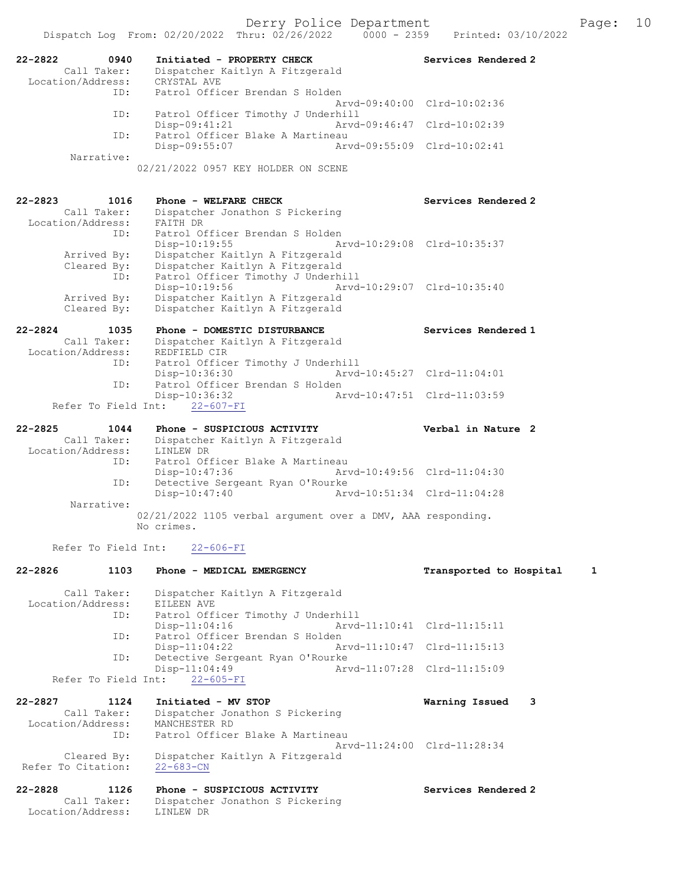| 22-2822<br>0940<br>Call Taker:<br>Location/Address: | Initiated - PROPERTY CHECK<br>Dispatcher Kaitlyn A Fitzgerald<br>CRYSTAL AVE    | Services Rendered 2          |
|-----------------------------------------------------|---------------------------------------------------------------------------------|------------------------------|
| ID:                                                 | Patrol Officer Brendan S Holden                                                 | Arvd-09:40:00 Clrd-10:02:36  |
| ID:                                                 | Patrol Officer Timothy J Underhill                                              |                              |
| ID:                                                 | $Disp-09:41:21$<br>Patrol Officer Blake A Martineau                             | Arvd-09:46:47 Clrd-10:02:39  |
|                                                     | Disp-09:55:07                                                                   | Arvd-09:55:09 Clrd-10:02:41  |
| Narrative:                                          | 02/21/2022 0957 KEY HOLDER ON SCENE                                             |                              |
| $22 - 2823$<br>1016                                 | Phone - WELFARE CHECK                                                           | Services Rendered 2          |
| Call Taker:<br>Location/Address:                    | Dispatcher Jonathon S Pickering<br>FAITH DR                                     |                              |
| ID:                                                 | Patrol Officer Brendan S Holden                                                 |                              |
| Arrived By:                                         | Disp-10:19:55<br>Dispatcher Kaitlyn A Fitzgerald                                | Arvd-10:29:08 Clrd-10:35:37  |
| Cleared By:                                         | Dispatcher Kaitlyn A Fitzgerald                                                 |                              |
| ID:                                                 | Patrol Officer Timothy J Underhill                                              |                              |
| Arrived By:                                         | Disp-10:19:56<br>Arvd-10:29:07 Clrd-10:35:40<br>Dispatcher Kaitlyn A Fitzgerald |                              |
| Cleared By:                                         | Dispatcher Kaitlyn A Fitzgerald                                                 |                              |
| $22 - 2824$<br>1035                                 | Phone - DOMESTIC DISTURBANCE                                                    | Services Rendered 1          |
| Call Taker:<br>Location/Address:                    | Dispatcher Kaitlyn A Fitzgerald                                                 |                              |
| ID:                                                 | REDFIELD CIR<br>Patrol Officer Timothy J Underhill                              |                              |
|                                                     | Disp-10:36:30                                                                   | Arvd-10:45:27 Clrd-11:04:01  |
| ID:                                                 | Patrol Officer Brendan S Holden<br>Disp-10:36:32                                | Arvd-10:47:51 Clrd-11:03:59  |
|                                                     | Refer To Field Int: 22-607-FI                                                   |                              |
| $22 - 2825$<br>1044                                 | Phone - SUSPICIOUS ACTIVITY                                                     | Verbal in Nature 2           |
| Call Taker:                                         | Dispatcher Kaitlyn A Fitzgerald                                                 |                              |
| Location/Address:<br>ID:                            | LINLEW DR<br>Patrol Officer Blake A Martineau                                   |                              |
|                                                     | Disp-10:47:36                                                                   | Arvd-10:49:56 Clrd-11:04:30  |
| ID:                                                 | Detective Sergeant Ryan O'Rourke<br>Disp-10:47:40                               | Arvd-10:51:34 Clrd-11:04:28  |
| Narrative:                                          |                                                                                 |                              |
|                                                     | 02/21/2022 1105 verbal argument over a DMV, AAA responding.<br>No crimes.       |                              |
|                                                     | Refer To Field Int: 22-606-FI                                                   |                              |
| $22 - 2826$<br>1103                                 | Phone - MEDICAL EMERGENCY                                                       | Transported to Hospital<br>1 |
|                                                     |                                                                                 |                              |
| Call Taker:<br>Location/Address:                    | Dispatcher Kaitlyn A Fitzgerald<br>EILEEN AVE                                   |                              |
| ID:                                                 | Patrol Officer Timothy J Underhill                                              |                              |
| ID:                                                 | $Disp-11:04:16$<br>Patrol Officer Brendan S Holden                              | Arvd-11:10:41 Clrd-11:15:11  |
|                                                     | $Disp-11:04:22$                                                                 | Arvd-11:10:47 Clrd-11:15:13  |
| ID:                                                 | Detective Sergeant Ryan O'Rourke<br>$Disp-11:04:49$                             | Arvd-11:07:28 Clrd-11:15:09  |
| Refer To Field Int:                                 | $22 - 605 - FI$                                                                 |                              |
| 22-2827<br>1124                                     | Initiated - MV STOP                                                             | Warning Issued<br>3          |
| Call Taker:                                         | Dispatcher Jonathon S Pickering                                                 |                              |
| Location/Address:<br>ID:                            | MANCHESTER RD<br>Patrol Officer Blake A Martineau                               |                              |
|                                                     |                                                                                 | Arvd-11:24:00 Clrd-11:28:34  |
| Cleared By:<br>Refer To Citation:                   | Dispatcher Kaitlyn A Fitzgerald                                                 |                              |
|                                                     | $22 - 683 - CN$                                                                 |                              |
| $22 - 2828$<br>1126                                 | Phone - SUSPICIOUS ACTIVITY                                                     | Services Rendered 2          |
| Call Taker:<br>Location/Address:                    | Dispatcher Jonathon S Pickering<br>LINLEW DR                                    |                              |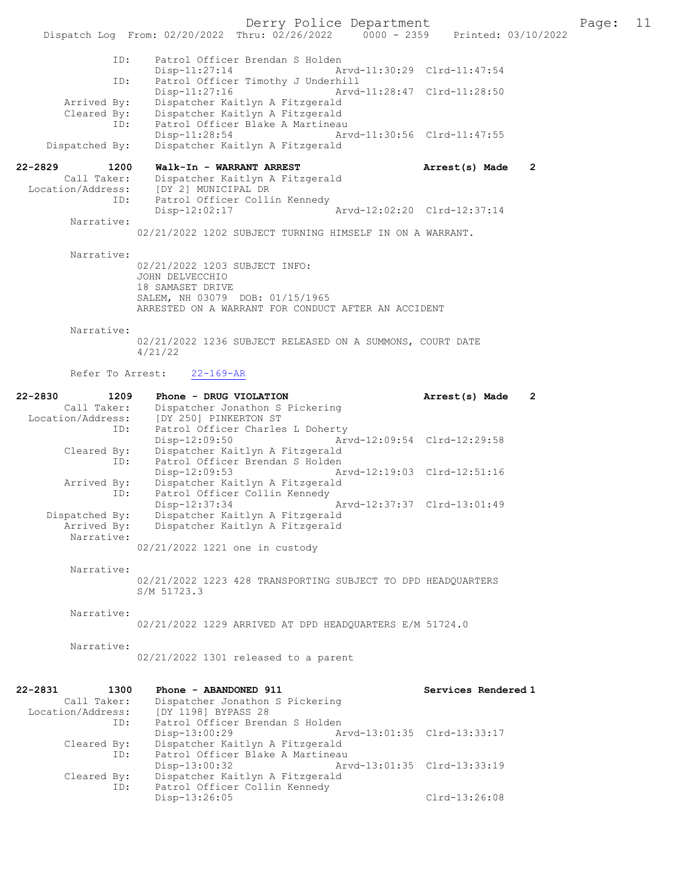Derry Police Department Fage: 11 Dispatch Log From: 02/20/2022 Thru: 02/26/2022 0000 - 2359 Printed: 03/10/2022 ID: Patrol Officer Brendan S Holden Disp-11:27:14 Arvd-11:30:29 Clrd-11:47:54<br>TD: Patrol Officer Timothy J Underbill ID: Patrol Officer Timothy J Underhill Disp-11:27:16 Arvd-11:28:47 Clrd-11:28:50 Arrived By: Dispatcher Kaitlyn A Fitzgerald Cleared By: Dispatcher Kaitlyn A Fitzgerald ID: Patrol Officer Blake A Martineau Disp-11:28:54 Arvd-11:30:56 Clrd-11:47:55 Dispatched By: Dispatcher Kaitlyn A Fitzgerald 22-2829 1200 Walk-In - WARRANT ARREST Arrest(s) Made 2 Call Taker: Dispatcher Kaitlyn A Fitzgerald Location/Address: [DY 2] MUNICIPAL DR ID: Patrol Officer Collin Kennedy Disp-12:02:17 Arvd-12:02:20 Clrd-12:37:14 Narrative: 02/21/2022 1202 SUBJECT TURNING HIMSELF IN ON A WARRANT. Narrative: 02/21/2022 1203 SUBJECT INFO: JOHN DELVECCHIO 18 SAMASET DRIVE SALEM, NH 03079 DOB: 01/15/1965 ARRESTED ON A WARRANT FOR CONDUCT AFTER AN ACCIDENT Narrative:

> 02/21/2022 1236 SUBJECT RELEASED ON A SUMMONS, COURT DATE 4/21/22

#### Refer To Arrest: 22-169-AR

| 22-2830 | 1209           | Phone - DRUG VIOLATION                                       | Arrest(s) Made | $\overline{2}$ |
|---------|----------------|--------------------------------------------------------------|----------------|----------------|
|         | Call Taker:    | Dispatcher Jonathon S Pickering                              |                |                |
|         |                | Location/Address: [DY 250] PINKERTON ST                      |                |                |
|         |                | Patrol Officer Charles L Doherty<br>ID:                      |                |                |
|         |                | Arvd-12:09:54 Clrd-12:29:58<br>Disp-12:09:50                 |                |                |
|         | Cleared By:    | Dispatcher Kaitlyn A Fitzgerald                              |                |                |
|         | ID:            | Patrol Officer Brendan S Holden                              |                |                |
|         |                | Arvd-12:19:03 Clrd-12:51:16<br>$Disp-12:09:53$               |                |                |
|         | Arrived By:    | Dispatcher Kaitlyn A Fitzgerald                              |                |                |
|         |                | Patrol Officer Collin Kennedy<br>ID:                         |                |                |
|         |                | Arvd-12:37:37 Clrd-13:01:49<br>Disp-12:37:34                 |                |                |
|         | Dispatched By: | Dispatcher Kaitlyn A Fitzgerald                              |                |                |
|         |                | Arrived By: Dispatcher Kaitlyn A Fitzgerald                  |                |                |
|         | Narrative:     |                                                              |                |                |
|         |                | 02/21/2022 1221 one in custody                               |                |                |
|         |                |                                                              |                |                |
|         | Narrative:     |                                                              |                |                |
|         |                | 02/21/2022 1223 428 TRANSPORTING SUBJECT TO DPD HEADQUARTERS |                |                |
|         |                | S/M 51723.3                                                  |                |                |
|         |                |                                                              |                |                |
|         | Narrative:     |                                                              |                |                |
|         |                | 02/21/2022 1229 ARRIVED AT DPD HEADOUARTERS E/M 51724.0      |                |                |
|         |                |                                                              |                |                |
|         | Narrative:     |                                                              |                |                |
|         |                | 02/21/2022 1301 released to a parent                         |                |                |
|         |                |                                                              |                |                |
|         |                |                                                              |                |                |

| $22 - 2831$<br>1300 | Phone - ABANDONED 911            | Services Rendered 1         |
|---------------------|----------------------------------|-----------------------------|
| Call Taker:         | Dispatcher Jonathon S Pickering  |                             |
| Location/Address:   | [DY 1198] BYPASS 28              |                             |
| ID:                 | Patrol Officer Brendan S Holden  |                             |
|                     | Disp-13:00:29                    | Arvd-13:01:35 Clrd-13:33:17 |
| Cleared By:         | Dispatcher Kaitlyn A Fitzgerald  |                             |
| ID:                 | Patrol Officer Blake A Martineau |                             |
|                     | Disp-13:00:32                    | Arvd-13:01:35 Clrd-13:33:19 |
| Cleared By:         | Dispatcher Kaitlyn A Fitzgerald  |                             |
| ID:                 | Patrol Officer Collin Kennedy    |                             |
|                     | Disp-13:26:05                    | Clrd-13:26:08               |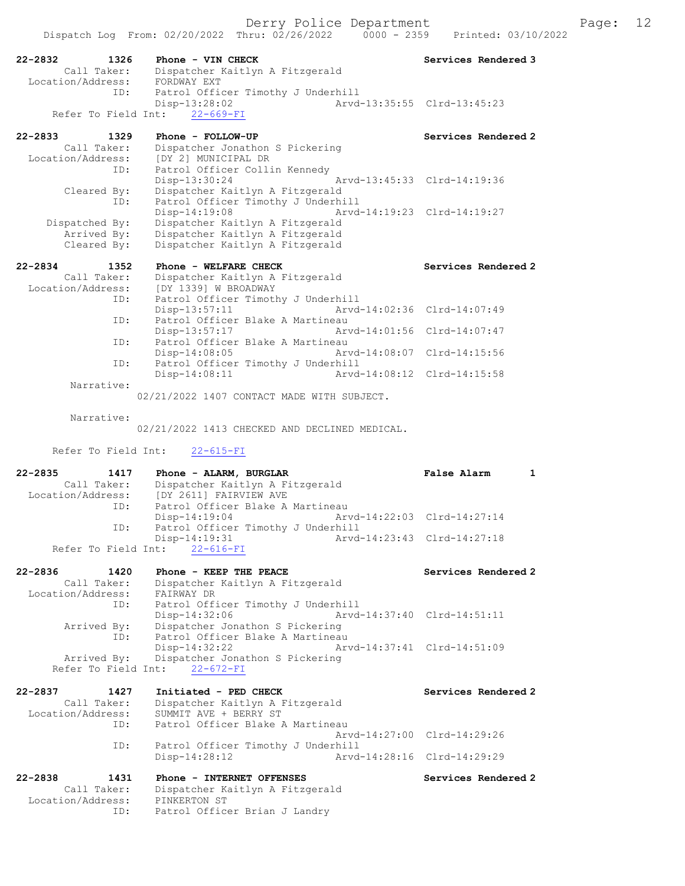22-2832 1326 Phone - VIN CHECK Services Rendered 3 Call Taker: Dispatcher Kaitlyn A Fitzgerald 2832<br>Call Taker: Dispartnum<br>Location/Address: FORDWAY EXT ID: Patrol Officer Timothy J Underhill Disp-13:28:02 Refer To Field Int: 22-669-FI 22-2833 1329 Phone - FOLLOW-UP Services Rendered 2 Call Taker: Dispatcher Jonathon S Pickering Location/Address: [DY 2] MUNICIPAL DR ID: Patrol Officer Collin Kennedy Disp-13:30:24 Arvd-13:45:33 Clrd-14:19:36 Cleared By: Dispatcher Kaitlyn A Fitzgerald ID: Patrol Officer Timothy J Underhill<br>Disp-14:19:08 Arvd-14:19:23 Clrd-14:19:27 Disp-14:19:08 Arvd-14:19:23 Clrd-14:19:27 Dispatched By: Dispatcher Kaitlyn A Fitzgerald Arrived By: Dispatcher Kaitlyn A Fitzgerald Cleared By: Dispatcher Kaitlyn A Fitzgerald 22-2834 1352 Phone - WELFARE CHECK Services Rendered 2 Call Taker: Dispatcher Kaitlyn A Fitzgerald Location/Address: [DY 1339] W BROADWAY ID: Patrol Officer Timothy J Underhill<br>Disp-13:57:11 Arvd-Arvd-14:02:36 Clrd-14:07:49 ID: Patrol Officer Blake A Martineau<br>Disp-13:57:17 Art Disp-13:57:17 Arvd-14:01:56 Clrd-14:07:47 ID: Patrol Officer Blake A Martineau<br>Disp-14:08:05 Ary Disp-14:08:05 Arvd-14:08:07 Clrd-14:15:56 ID: Patrol Officer Timothy J Underhill Disp-14:08:11 Arvd-14:08:12 Clrd-14:15:58 Narrative: 02/21/2022 1407 CONTACT MADE WITH SUBJECT. Narrative: 02/21/2022 1413 CHECKED AND DECLINED MEDICAL. Refer To Field Int: 22-615-FI 22-2835 1417 Phone - ALARM, BURGLAR False Alarm 1 Call Taker: Dispatcher Kaitlyn A Fitzgerald Location/Address: [DY 2611] FAIRVIEW AVE ID: Patrol Officer Blake A Martineau Disp-14:19:04 Arvd-14:22:03 Clrd-14:27:14<br>The Patrol Officer Timothy J Underbill Patrol Officer Timothy J Underhill<br>Disp-14:19:31 Arvd- Disp-14:19:31 Arvd-14:23:43 Clrd-14:27:18 Refer To Field Int: 22-616-FI 22-2836 1420 Phone - KEEP THE PEACE Services Rendered 2 Call Taker: Dispatcher Kaitlyn A Fitzgerald Location/Address: FAIRWAY DR ID: Patrol Officer Timothy J Underhill<br>Disp-14:32:06 Arvd- Disp-14:32:06 Arvd-14:37:40 Clrd-14:51:11 Arrived By: Dispatcher Jonathon S Pickering ID: Patrol Officer Blake A Martineau Disp-14:32:22 Arvd-14:37:41 Clrd-14:51:09 Arrived By: Dispatcher Jonathon S Pickering Refer To Field Int: 22-672-FI 22-2837 1427 Initiated - PED CHECK Services Rendered 2 Call Taker: Dispatcher Kaitlyn A Fitzgerald Location/Address: SUMMIT AVE + BERRY ST ID: Patrol Officer Blake A Martineau Arvd-14:27:00 Clrd-14:29:26 ID: Patrol Officer Timothy J Underhill<br>Disp-14:28:12 hrvd-14:28:16 Clrd-14:29:29 Disp-14:28:12 22-2838 1431 Phone - INTERNET OFFENSES Services Rendered 2 Call Taker: Dispatcher Kaitlyn A Fitzgerald Location/Address: PINKERTON ST ID: Patrol Officer Brian J Landry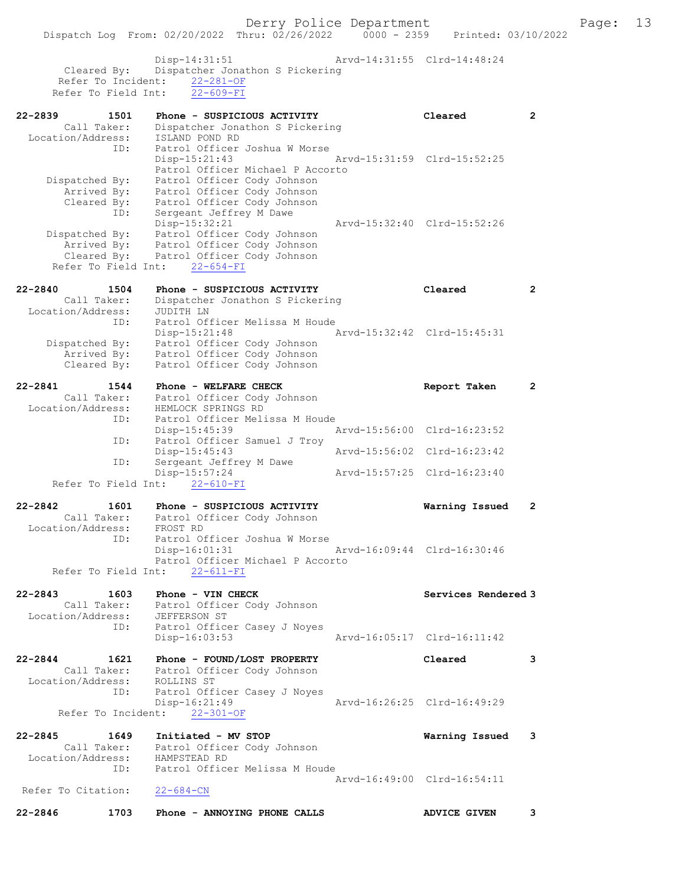|                    |                                   | Dispatch Log From: 02/20/2022 Thru: 02/26/2022                      | $0000 - 2359$ |                             | Printed: 03/10/2022 |
|--------------------|-----------------------------------|---------------------------------------------------------------------|---------------|-----------------------------|---------------------|
|                    | Cleared By:<br>Refer To Incident: | Disp-14:31:51<br>Dispatcher Jonathon S Pickering<br>$22 - 281 - OF$ |               | Arvd-14:31:55 Clrd-14:48:24 |                     |
|                    | Refer To Field Int:               | $22 - 609 - FI$                                                     |               |                             |                     |
| 22-2839            | 1501                              | Phone - SUSPICIOUS ACTIVITY                                         |               | Cleared                     | $\mathbf{2}$        |
|                    | Call Taker:                       | Dispatcher Jonathon S Pickering                                     |               |                             |                     |
| Location/Address:  | ID:                               | ISLAND POND RD<br>Patrol Officer Joshua W Morse                     |               |                             |                     |
|                    |                                   | $Disp-15:21:43$                                                     |               | Arvd-15:31:59 Clrd-15:52:25 |                     |
|                    |                                   | Patrol Officer Michael P Accorto                                    |               |                             |                     |
| Dispatched By:     | Arrived By:                       | Patrol Officer Cody Johnson<br>Patrol Officer Cody Johnson          |               |                             |                     |
|                    | Cleared By:                       | Patrol Officer Cody Johnson                                         |               |                             |                     |
|                    | ID:                               | Sergeant Jeffrey M Dawe                                             |               |                             |                     |
| Dispatched By:     |                                   | Disp-15:32:21<br>Patrol Officer Cody Johnson                        |               | Arvd-15:32:40 Clrd-15:52:26 |                     |
|                    | Arrived By:                       | Patrol Officer Cody Johnson                                         |               |                             |                     |
|                    | Cleared By:                       | Patrol Officer Cody Johnson                                         |               |                             |                     |
|                    | Refer To Field Int:               | $22 - 654 - FI$                                                     |               |                             |                     |
| $22 - 2840$        | 1504                              | Phone - SUSPICIOUS ACTIVITY                                         |               | Cleared                     | $\mathbf{2}$        |
| Location/Address:  | Call Taker:                       | Dispatcher Jonathon S Pickering<br>JUDITH LN                        |               |                             |                     |
|                    | ID:                               | Patrol Officer Melissa M Houde                                      |               |                             |                     |
|                    |                                   | Disp-15:21:48                                                       |               | Arvd-15:32:42 Clrd-15:45:31 |                     |
| Dispatched By:     | Arrived By:                       | Patrol Officer Cody Johnson<br>Patrol Officer Cody Johnson          |               |                             |                     |
|                    | Cleared By:                       | Patrol Officer Cody Johnson                                         |               |                             |                     |
| 22-2841            | 1544                              | Phone - WELFARE CHECK                                               |               | Report Taken                | $\mathbf{2}$        |
|                    | Call Taker:                       | Patrol Officer Cody Johnson                                         |               |                             |                     |
| Location/Address:  | ID:                               | HEMLOCK SPRINGS RD<br>Patrol Officer Melissa M Houde                |               |                             |                     |
|                    |                                   | Disp-15:45:39                                                       |               | Arvd-15:56:00 Clrd-16:23:52 |                     |
|                    | ID:                               | Patrol Officer Samuel J Troy                                        |               |                             |                     |
|                    | ID:                               | Disp-15:45:43<br>Sergeant Jeffrey M Dawe                            |               | Arvd-15:56:02 Clrd-16:23:42 |                     |
|                    | Refer To Field Int:               | $Disp-15:57:24$<br>$22 - 610 - FI$                                  |               | Arvd-15:57:25 Clrd-16:23:40 |                     |
|                    |                                   |                                                                     |               |                             |                     |
| 22-2842            | 1601<br>Call Taker:               | Phone - SUSPICIOUS ACTIVITY                                         |               | Warning Issued              | 2                   |
| Location/Address:  |                                   | Patrol Officer Cody Johnson<br>FROST RD                             |               |                             |                     |
|                    | ID:                               | Patrol Officer Joshua W Morse                                       |               |                             |                     |
|                    |                                   | $Disp-16:01:31$<br>Patrol Officer Michael P Accorto                 |               | Arvd-16:09:44 Clrd-16:30:46 |                     |
|                    | Refer To Field Int:               | $22 - 611 - FI$                                                     |               |                             |                     |
|                    |                                   |                                                                     |               |                             |                     |
| $22 - 2843$        | 1603                              | Phone - VIN CHECK<br>Call Taker: Patrol Officer Cody Johnson        |               | Services Rendered 3         |                     |
|                    |                                   | Location/Address: JEFFERSON ST<br>ID: Patrol Officer Casey J Noyes  |               |                             |                     |
|                    |                                   |                                                                     |               |                             |                     |
|                    |                                   | $Disp-16:03:53$                                                     |               | Arvd-16:05:17 Clrd-16:11:42 |                     |
| $22 - 2844$        | 1621                              | Phone - FOUND/LOST PROPERTY                                         |               | Cleared                     | 3                   |
| Location/Address:  |                                   | Call Taker: Patrol Officer Cody Johnson<br>ROLLINS ST               |               |                             |                     |
|                    | ID:                               | Patrol Officer Casey J Noyes                                        |               |                             |                     |
|                    |                                   | Disp-16:21:49<br>Refer To Incident: 22-301-OF                       |               | Arvd-16:26:25 Clrd-16:49:29 |                     |
|                    |                                   |                                                                     |               |                             |                     |
| 22-2845            | 1649                              | Initiated - MV STOP<br>Call Taker: Patrol Officer Cody Johnson      |               | Warning Issued              | 3                   |
| Location/Address:  |                                   | HAMPSTEAD RD                                                        |               |                             |                     |
|                    | ID:                               | Patrol Officer Melissa M Houde                                      |               |                             |                     |
| Refer To Citation: |                                   | $22 - 684 - CN$                                                     |               | Arvd-16:49:00 Clrd-16:54:11 |                     |
|                    |                                   |                                                                     |               |                             |                     |
| $22 - 2846$        | 1703                              | Phone - ANNOYING PHONE CALLS                                        |               | <b>ADVICE GIVEN</b>         | 3                   |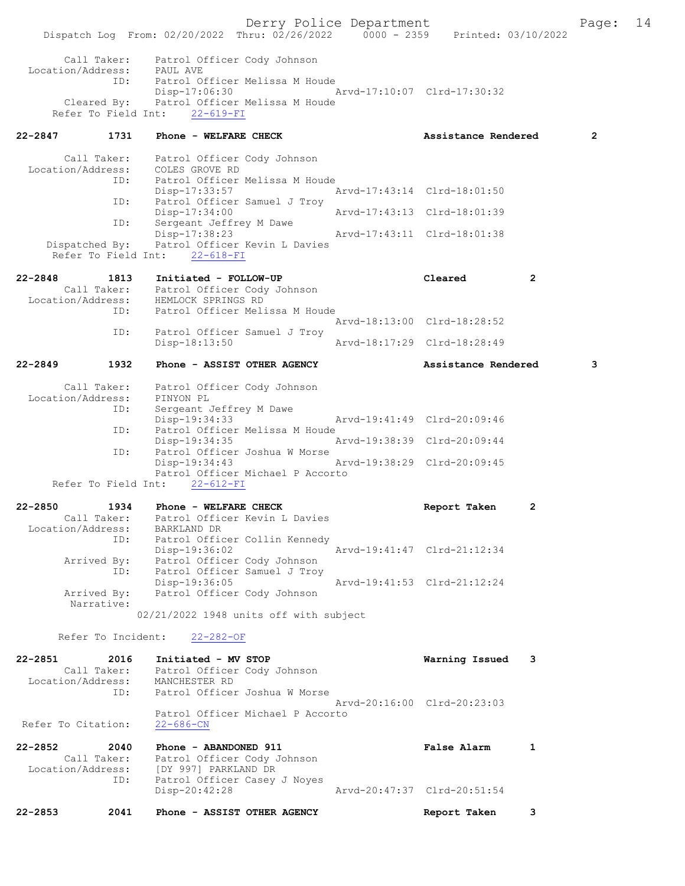Derry Police Department The Page: 14 Dispatch Log From: 02/20/2022 Thru: 02/26/2022 0000 - 2359 Printed: 03/10/2022 Call Taker: Patrol Officer Cody Johnson Location/Address: PAUL AVE ID: Patrol Officer Melissa M Houde Disp-17:06:30 Arvd-17:10:07 Clrd-17:30:32 Cleared By: Patrol Officer Melissa M Houde Refer To Field Int: 22-619-FI 22-2847 1731 Phone - WELFARE CHECK 2 Assistance Rendered 2 Call Taker: Patrol Officer Cody Johnson Location/Address: COLES GROVE RD ID: Patrol Officer Melissa M Houde Disp-17:33:57 Arvd-17:43:14 Clrd-18:01:50<br>ID: Patrol Officer Samuel J Trov Patrol Officer Samuel J Troy<br>Disp-17:34:00 Disp-17:34:00 Arvd-17:43:13 Clrd-18:01:39 ID: Sergeant Jeffrey M Dawe<br>Disp-17:38:23 Disp-17:38:23 Arvd-17:43:11 Clrd-18:01:38<br>Dispatched By: Patrol Officer Kevin L Davies Patrol Officer Kevin L Davies Refer To Field Int: 22-618-FI 22-2848 1813 Initiated - FOLLOW-UP Cleared 2<br>Call Taker: Patrol Officer Cody Johnson Call Taker: Patrol Officer Cody Johnson Location/Address: HEMLOCK SPRINGS RD ID: Patrol Officer Melissa M Houde Arvd-18:13:00 Clrd-18:28:52<br>TD: Patrol Officer Samuel J Troy Patrol Officer Samuel J Troy<br>Disp-18:13:50 Arvd-18:17:29 Clrd-18:28:49 22-2849 1932 Phone - ASSIST OTHER AGENCY Assistance Rendered 3 Call Taker: Patrol Officer Cody Johnson Location/Address: PINYON PL<br>ID: Sergeant Sergeant Jeffrey M Dawe<br>Disp-19:34:33 Disp-19:34:33 Arvd-19:41:49 Clrd-20:09:46<br>The Patrol Officer Melissa M Houde Patrol Officer Melissa M Houde Disp-19:34:35 Arvd-19:38:39 Clrd-20:09:44 ID: Patrol Officer Joshua W Morse Disp-19:34:43 Arvd-19:38:29 Clrd-20:09:45 Patrol Officer Michael P Accorto Refer To Field Int: 22-612-FI 22-2850 1934 Phone - WELFARE CHECK Report Taken 2 Call Taker: Patrol Officer Kevin L Davies Location/Address: BARKLAND DR ID: Patrol Officer Collin Kennedy<br>Disp-19:36:02 hrvd-19:41:47 Clrd-21:12:34 Disp-19:36:02 Arvd-19:41:47 Clrd-21:12:34 Arrived By: Patrol Officer Cody Johnson ID: Patrol Officer Samuel J Troy Disp-19:36:05 Arvd-19:41:53 Clrd-21:12:24 Arrived By: Patrol Officer Cody Johnson Narrative: 02/21/2022 1948 units off with subject Refer To Incident: 22-282-OF 22-2851 2016 Initiated - MV STOP Warning Issued 3 Call Taker: Patrol Officer Cody Johnson Location/Address: MANCHESTER RD ID: Patrol Officer Joshua W Morse Arvd-20:16:00 Clrd-20:23:03 Patrol Officer Michael P Accorto<br>22-686-CN Refer To Citation: 22-2852 2040 Phone - ABANDONED 911 False Alarm 1 Call Taker: Patrol Officer Cody Johnson<br>Location/Address: [DY 997] PARKLAND DR ess: [DY 997] PARKLAND DR<br>ID: Patrol Officer Casey J Nov Patrol Officer Casey J Noyes Disp-20:42:28 Arvd-20:47:37 Clrd-20:51:54 22-2853 2041 Phone - ASSIST OTHER AGENCY Report Taken 3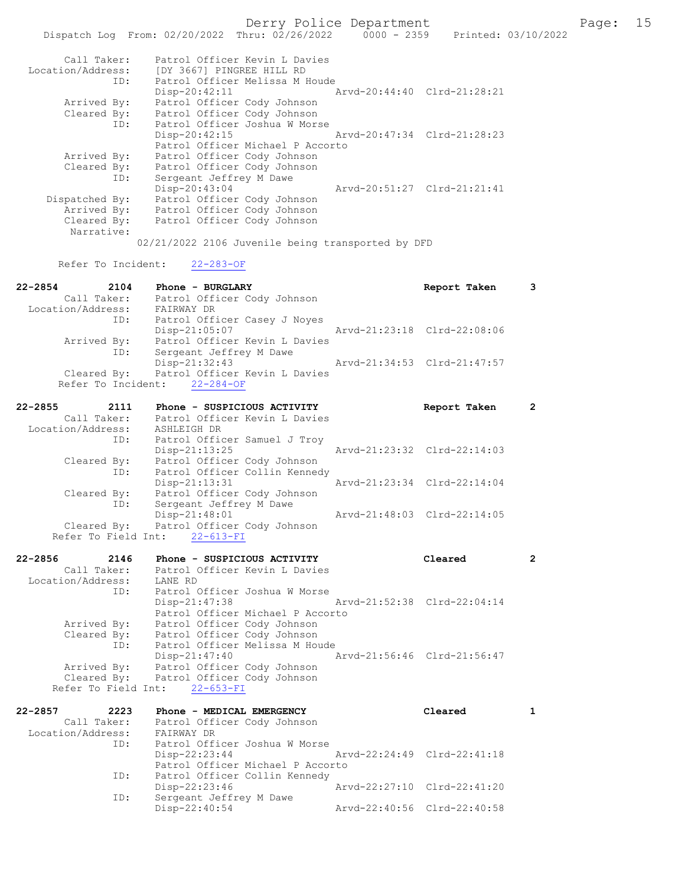|                    | Derry Police Department                                                 |                             |                | $P\epsilon$ |
|--------------------|-------------------------------------------------------------------------|-----------------------------|----------------|-------------|
|                    | Dispatch Log From: 02/20/2022 Thru: 02/26/2022 0000 - 2359              | Printed: 03/10/2022         |                |             |
|                    |                                                                         |                             |                |             |
| Call Taker:        | Patrol Officer Kevin L Davies                                           |                             |                |             |
| Location/Address:  | [DY 3667] PINGREE HILL RD                                               |                             |                |             |
| ID:                | Patrol Officer Melissa M Houde                                          |                             |                |             |
|                    | Disp-20:42:11                                                           | Arvd-20:44:40 Clrd-21:28:21 |                |             |
|                    |                                                                         |                             |                |             |
| Arrived By:        | Patrol Officer Cody Johnson                                             |                             |                |             |
| Cleared By:        | Patrol Officer Cody Johnson                                             |                             |                |             |
| ID:                | Patrol Officer Joshua W Morse                                           |                             |                |             |
|                    | $Disp-20:42:15$                                                         | Arvd-20:47:34 Clrd-21:28:23 |                |             |
|                    | Patrol Officer Michael P Accorto                                        |                             |                |             |
| Arrived By:        | Patrol Officer Cody Johnson                                             |                             |                |             |
| Cleared By:        | Patrol Officer Cody Johnson                                             |                             |                |             |
| ID:                | Sergeant Jeffrey M Dawe                                                 |                             |                |             |
|                    | Disp-20:43:04                                                           | Arvd-20:51:27 Clrd-21:21:41 |                |             |
| Dispatched By:     | Patrol Officer Cody Johnson                                             |                             |                |             |
| Arrived By:        | Patrol Officer Cody Johnson                                             |                             |                |             |
| Cleared By:        | Patrol Officer Cody Johnson                                             |                             |                |             |
| Narrative:         |                                                                         |                             |                |             |
|                    | 02/21/2022 2106 Juvenile being transported by DFD                       |                             |                |             |
|                    |                                                                         |                             |                |             |
| Refer To Incident: | $22 - 283 - OF$                                                         |                             |                |             |
|                    |                                                                         |                             |                |             |
| 22-2854<br>2104    | Phone - BURGLARY                                                        | Report Taken                | 3              |             |
|                    |                                                                         |                             |                |             |
|                    | Call Taker: Patrol Officer Cody Johnson<br>Location/Address: FAIRWAY DR |                             |                |             |
| ID:                | Patrol Officer Casey J Noyes                                            |                             |                |             |
|                    | Disp-21:05:07                                                           | Arvd-21:23:18 Clrd-22:08:06 |                |             |
| Arrived By:        | Patrol Officer Kevin L Davies                                           |                             |                |             |
| ID:                | Sergeant Jeffrey M Dawe                                                 |                             |                |             |
|                    | Disp-21:32:43                                                           | Arvd-21:34:53 Clrd-21:47:57 |                |             |
| Cleared By:        | Patrol Officer Kevin L Davies                                           |                             |                |             |
| Refer To Incident: | $22 - 284 - OF$                                                         |                             |                |             |
|                    |                                                                         |                             |                |             |
|                    |                                                                         |                             |                |             |
| 22-2855<br>2111    | Phone - SUSPICIOUS ACTIVITY                                             | Report Taken                | 2              |             |
| Call Taker:        | Patrol Officer Kevin L Davies                                           |                             |                |             |
| Location/Address:  | ASHLEIGH DR                                                             |                             |                |             |
| ID:                | Patrol Officer Samuel J Troy                                            |                             |                |             |
|                    | Disp-21:13:25                                                           | Arvd-21:23:32 Clrd-22:14:03 |                |             |
| Cleared By:        | Patrol Officer Cody Johnson                                             |                             |                |             |
| ID:                | Patrol Officer Collin Kennedy                                           |                             |                |             |
|                    | $Disp-21:13:31$                                                         | Arvd-21:23:34 Clrd-22:14:04 |                |             |
| Cleared By:        | Patrol Officer Cody Johnson                                             |                             |                |             |
| ID:                | Sergeant Jeffrey M Dawe                                                 |                             |                |             |
|                    | Disp-21:48:01                                                           | Arvd-21:48:03 Clrd-22:14:05 |                |             |
|                    | Cleared By: Patrol Officer Cody Johnson                                 |                             |                |             |
|                    | Refer To Field Int: 22-613-FI                                           |                             |                |             |
|                    |                                                                         |                             |                |             |
| 22-2856<br>2146    | Phone - SUSPICIOUS ACTIVITY                                             | Cleared                     | $\overline{2}$ |             |
| Call Taker:        | Patrol Officer Kevin L Davies                                           |                             |                |             |
| Location/Address:  | LANE RD                                                                 |                             |                |             |
| ID:                | Patrol Officer Joshua W Morse                                           |                             |                |             |
|                    | Disp-21:47:38                                                           | Arvd-21:52:38 Clrd-22:04:14 |                |             |
|                    | Patrol Officer Michael P Accorto                                        |                             |                |             |
| Arrived By:        | Patrol Officer Cody Johnson                                             |                             |                |             |
| Cleared By:        | Patrol Officer Cody Johnson                                             |                             |                |             |
|                    | Patrol Officer Melissa M Houde                                          |                             |                |             |
| ID:                |                                                                         |                             |                |             |
|                    | $Disp-21:47:40$                                                         | Arvd-21:56:46 Clrd-21:56:47 |                |             |
| Arrived By:        | Patrol Officer Cody Johnson                                             |                             |                |             |

| $22 - 2857$<br>2223 | Phone - MEDICAL EMERGENCY        | Cleared                     |  |
|---------------------|----------------------------------|-----------------------------|--|
| Call Taker:         | Patrol Officer Cody Johnson      |                             |  |
| Location/Address:   | FAIRWAY DR                       |                             |  |
| ID:                 | Patrol Officer Joshua W Morse    |                             |  |
|                     | $Disp-22:23:44$                  | Arvd-22:24:49 Clrd-22:41:18 |  |
|                     | Patrol Officer Michael P Accorto |                             |  |
| ID:                 | Patrol Officer Collin Kennedy    |                             |  |
|                     | $Disp-22:23:46$                  | Arvd-22:27:10 Clrd-22:41:20 |  |
| ID:                 | Sergeant Jeffrey M Dawe          |                             |  |
|                     | Disp-22:40:54                    | Arvd-22:40:56 Clrd-22:40:58 |  |

Cleared By: Patrol Officer Cody Johnson

Refer To Field Int: 22-653-FI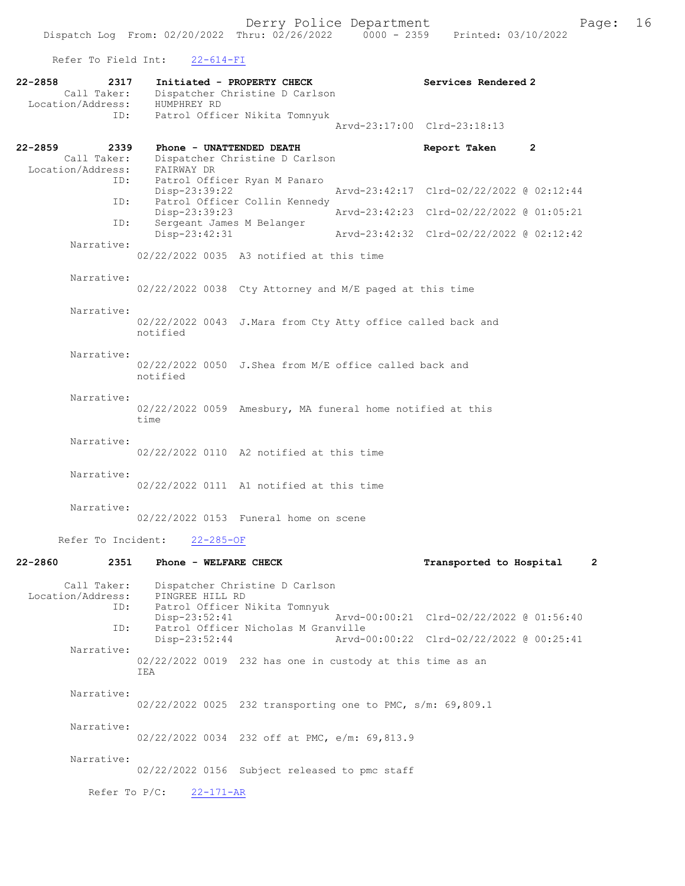Refer To Field Int: 22-614-FI

| $22 - 2858$<br>2317<br>Call Taker:<br>Location/Address: | Initiated - PROPERTY CHECK<br>Dispatcher Christine D Carlson<br>HUMPHREY RD        | Services Rendered 2                       |
|---------------------------------------------------------|------------------------------------------------------------------------------------|-------------------------------------------|
| ID:                                                     | Patrol Officer Nikita Tomnyuk                                                      | Arvd-23:17:00 Clrd-23:18:13               |
| $22 - 2859$<br>2339<br>Call Taker:<br>Location/Address: | Phone - UNATTENDED DEATH<br>Dispatcher Christine D Carlson<br>FAIRWAY DR           | Report Taken<br>2                         |
| ID:                                                     | Patrol Officer Ryan M Panaro<br>$Disp-23:39:22$                                    | Arvd-23:42:17 Clrd-02/22/2022 @ 02:12:44  |
| ID:                                                     | Patrol Officer Collin Kennedy<br>$Disp-23:39:23$                                   | Arvd-23:42:23 Clrd-02/22/2022 @ 01:05:21  |
| ID:<br>Narrative:                                       | Sergeant James M Belanger<br>Disp-23:42:31                                         | Arvd-23:42:32 Clrd-02/22/2022 @ 02:12:42  |
|                                                         | 02/22/2022 0035 A3 notified at this time                                           |                                           |
| Narrative:                                              | 02/22/2022 0038 Cty Attorney and M/E paged at this time                            |                                           |
| Narrative:                                              | 02/22/2022 0043 J.Mara from Cty Atty office called back and<br>notified            |                                           |
| Narrative:                                              | $02/22/2022$ 0050 J.Shea from M/E office called back and<br>notified               |                                           |
| Narrative:                                              | 02/22/2022 0059 Amesbury, MA funeral home notified at this<br>time                 |                                           |
| Narrative:                                              | $02/22/2022$ 0110 A2 notified at this time                                         |                                           |
| Narrative:                                              | 02/22/2022 0111 A1 notified at this time                                           |                                           |
| Narrative:                                              | 02/22/2022 0153 Funeral home on scene                                              |                                           |
| Refer To Incident:                                      | $22 - 285 - OF$                                                                    |                                           |
| $22 - 2860$<br>2351                                     | Phone - WELFARE CHECK                                                              | Transported to Hospital<br>$\overline{2}$ |
| Call Taker:<br>Location/Address:<br>ID:                 | Dispatcher Christine D Carlson<br>PINGREE HILL RD<br>Patrol Officer Nikita Tomnyuk |                                           |
| ID:                                                     | Disp-23:52:41<br>Patrol Officer Nicholas M Granville                               | Arvd-00:00:21 Clrd-02/22/2022 @ 01:56:40  |
| Narrative:                                              | $Disp-23:52:44$                                                                    | Arvd-00:00:22 Clrd-02/22/2022 @ 00:25:41  |
|                                                         | 02/22/2022 0019 232 has one in custody at this time as an<br>IEA                   |                                           |
| Narrative:                                              | 02/22/2022 0025 232 transporting one to PMC, s/m: 69,809.1                         |                                           |
| Narrative:                                              | 02/22/2022 0034 232 off at PMC, e/m: 69,813.9                                      |                                           |
| Narrative:                                              | 02/22/2022 0156 Subject released to pmc staff                                      |                                           |
|                                                         | Refer To $P/C$ :<br>$22 - 171 - AR$                                                |                                           |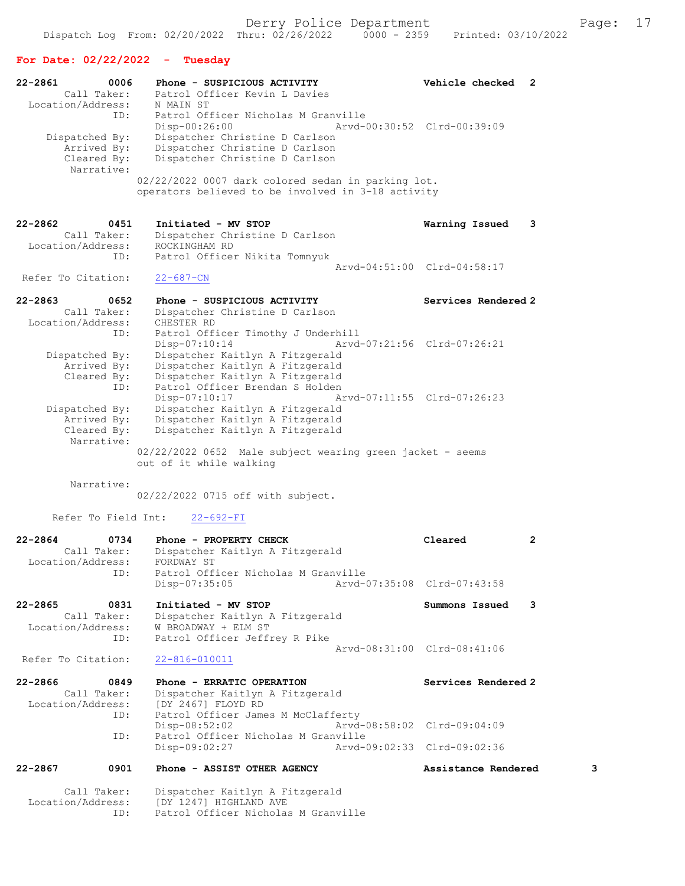## For Date: 02/22/2022 - Tuesday

| 22-2861<br>0006<br>Call Taker:<br>Location/Address:               | Phone - SUSPICIOUS ACTIVITY<br>Patrol Officer Kevin L Davies<br>N MAIN ST                                                                                  | Vehicle checked 2           |   |
|-------------------------------------------------------------------|------------------------------------------------------------------------------------------------------------------------------------------------------------|-----------------------------|---|
| ID:<br>Dispatched By:<br>Arrived By:<br>Cleared By:<br>Narrative: | Patrol Officer Nicholas M Granville<br>Disp-00:26:00<br>Dispatcher Christine D Carlson<br>Dispatcher Christine D Carlson<br>Dispatcher Christine D Carlson | Arvd-00:30:52 Clrd-00:39:09 |   |
|                                                                   | 02/22/2022 0007 dark colored sedan in parking lot.<br>operators believed to be involved in 3-18 activity                                                   |                             |   |
| 22-2862<br>0451<br>Call Taker:<br>Location/Address:               | Initiated - MV STOP<br>Dispatcher Christine D Carlson<br>ROCKINGHAM RD                                                                                     | Warning Issued              | 3 |
| ID:                                                               | Patrol Officer Nikita Tomnyuk                                                                                                                              |                             |   |
| Refer To Citation:                                                | $22 - 687 - CN$                                                                                                                                            | Arvd-04:51:00 Clrd-04:58:17 |   |
|                                                                   |                                                                                                                                                            |                             |   |
| $22 - 2863$<br>0652<br>Call Taker:<br>Location/Address:           | Phone - SUSPICIOUS ACTIVITY<br>Dispatcher Christine D Carlson<br>CHESTER RD                                                                                | Services Rendered 2         |   |
| ID:<br>Dispatched By:                                             | Patrol Officer Timothy J Underhill<br>Disp-07:10:14<br>Dispatcher Kaitlyn A Fitzgerald                                                                     | Arvd-07:21:56 Clrd-07:26:21 |   |
| Arrived By:<br>Cleared By:<br>ID:                                 | Dispatcher Kaitlyn A Fitzgerald<br>Dispatcher Kaitlyn A Fitzgerald<br>Patrol Officer Brendan S Holden<br>Disp-07:10:17                                     | Arvd-07:11:55 Clrd-07:26:23 |   |
| Dispatched By:<br>Arrived By:<br>Cleared By:<br>Narrative:        | Dispatcher Kaitlyn A Fitzgerald<br>Dispatcher Kaitlyn A Fitzgerald<br>Dispatcher Kaitlyn A Fitzgerald                                                      |                             |   |
|                                                                   | 02/22/2022 0652 Male subject wearing green jacket - seems<br>out of it while walking                                                                       |                             |   |
| Narrative:                                                        | 02/22/2022 0715 off with subject.                                                                                                                          |                             |   |
| Refer To Field Int:                                               | $22 - 692 - FI$                                                                                                                                            |                             |   |
| 22-2864<br>0734<br>Call Taker:<br>Location/Address:               | Phone - PROPERTY CHECK<br>Dispatcher Kaitlyn A Fitzgerald<br>FORDWAY ST                                                                                    | Cleared                     | 2 |
| ID:                                                               |                                                                                                                                                            |                             |   |
|                                                                   | Patrol Officer Nicholas M Granville<br>Disp-07:35:05                                                                                                       | Arvd-07:35:08 Clrd-07:43:58 |   |
| 22-2865<br>0831<br>Call Taker:<br>Location/Address:<br>ID:        | Initiated - MV STOP<br>Dispatcher Kaitlyn A Fitzgerald<br>W BROADWAY + ELM ST<br>Patrol Officer Jeffrey R Pike                                             | Summons Issued              | 3 |
| Refer To Citation:                                                | $22 - 816 - 010011$                                                                                                                                        | Arvd-08:31:00 Clrd-08:41:06 |   |
| 22-2866<br>0849<br>Call Taker:<br>Location/Address:               | Phone - ERRATIC OPERATION<br>Dispatcher Kaitlyn A Fitzgerald<br>[DY 2467] FLOYD RD                                                                         | Services Rendered 2         |   |
| ID:<br>ID:                                                        | Patrol Officer James M McClafferty<br>Disp-08:52:02                                                                                                        | Arvd-08:58:02 Clrd-09:04:09 |   |
|                                                                   | Patrol Officer Nicholas M Granville<br>Disp-09:02:27                                                                                                       | Arvd-09:02:33 Clrd-09:02:36 |   |
| $22 - 2867$<br>0901<br>Call Taker:                                | Phone - ASSIST OTHER AGENCY<br>Dispatcher Kaitlyn A Fitzgerald                                                                                             | Assistance Rendered         | 3 |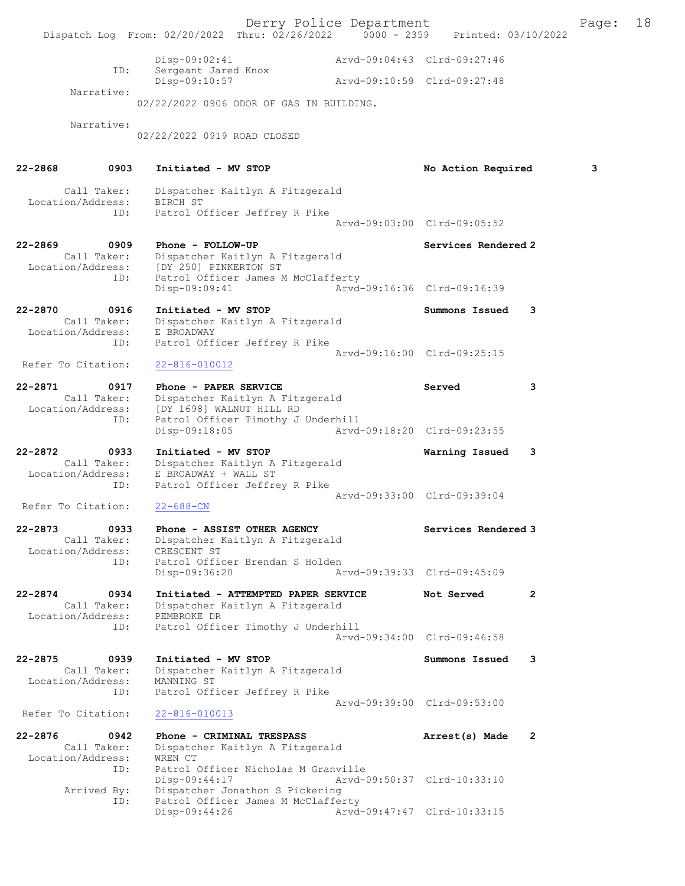Derry Police Department The Page: 18 Dispatch Log From: 02/20/2022 Thru: 02/26/2022 0000 - 2359 Printed: 03/10/2022 Disp-09:02:41 Arvd-09:04:43 Clrd-09:27:46<br>Sergeant Jared Knox<br>Disp 00:10:57 ID: Sergeant Jared Knox Disp-09:10:57 Arvd-09:10:59 Clrd-09:27:48 Narrative: 02/22/2022 0906 ODOR OF GAS IN BUILDING. Narrative: 02/22/2022 0919 ROAD CLOSED 22-2868 0903 Initiated - MV STOP No Action Required 3 Call Taker: Dispatcher Kaitlyn A Fitzgerald Location/Address: BIRCH ST ID: Patrol Officer Jeffrey R Pike Arvd-09:03:00 Clrd-09:05:52 22-2869 0909 Phone - FOLLOW-UP Services Rendered 2 Call Taker: Dispatcher Kaitlyn A Fitzgerald Location/Address: [DY 250] PINKERTON ST ID: Patrol Officer James M McClafferty Disp-09:09:41 Arvd-09:16:36 Clrd-09:16:39 22-2870 0916 Initiated - MV STOP Summons Issued 3 Call Taker: Dispatcher Kaitlyn A Fitzgerald Location/Address: E BROADWAY ID: Patrol Officer Jeffrey R Pike Arvd-09:16:00 Clrd-09:25:15<br>22-816-010012 Refer To Citation: 22-2871 0917 Phone - PAPER SERVICE 3 Call Taker: Dispatcher Kaitlyn A Fitzgerald Location/Address: [DY 1698] WALNUT HILL RD ID: Patrol Officer Timothy J Underhill<br>Disp-09:18:05 Arvd-Arvd-09:18:20 Clrd-09:23:55 22-2872 0933 Initiated - MV STOP Warning Issued 3 Call Taker: Dispatcher Kaitlyn A Fitzgerald Location/Address: E BROADWAY + WALL ST ID: Patrol Officer Jeffrey R Pike Arvd-09:33:00 Clrd-09:39:04<br>22-688-CN Refer To Citation: 22-2873 0933 Phone - ASSIST OTHER AGENCY Services Rendered 3 Call Taker: Dispatcher Kaitlyn A Fitzgerald Location/Address: CRESCENT ST ID: Patrol Officer Brendan S Holden Disp-09:36:20 Arvd-09:39:33 Clrd-09:45:09 22-2874 0934 Initiated - ATTEMPTED PAPER SERVICE Not Served 2 Call Taker: Dispatcher Kaitlyn A Fitzgerald Location/Address: PEMBROKE DR ID: Patrol Officer Timothy J Underhill Arvd-09:34:00 Clrd-09:46:58 22-2875 0939 Initiated - MV STOP Summons Issued 3 Call Taker: Dispatcher Kaitlyn A Fitzgerald Location/Address: MANNING ST ID: Patrol Officer Jeffrey R Pike Arvd-09:39:00 Clrd-09:53:00 Refer To Citation: 22-816-010013 22-2876 0942 Phone - CRIMINAL TRESPASS 2000 Arrest(s) Made 2 Call Taker: Dispatcher Kaitlyn A Fitzgerald Location/Address: WREN CT ID: Patrol Officer Nicholas M Granville<br>Disp-09:44:17 Arvd-0 Disp-09:44:17 Arvd-09:50:37 Clrd-10:33:10 Arrived By: Dispatcher Jonathon S Pickering ID: Patrol Officer James M McClafferty Disp-09:44:26 Arvd-09:47:47 Clrd-10:33:15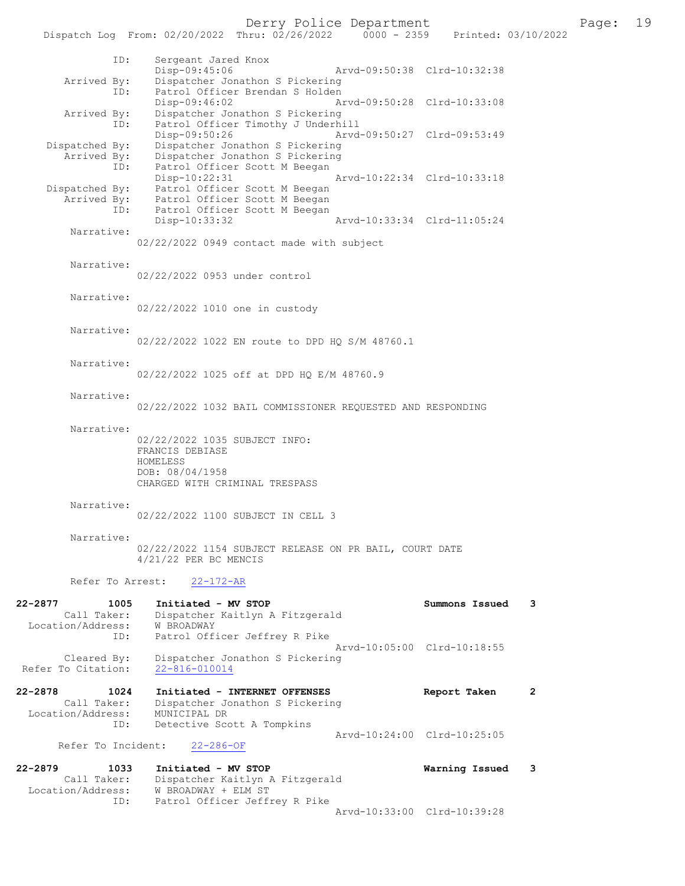|                                                     | Dispatch Log From: 02/20/2022 Thru: 02/26/2022 0000 - 2359                                                        |                             | Printed: 03/10/2022 |
|-----------------------------------------------------|-------------------------------------------------------------------------------------------------------------------|-----------------------------|---------------------|
| ID:                                                 | Sergeant Jared Knox<br>Disp-09:45:06                                                                              | Arvd-09:50:38 Clrd-10:32:38 |                     |
| Arrived By:<br>ID:                                  | Dispatcher Jonathon S Pickering<br>Patrol Officer Brendan S Holden                                                |                             |                     |
| Arrived By:<br>ID:                                  | Disp-09:46:02<br>Dispatcher Jonathon S Pickering<br>Patrol Officer Timothy J Underhill                            | Arvd-09:50:28 Clrd-10:33:08 |                     |
| Dispatched By:                                      | Disp-09:50:26<br>Dispatcher Jonathon S Pickering                                                                  | Arvd-09:50:27 Clrd-09:53:49 |                     |
| ID:                                                 | Arrived By: Dispatcher Jonathon S Pickering<br>Patrol Officer Scott M Beegan<br>$Disp-10:22:31$                   | Arvd-10:22:34 Clrd-10:33:18 |                     |
|                                                     | Dispatched By: Patrol Officer Scott M Beegan                                                                      |                             |                     |
|                                                     | Arrived By: Patrol Officer Scott M Beegan<br>ID: Patrol Officer Scott M Beegan<br>Disp-10:33:32                   | Arvd-10:33:34 Clrd-11:05:24 |                     |
| Narrative:                                          |                                                                                                                   |                             |                     |
|                                                     | 02/22/2022 0949 contact made with subject                                                                         |                             |                     |
| Narrative:                                          | 02/22/2022 0953 under control                                                                                     |                             |                     |
| Narrative:                                          | 02/22/2022 1010 one in custody                                                                                    |                             |                     |
| Narrative:                                          |                                                                                                                   |                             |                     |
|                                                     | 02/22/2022 1022 EN route to DPD HQ S/M 48760.1                                                                    |                             |                     |
| Narrative:                                          | 02/22/2022 1025 off at DPD HO E/M 48760.9                                                                         |                             |                     |
| Narrative:                                          | 02/22/2022 1032 BAIL COMMISSIONER REQUESTED AND RESPONDING                                                        |                             |                     |
|                                                     |                                                                                                                   |                             |                     |
| Narrative:                                          | 02/22/2022 1035 SUBJECT INFO:<br>FRANCIS DEBIASE<br>HOMELESS<br>DOB: 08/04/1958<br>CHARGED WITH CRIMINAL TRESPASS |                             |                     |
| Narrative:                                          | 02/22/2022 1100 SUBJECT IN CELL 3                                                                                 |                             |                     |
| Narrative:                                          | 02/22/2022 1154 SUBJECT RELEASE ON PR BAIL, COURT DATE                                                            |                             |                     |
|                                                     | 4/21/22 PER BC MENCIS                                                                                             |                             |                     |
| Refer To Arrest:                                    | $22 - 172 - AR$                                                                                                   |                             |                     |
| 22-2877<br>1005<br>Call Taker:<br>Location/Address: | Initiated - MV STOP<br>Dispatcher Kaitlyn A Fitzgerald<br>W BROADWAY                                              | Summons Issued              | 3                   |
| ID:                                                 | Patrol Officer Jeffrey R Pike                                                                                     | Arvd-10:05:00 Clrd-10:18:55 |                     |
| Cleared By:<br>Refer To Citation:                   | Dispatcher Jonathon S Pickering<br>$22 - 816 - 010014$                                                            |                             |                     |
| 22-2878<br>1024<br>Call Taker:                      | Initiated - INTERNET OFFENSES<br>Dispatcher Jonathon S Pickering                                                  | Report Taken                | 2                   |
| Location/Address:<br>ID:                            | MUNICIPAL DR<br>Detective Scott A Tompkins                                                                        |                             |                     |
| Refer To Incident:                                  | $22 - 286 - OF$                                                                                                   | Arvd-10:24:00 Clrd-10:25:05 |                     |
| 22-2879<br>1033                                     | Initiated - MV STOP                                                                                               | Warning Issued              | 3                   |
| Call Taker:<br>Location/Address:<br>ID:             | Dispatcher Kaitlyn A Fitzgerald<br>W BROADWAY + ELM ST<br>Patrol Officer Jeffrey R Pike                           |                             |                     |
|                                                     |                                                                                                                   | Arvd-10:33:00 Clrd-10:39:28 |                     |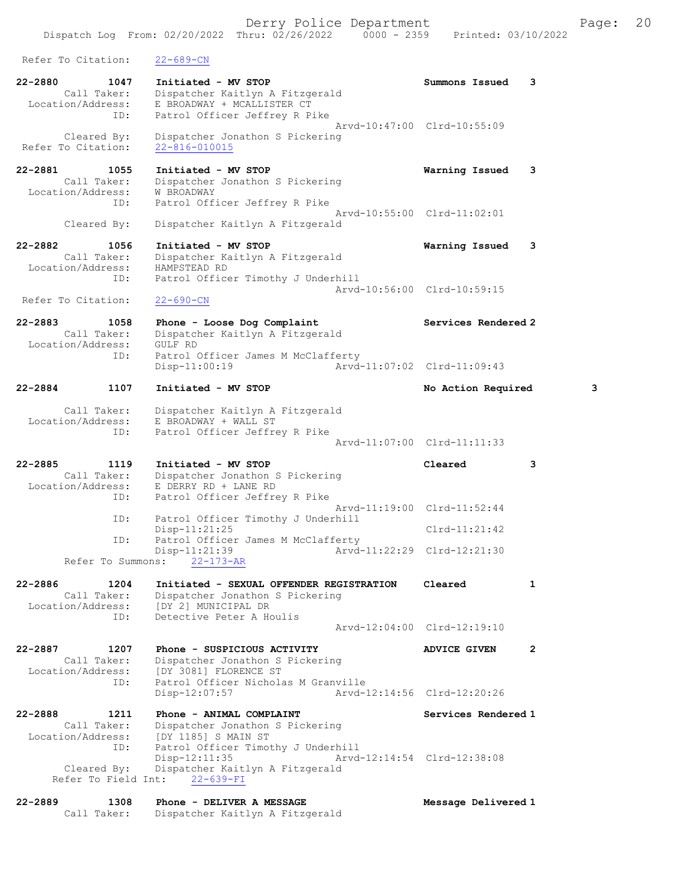Dispatch Log From: 02/20/2022 Thru: 02/26/2022 0000 - 2359 Printed: 03/10/2022 Refer To Citation: 22-689-CN 22-2880 1047 Initiated - MV STOP Summons Issued 3 Call Taker: Dispatcher Kaitlyn A Fitzgerald Location/Address: E BROADWAY + MCALLISTER CT ID: Patrol Officer Jeffrey R Pike Arvd-10:47:00 Clrd-10:55:09 Cleared By: Dispatcher Jonathon S Pickering Refer To Citation: 22-816-010015 22-2881 1055 Initiated - MV STOP Warning Issued 3 Call Taker: Dispatcher Jonathon S Pickering Location/Address: W BROADWAY ID: Patrol Officer Jeffrey R Pike Arvd-10:55:00 Clrd-11:02:01 Cleared By: Dispatcher Kaitlyn A Fitzgerald 22-2882 1056 Initiated - MV STOP Warning Issued 3 Call Taker: Dispatcher Kaitlyn A Fitzgerald<br>ion/Address: HAMPSTEAD RD Location/Address:<br>ID: Patrol Officer Timothy J Underhill Arvd-10:56:00 Clrd-10:59:15 Refer To Citation: 22-690-CN 22-2883 1058 Phone - Loose Dog Complaint Services Rendered 2 Call Taker: Dispatcher Kaitlyn A Fitzgerald<br>cation/Address: GULF RD Location/Address:<br>ID: Patrol Officer James M McClafferty Disp-11:00:19 Arvd-11:07:02 Clrd-11:09:43 22-2884 1107 Initiated - MV STOP No Action Required 3 Call Taker: Dispatcher Kaitlyn A Fitzgerald Location/Address: E BROADWAY + WALL ST ID: Patrol Officer Jeffrey R Pike Arvd-11:07:00 Clrd-11:11:33 22-2885 1119 Initiated - MV STOP Cleared 3 Call Taker: Dispatcher Jonathon S Pickering Location/Address: E DERRY RD + LANE RD ID: Patrol Officer Jeffrey R Pike Arvd-11:19:00 Clrd-11:52:44 ID: Patrol Officer Timothy J Underhill Disp-11:21:25 Clrd-11:21:42<br>The Patrol Officer James M McClafferty Patrol Officer James M McClafferty<br>Disp-11:21:39 Arvd-Arvd-11:22:29 Clrd-12:21:30 Refer To Summons: 22-173-AR 22-2886 1204 Initiated - SEXUAL OFFENDER REGISTRATION Cleared 1 Call Taker: Dispatcher Jonathon S Pickering Location/Address: [DY 2] MUNICIPAL DR ID: Detective Peter A Houlis Arvd-12:04:00 Clrd-12:19:10 22-2887 1207 Phone - SUSPICIOUS ACTIVITY ADVICE GIVEN 2 Call Taker: Dispatcher Jonathon S Pickering Location/Address: [DY 3081] FLORENCE ST ID: Patrol Officer Nicholas M Granville Disp-12:07:57 Arvd-12:14:56 Clrd-12:20:26 22-2888 1211 Phone - ANIMAL COMPLAINT Services Rendered 1 Call Taker: Dispatcher Jonathon S Pickering Location/Address: [DY 1185] S MAIN ST ID: Patrol Officer Timothy J Underhill Disp-12:11:35 Arvd-12:14:54 Clrd-12:38:08 Cleared By: Dispatcher Kaitlyn A Fitzgerald Refer To Field Int: 22-639-FI 22-2889 1308 Phone - DELIVER A MESSAGE Message Delivered 1

Call Taker: Dispatcher Kaitlyn A Fitzgerald

Derry Police Department Fage: 20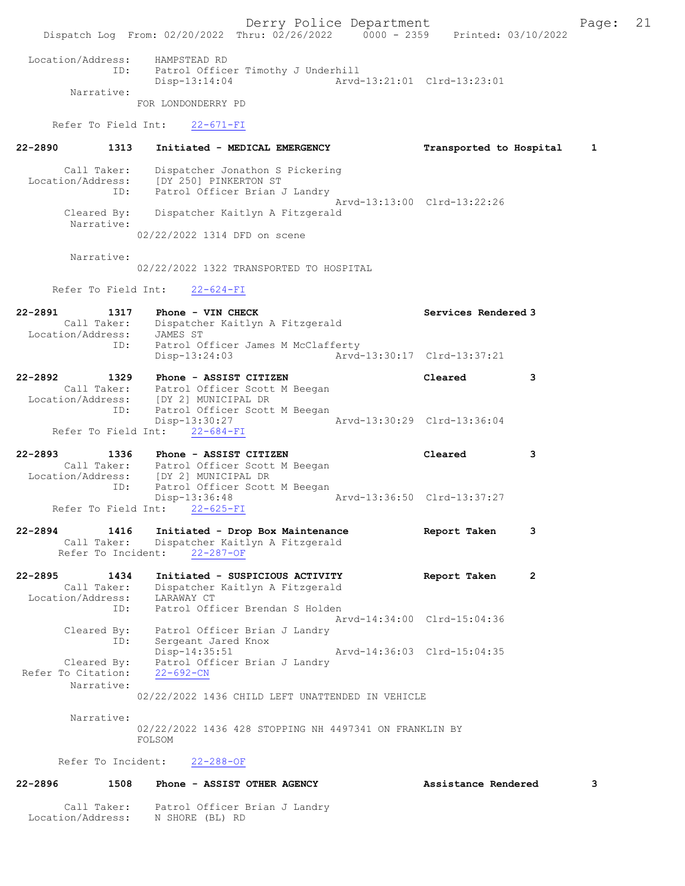Derry Police Department Fage: 21 Dispatch Log From: 02/20/2022 Thru: 02/26/2022 0000 - 2359 Printed: 03/10/2022 Location/Address: HAMPSTEAD RD ID: Patrol Officer Timothy J Underhill Disp-13:14:04 Arvd-13:21:01 Clrd-13:23:01 Narrative: FOR LONDONDERRY PD Refer To Field Int: 22-671-FI 22-2890 1313 Initiated - MEDICAL EMERGENCY Transported to Hospital 1 Call Taker: Dispatcher Jonathon S Pickering Location/Address: [DY 250] PINKERTON ST ID: Patrol Officer Brian J Landry Arvd-13:13:00 Clrd-13:22:26 Cleared By: Dispatcher Kaitlyn A Fitzgerald Narrative: 02/22/2022 1314 DFD on scene Narrative: 02/22/2022 1322 TRANSPORTED TO HOSPITAL Refer To Field Int: 22-624-FI 22-2891 1317 Phone - VIN CHECK 1988 1989 Services Rendered 3 Call Taker: Dispatcher Kaitlyn A Fitzgerald Location/Address: JAMES ST ID: Patrol Officer James M McClafferty<br>Disp-13:24:03 Arvd- Disp-13:24:03 Arvd-13:30:17 Clrd-13:37:21 22-2892 1329 Phone - ASSIST CITIZEN Cleared 3 Call Taker: Patrol Officer Scott M Beegan Location/Address: [DY 2] MUNICIPAL DR ID: Patrol Officer Scott M Beegan<br>Disp-13:30:27 Disp-13:30:27 Arvd-13:30:29 Clrd-13:36:04 Refer To Field Int: 22-684-FI 22-2893 1336 Phone - ASSIST CITIZEN Cleared 3 Call Taker: Patrol Officer Scott M Beegan Location/Address: [DY 2] MUNICIPAL DR ID: Patrol Officer Scott M Beegan Disp-13:36:48 Arvd-13:36:50 Clrd-13:37:27 Refer To Field Int: 22-625-FI 22-2894 1416 Initiated - Drop Box Maintenance Report Taken 3 Call Taker: Dispatcher Kaitlyn A Fitzgerald Refer To Incident: 22-287-OF 22-2895 1434 Initiated - SUSPICIOUS ACTIVITY Report Taken 2 Call Taker: Dispatcher Kaitlyn A Fitzgerald Location/Address: LARAWAY CT ID: Patrol Officer Brendan S Holden Arvd-14:34:00 Clrd-15:04:36 Cleared By: Patrol Officer Brian J Landry ID: Sergeant Jared Knox Disp-14:35:51 Arvd-14:36:03 Clrd-15:04:35 Cleared By: Patrol Officer Brian J Landry<br>To Citation:  $22-692$ -CN Refer To Citation: Narrative: 02/22/2022 1436 CHILD LEFT UNATTENDED IN VEHICLE Narrative: 02/22/2022 1436 428 STOPPING NH 4497341 ON FRANKLIN BY FOLSOM Refer To Incident: 22-288-OF 22-2896 1508 Phone - ASSIST OTHER AGENCY Assistance Rendered 3 Call Taker: Patrol Officer Brian J Landry Location/Address: N SHORE (BL) RD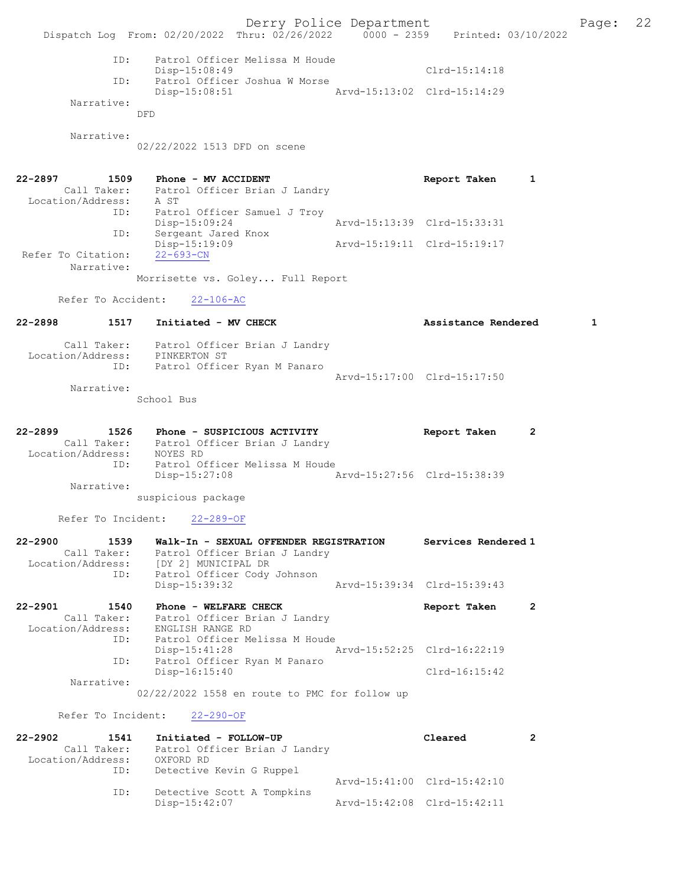Derry Police Department Fage: 22 Dispatch Log From: 02/20/2022 Thru: 02/26/2022 0000 - 2359 Printed: 03/10/2022 ID: Patrol Officer Melissa M Houde Disp-15:08:49 Clrd-15:14:18 ID: Patrol Officer Joshua W Morse Disp-15:08:51 Arvd-15:13:02 Clrd-15:14:29 Narrative: DFD Narrative: 02/22/2022 1513 DFD on scene 22-2897 1509 Phone - MV ACCIDENT 1 1609 Report Taken 1 Call Taker: Patrol Officer Brian J Landry Location/Address: A ST ID: Patrol Officer Samuel J Troy Disp-15:09:24 Arvd-15:13:39 Clrd-15:33:31 ID: Sergeant Jared Knox Disp-15:19:09 Arvd-15:19:11 Clrd-15:19:17 Refer To Citation: 22-693-CN Narrative: Morrisette vs. Goley... Full Report Refer To Accident: 22-106-AC 22-2898 1517 Initiated - MV CHECK 1 Assistance Rendered 1 Call Taker: Patrol Officer Brian J Landry Location/Address: PINKERTON ST ID: Patrol Officer Ryan M Panaro Arvd-15:17:00 Clrd-15:17:50 Narrative: School Bus 22-2899 1526 Phone - SUSPICIOUS ACTIVITY Report Taken 2 Call Taker: Patrol Officer Brian J Landry Location/Address: NOYES RD ID: Patrol Officer Melissa M Houde Disp-15:27:08 Arvd-15:27:56 Clrd-15:38:39 Narrative: suspicious package Refer To Incident: 22-289-OF 22-2900 1539 Walk-In - SEXUAL OFFENDER REGISTRATION Services Rendered 1 Call Taker: Patrol Officer Brian J Landry Location/Address: [DY 2] MUNICIPAL DR ID: Patrol Officer Cody Johnson Disp-15:39:32 Arvd-15:39:34 Clrd-15:39:43 22-2901 1540 Phone - WELFARE CHECK 12 Report Taken 2 Call Taker: Patrol Officer Brian J Landry Location/Address: ENGLISH RANGE RD ID: Patrol Officer Melissa M Houde Disp-15:41:28 Arvd-15:52:25 Clrd-16:22:19 ID: Patrol Officer Ryan M Panaro Disp-16:15:40 Clrd-16:15:42 Narrative: 02/22/2022 1558 en route to PMC for follow up Refer To Incident: 22-290-OF 22-2902 1541 Initiated - FOLLOW-UP Cleared 2 Call Taker: Patrol Officer Brian J Landry Location/Address: OXFORD RD ID: Detective Kevin G Ruppel Arvd-15:41:00 Clrd-15:42:10<br>ID: Detective Scott A Tompkins Detective Scott A Tompkins<br>Disp-15:42:07 Disp-15:42:07 Arvd-15:42:08 Clrd-15:42:11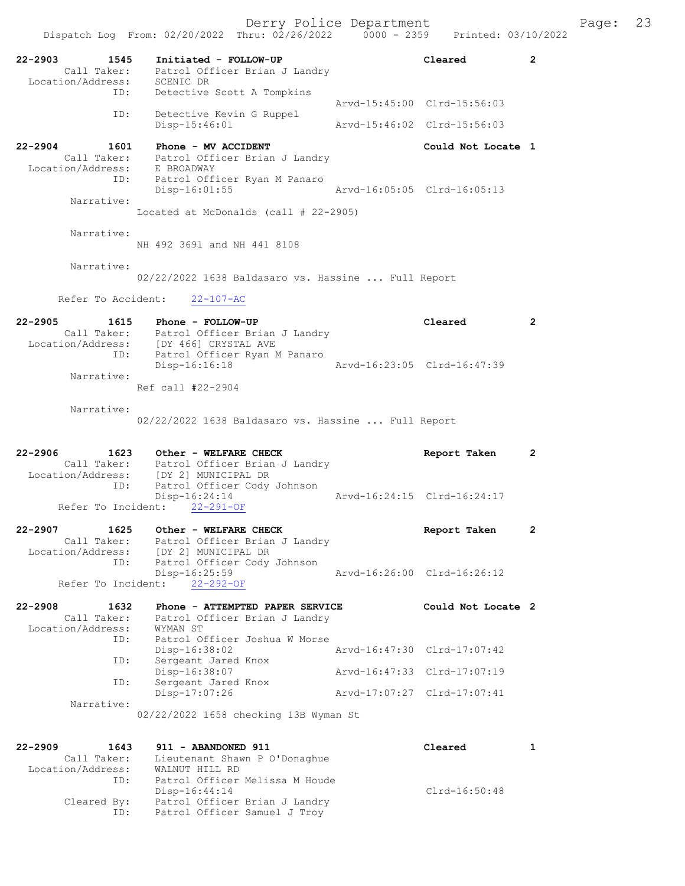22-2903 1545 Initiated - FOLLOW-UP Cleared 2 Call Taker: Patrol Officer Brian J Landry Location/Address: SCENIC DR ID: Detective Scott A Tompkins Arvd-15:45:00 Clrd-15:56:03 ID: Detective Kevin G Ruppel<br>Disp-15:46:01 Disp-15:46:01 Arvd-15:46:02 Clrd-15:56:03 22-2904 1601 Phone - MV ACCIDENT Could Not Locate 1 Call Taker: Patrol Officer Brian J Landry Location/Address: E BROADWAY ID: Patrol Officer Ryan M Panaro<br>Disp-16:01:55 <br>Arvd-16:05:05 Clrd-16:05:13  $Disp-16:01:55$  Narrative: Located at McDonalds (call # 22-2905) Narrative: NH 492 3691 and NH 441 8108 Narrative: 02/22/2022 1638 Baldasaro vs. Hassine ... Full Report Refer To Accident: 22-107-AC 22-2905 1615 Phone - FOLLOW-UP Cleared 2 Call Taker: Patrol Officer Brian J Landry Location/Address: [DY 466] CRYSTAL AVE ID: Patrol Officer Ryan M Panaro Disp-16:16:18 Arvd-16:23:05 Clrd-16:47:39 Narrative: Ref call #22-2904 Narrative: 02/22/2022 1638 Baldasaro vs. Hassine ... Full Report 22-2906 1623 Other - WELFARE CHECK Report Taken 2 Call Taker: Patrol Officer Brian J Landry Location/Address: [DY 2] MUNICIPAL DR ID: Patrol Officer Cody Johnson Disp-16:24:14 Arvd-16:24:15 Clrd-16:24:17 Refer To Incident: 22-291-OF 22-2907 1625 Other - WELFARE CHECK Report Taken 2 Call Taker: Patrol Officer Brian J Landry Location/Address: [DY 2] MUNICIPAL DR ID: Patrol Officer Cody Johnson Disp-16:25:59 Arvd-16:26:00 Clrd-16:26:12 Refer To Incident: 22-292-OF 22-2908 1632 Phone - ATTEMPTED PAPER SERVICE Could Not Locate 2 Call Taker: Patrol Officer Brian J Landry Location/Address: WYMAN ST ID: Patrol Officer Joshua W Morse Disp-16:38:02 Arvd-16:47:30 Clrd-17:07:42 ID: Sergeant Jared Knox Disp-16:38:07 Arvd-16:47:33 Clrd-17:07:19 ID: Sergeant Jared Knox Disp-17:07:26 Arvd-17:07:27 Clrd-17:07:41 Narrative: 02/22/2022 1658 checking 13B Wyman St 22-2909 1643 911 - ABANDONED 911 Cleared 1 Call Taker: Lieutenant Shawn P O'Donaghue Location/Address: WALNUT HILL RD ID: Patrol Officer Melissa M Houde Disp-16:44:14 Clrd-16:50:48 Cleared By: Patrol Officer Brian J Landry

ID: Patrol Officer Samuel J Troy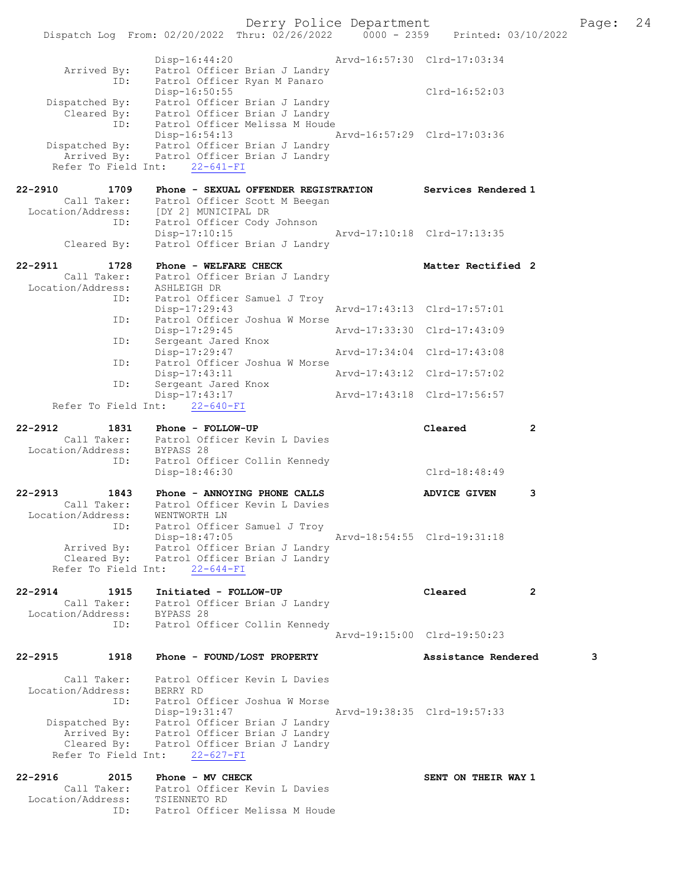|                                    | Dispatch Log From: 02/20/2022 Thru: 02/26/2022 0000 - 2359                                |                             | Printed: 03/10/2022         |                |
|------------------------------------|-------------------------------------------------------------------------------------------|-----------------------------|-----------------------------|----------------|
|                                    | $Disp-16:44:20$                                                                           |                             | Arvd-16:57:30 Clrd-17:03:34 |                |
| Arrived By:<br>ID:                 | Patrol Officer Brian J Landry<br>Patrol Officer Ryan M Panaro                             |                             |                             |                |
| Dispatched By:                     | Disp-16:50:55<br>Patrol Officer Brian J Landry                                            |                             | Clrd-16:52:03               |                |
| ID:                                | Cleared By: Patrol Officer Brian J Landry<br>Patrol Officer Melissa M Houde               |                             |                             |                |
|                                    | Disp-16:54:13                                                                             |                             | Arvd-16:57:29 Clrd-17:03:36 |                |
|                                    | Dispatched By: Patrol Officer Brian J Landry<br>Arrived By: Patrol Officer Brian J Landry |                             |                             |                |
| Refer To Field Int:                | $22 - 641 - FI$                                                                           |                             |                             |                |
| $22 - 2910$<br>1709                | Phone - SEXUAL OFFENDER REGISTRATION                                                      |                             | Services Rendered 1         |                |
| Call Taker:<br>Location/Address:   | Patrol Officer Scott M Beegan<br>[DY 2] MUNICIPAL DR                                      |                             |                             |                |
| ID:                                | Patrol Officer Cody Johnson<br>$Disp-17:10:15$                                            |                             | Arvd-17:10:18 Clrd-17:13:35 |                |
| Cleared By:                        | Patrol Officer Brian J Landry                                                             |                             |                             |                |
| $22 - 2911$<br>1728                | Phone - WELFARE CHECK                                                                     |                             | Matter Rectified 2          |                |
| Call Taker:<br>Location/Address:   | Patrol Officer Brian J Landry<br>ASHLEIGH DR                                              |                             |                             |                |
| ID:                                | Patrol Officer Samuel J Troy<br>Disp-17:29:43                                             |                             | Arvd-17:43:13 Clrd-17:57:01 |                |
| ID:                                | Patrol Officer Joshua W Morse                                                             |                             |                             |                |
| ID:                                | $Disp-17:29:45$<br>Sergeant Jared Knox                                                    |                             | Arvd-17:33:30 Clrd-17:43:09 |                |
| ID:                                | Disp-17:29:47<br>Patrol Officer Joshua W Morse                                            | Arvd-17:34:04 Clrd-17:43:08 |                             |                |
| ID:                                | $Disp-17:43:11$<br>Sergeant Jared Knox                                                    | Arvd-17:43:12 Clrd-17:57:02 |                             |                |
| Refer To Field Int:                | Disp-17:43:17<br>$22 - 640 - FI$                                                          |                             | Arvd-17:43:18 Clrd-17:56:57 |                |
|                                    |                                                                                           |                             |                             |                |
| 22-2912<br>1831                    | Phone - FOLLOW-UP<br>Call Taker: Patrol Officer Kevin L Davies                            |                             | Cleared                     | 2              |
| Location/Address:                  | BYPASS 28                                                                                 |                             |                             |                |
| ID:                                | Patrol Officer Collin Kennedy<br>Disp-18:46:30                                            |                             | $Clrd-18:48:49$             |                |
| $22 - 2913$<br>1843                | Phone - ANNOYING PHONE CALLS                                                              |                             | <b>ADVICE GIVEN</b>         | 3              |
| Call Taker:                        | Patrol Officer Kevin L Davies                                                             |                             |                             |                |
| Location/Address:<br>ID:           | WENTWORTH LN<br>Patrol Officer Samuel J Troy                                              |                             |                             |                |
| Arrived By:                        | $Disp-18:47:05$<br>Patrol Officer Brian J Landry                                          | Arvd-18:54:55 Clrd-19:31:18 |                             |                |
|                                    | Cleared By: Patrol Officer Brian J Landry                                                 |                             |                             |                |
| Refer To Field Int:                | $22 - 644 - FI$                                                                           |                             |                             |                |
| $22 - 2914$<br>1915                | Initiated - FOLLOW-UP                                                                     |                             | Cleared                     | $\overline{2}$ |
| Call Taker:<br>Location/Address:   | Patrol Officer Brian J Landry<br>BYPASS 28                                                |                             |                             |                |
| ID:                                | Patrol Officer Collin Kennedy                                                             |                             | Arvd-19:15:00 Clrd-19:50:23 |                |
|                                    |                                                                                           |                             |                             |                |
| $22 - 2915$<br>1918                | Phone - FOUND/LOST PROPERTY                                                               |                             | Assistance Rendered         | 3              |
| Call Taker:<br>Location/Address:   | Patrol Officer Kevin L Davies<br>BERRY RD                                                 |                             |                             |                |
| ID:                                | Patrol Officer Joshua W Morse                                                             |                             |                             |                |
| Dispatched By:                     | Disp-19:31:47<br>Patrol Officer Brian J Landry                                            |                             | Arvd-19:38:35 Clrd-19:57:33 |                |
| Arrived By:                        | Patrol Officer Brian J Landry                                                             |                             |                             |                |
| Cleared By:<br>Refer To Field Int: | Patrol Officer Brian J Landry<br>$22 - 627 - FI$                                          |                             |                             |                |
| $22 - 2916$<br>2015                | Phone - MV CHECK                                                                          |                             | SENT ON THEIR WAY 1         |                |
| Call Taker:                        | Patrol Officer Kevin L Davies                                                             |                             |                             |                |
| Location/Address:<br>ID:           | TSIENNETO RD<br>Patrol Officer Melissa M Houde                                            |                             |                             |                |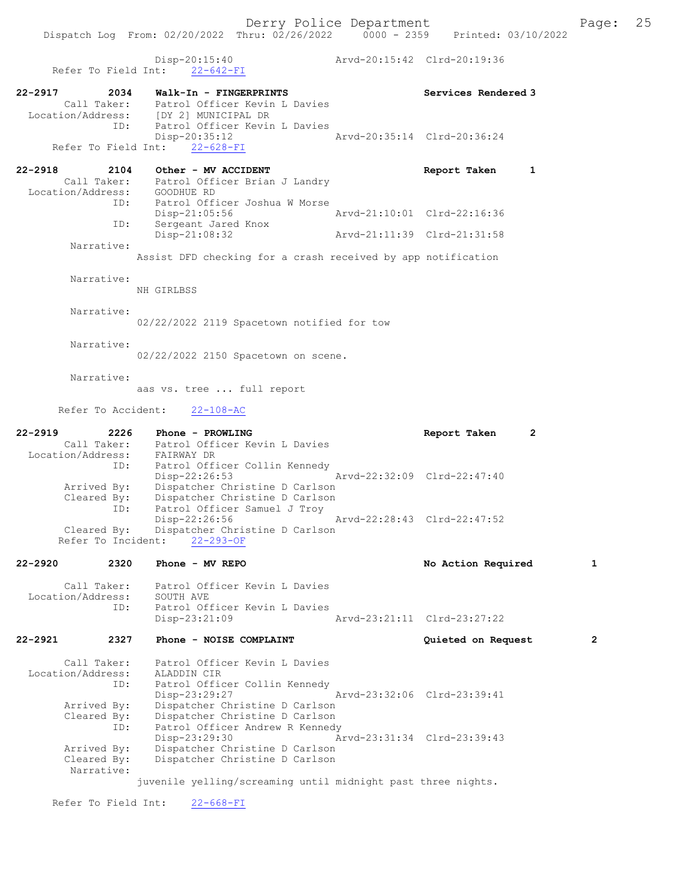Dispatch Log From: 02/20/2022 Thru: 02/26/2022 0000 - 2359 Printed: 03/10/2022 Disp-20:15:40 Arvd-20:15:42 Clrd-20:19:36 Refer To Field Int: 22-642-FI 22-2917 2034 Walk-In - FINGERPRINTS Services Rendered 3 Call Taker: Patrol Officer Kevin L Davies Location/Address: [DY 2] MUNICIPAL DR ID: Patrol Officer Kevin L Davies<br>Disp-20:35:12 Disp-20:35:12 Arvd-20:35:14 Clrd-20:36:24 Refer To Field Int: 22-628-FI 22-2918 2104 Other - MV ACCIDENT 22-2918 Report Taken 1 Call Taker: Patrol Officer Brian J Landry Location/Address: GOODHUE RD ID: Patrol Officer Joshua W Morse Disp-21:05:56 <br>
D: Sergeant Jared Knox <br>
D: Sergeant Jared Knox Sergeant Jared Knox<br>Disp-21:08:32 Arvd-21:11:39 Clrd-21:31:58 Narrative: Assist DFD checking for a crash received by app notification Narrative: NH GIRLBSS Narrative: 02/22/2022 2119 Spacetown notified for tow Narrative: 02/22/2022 2150 Spacetown on scene. Narrative: aas vs. tree ... full report Refer To Accident: 22-108-AC 22-2919 2226 Phone - PROWLING Report Taken 2 Call Taker: Patrol Officer Kevin L Davies Location/Address: FAIRWAY DR ID: Patrol Officer Collin Kennedy Disp-22:26:53 Arvd-22:32:09 Clrd-22:47:40 Arrived By: Dispatcher Christine D Carlson Cleared By: Dispatcher Christine D Carlson ID: Patrol Officer Samuel J Troy Disp-22:26:56 Arvd-22:28:43 Clrd-22:47:52 Cleared By: Dispatcher Christine D Carlson Refer To Incident: 22-293-OF 22-2920 2320 Phone - MV REPO No Action Required 1 Call Taker: Patrol Officer Kevin L Davies Location/Address: SOUTH AVE ID: Patrol Officer Kevin L Davies Disp-23:21:09 Arvd-23:21:11 Clrd-23:27:22 22-2921 2327 Phone - NOISE COMPLAINT Quieted on Request 2 Call Taker: Patrol Officer Kevin L Davies<br>Location/Address: ALADDIN CIR Location/Address: ALADDIN CIR ID: Patrol Officer Collin Kennedy Disp-23:29:27 Arvd-23:32:06 Clrd-23:39:41 Arrived By: Dispatcher Christine D Carlson Cleared By: Dispatcher Christine D Carlson<br>ID: Patrol Officer Andrew R Kennedy Patrol Officer Andrew R Kennedy<br>Disp-23:29:30 A Disp-23:29:30 Arvd-23:31:34 Clrd-23:39:43<br>Arrived By: Dispatcher Christine D Carlson Dispatcher Christine D Carlson Cleared By: Dispatcher Christine D Carlson Narrative: juvenile yelling/screaming until midnight past three nights. Refer To Field Int: 22-668-FI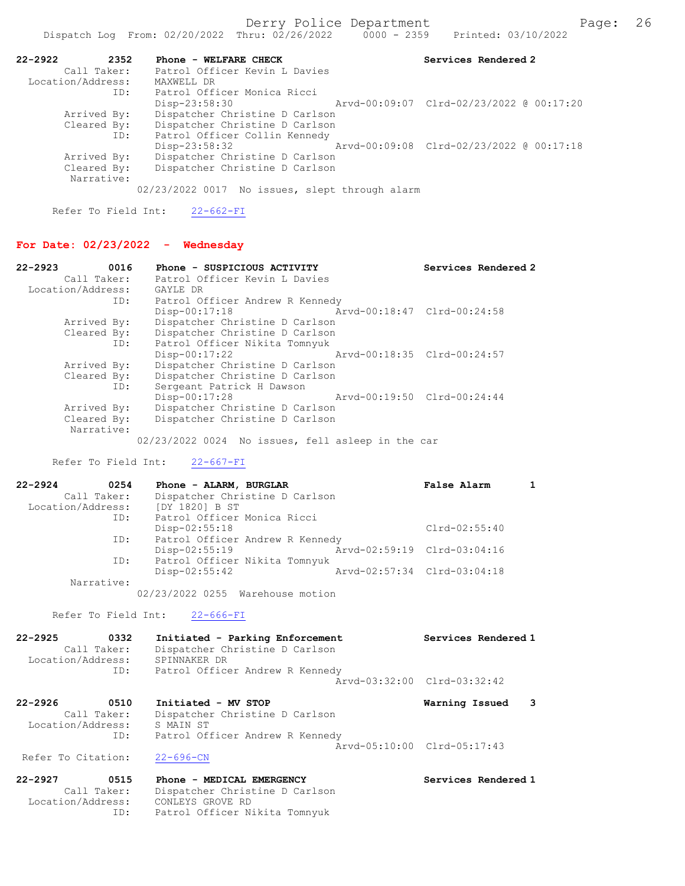| $22 - 2922$       | 2352 | Phone - WELFARE CHECK                          | Services Rendered 2 |
|-------------------|------|------------------------------------------------|---------------------|
| Call Taker:       |      | Patrol Officer Kevin L Davies                  |                     |
| Location/Address: |      | MAXWELL DR                                     |                     |
|                   | ID:  | Patrol Officer Monica Ricci                    |                     |
|                   |      | $Disp-23:58:30$                                |                     |
| Arrived By:       |      | Dispatcher Christine D Carlson                 |                     |
| Cleared By:       |      | Dispatcher Christine D Carlson                 |                     |
|                   | ID:  | Patrol Officer Collin Kennedy                  |                     |
|                   |      | $Disp-23:58:32$                                |                     |
| Arrived By:       |      | Dispatcher Christine D Carlson                 |                     |
| Cleared By:       |      | Dispatcher Christine D Carlson                 |                     |
| Narrative:        |      |                                                |                     |
|                   |      | 02/23/2022 0017 No issues, slept through alarm |                     |

Refer To Field Int: 22-662-FI

## For Date: 02/23/2022 - Wednesday

| $22 - 2923$<br>0016 | Phone - SUSPICIOUS ACTIVITY                    | Services Rendered 2         |
|---------------------|------------------------------------------------|-----------------------------|
| Call Taker:         | Patrol Officer Kevin L Davies                  |                             |
| Location/Address:   | GAYLE DR                                       |                             |
| ID:                 | Patrol Officer Andrew R Kennedy                |                             |
|                     | $Disp-00:17:18$                                | Arvd-00:18:47 Clrd-00:24:58 |
| Arrived By:         | Dispatcher Christine D Carlson                 |                             |
| Cleared By:         | Dispatcher Christine D Carlson                 |                             |
| ID:                 | Patrol Officer Nikita Tomnyuk                  |                             |
|                     | Arvd-00:18:35 Clrd-00:24:57<br>$Disp-00:17:22$ |                             |
| Arrived By:         | Dispatcher Christine D Carlson                 |                             |
| Cleared By:         | Dispatcher Christine D Carlson                 |                             |
| ID:                 | Sergeant Patrick H Dawson                      |                             |
|                     | $Disp-00:17:28$                                | Arvd-00:19:50 Clrd-00:24:44 |
| Arrived By:         | Dispatcher Christine D Carlson                 |                             |
| Cleared By:         | Dispatcher Christine D Carlson                 |                             |
| Narrative:          |                                                |                             |
|                     |                                                |                             |

02/23/2022 0024 No issues, fell asleep in the car

#### Refer To Field Int: 22-667-FI

| $22 - 2924$<br>0254 | Phone - ALARM, BURGLAR           | False Alarm                 |  |
|---------------------|----------------------------------|-----------------------------|--|
| Call Taker:         | Dispatcher Christine D Carlson   |                             |  |
| Location/Address:   | [DY 1820] B ST                   |                             |  |
| ID:                 | Patrol Officer Monica Ricci      |                             |  |
|                     | Disp-02:55:18                    | $Clrd-02:55:40$             |  |
| ID:                 | Patrol Officer Andrew R Kennedy  |                             |  |
|                     | Disp-02:55:19                    | Arvd-02:59:19 Clrd-03:04:16 |  |
| ID:                 | Patrol Officer Nikita Tomnyuk    |                             |  |
|                     | $Disp-02:55:42$                  | Arvd-02:57:34 Clrd-03:04:18 |  |
| Narrative:          |                                  |                             |  |
|                     | 02/23/2022 0255 Warehouse motion |                             |  |

## Refer To Field Int: 22-666-FI

| $22 - 2925$       | 0332        | Initiated - Parking Enforcement | Services Rendered 1 |
|-------------------|-------------|---------------------------------|---------------------|
|                   | Call Taker: | Dispatcher Christine D Carlson  |                     |
| Location/Address: |             | SPINNAKER DR                    |                     |
|                   | ID:         | Patrol Officer Andrew R Kennedy |                     |
|                   |             | Arvd-03:32:00 Clrd-03:32:42     |                     |

| $22 - 2926$        | 0510              | Initiated - MV STOP             | Warning Issued              | $\overline{\mathbf{3}}$ |
|--------------------|-------------------|---------------------------------|-----------------------------|-------------------------|
|                    | Call Taker:       | Dispatcher Christine D Carlson  |                             |                         |
|                    | Location/Address: | S MAIN ST                       |                             |                         |
|                    | ID:               | Patrol Officer Andrew R Kennedy |                             |                         |
|                    |                   |                                 | Arvd-05:10:00 Clrd-05:17:43 |                         |
| Refer To Citation: |                   | $22 - 696 - CN$                 |                             |                         |

22-2927 0515 Phone - MEDICAL EMERGENCY Services Rendered 1 Call Taker: Dispatcher Christine D Carlson Location/Address: CONLEYS GROVE RD ID: Patrol Officer Nikita Tomnyuk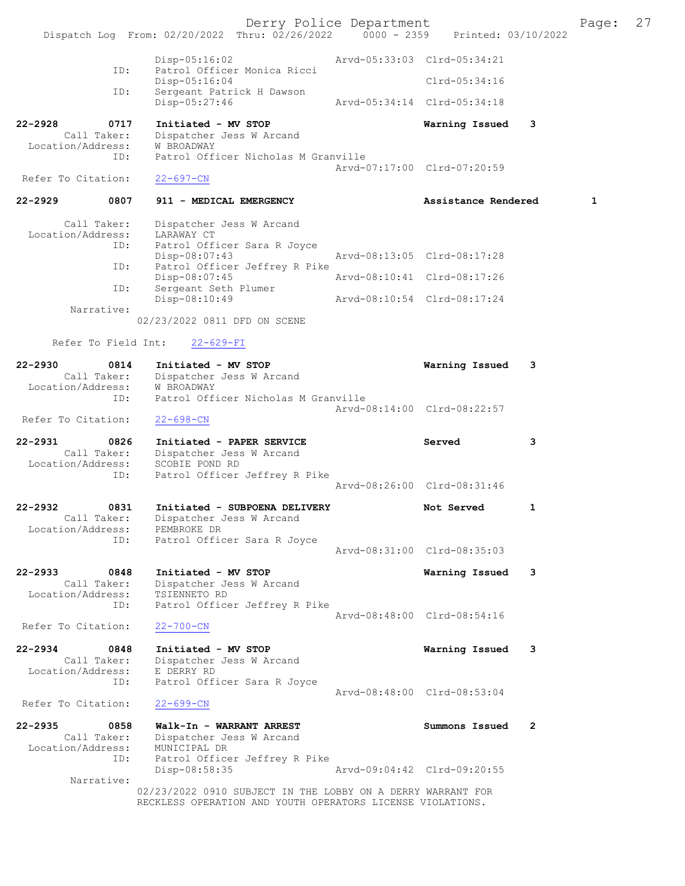Derry Police Department Form Page: 27 Dispatch Log From: 02/20/2022 Thru: 02/26/2022 0000 - 2359 Printed: 03/10/2022 Disp-05:16:02 Arvd-05:33:03 Clrd-05:34:21 ID: Patrol Officer Monica Ricci Disp-05:16:04 Clrd-05:34:16 ID: Sergeant Patrick H Dawson Disp-05:27:46 Arvd-05:34:14 Clrd-05:34:18 22-2928 0717 Initiated - MV STOP Warning Issued 3 Call Taker: Dispatcher Jess W Arcand Location/Address: W BROADWAY ID: Patrol Officer Nicholas M Granville Arvd-07:17:00 Clrd-07:20:59<br>22-697-CN Refer To Citation: 22-2929 0807 911 - MEDICAL EMERGENCY 1 Assistance Rendered 1 Call Taker: Dispatcher Jess W Arcand Location/Address: LARAWAY CT<br>TD: Patrol Offi Patrol Officer Sara R Joyce<br>Disp-08:07:43 Disp-08:07:43 Arvd-08:13:05 Clrd-08:17:28<br>ID: Patrol Officer Jeffrey R Pike ID: Patrol Officer Jeffrey R Pike Disp-08:07:45 Arvd-08:10:41 Clrd-08:17:26 ID: Sergeant Seth Plumer Disp-08:10:49 Arvd-08:10:54 Clrd-08:17:24 Narrative: 02/23/2022 0811 DFD ON SCENE Refer To Field Int: 22-629-FI 22-2930 0814 Initiated - MV STOP Warning Issued 3 Call Taker: Dispatcher Jess W Arcand Location/Address: W BROADWAY ID: Patrol Officer Nicholas M Granville Arvd-08:14:00 Clrd-08:22:57 Refer To Citation: 22-698-CN 22-2931 0826 Initiated - PAPER SERVICE Served 3 Call Taker: Dispatcher Jess W Arcand Location/Address: SCOBIE POND RD ID: Patrol Officer Jeffrey R Pike Arvd-08:26:00 Clrd-08:31:46 22-2932 0831 Initiated - SUBPOENA DELIVERY Not Served 1 Call Taker: Dispatcher Jess W Arcand Location/Address: PEMBROKE DR ID: Patrol Officer Sara R Joyce Arvd-08:31:00 Clrd-08:35:03 22-2933 0848 Initiated - MV STOP Warning Issued 3 Call Taker: Dispatcher Jess W Arcand Location/Address: TSIENNETO RD ID: Patrol Officer Jeffrey R Pike Arvd-08:48:00 Clrd-08:54:16<br>22-700-CN Refer To Citation: 22-2934 0848 Initiated - MV STOP Warning Issued 3 Call Taker: Dispatcher Jess W Arcand Call Taker: Dispatcher<br>Location/Address: E DERRY RD<br>ID: Patrol Offi Patrol Officer Sara R Joyce Arvd-08:48:00 Clrd-08:53:04 Refer To Citation: 22-699-CN 22-2935 0858 Walk-In - WARRANT ARREST Summons Issued 2 Call Taker: Dispatcher Jess W Arcand Location/Address: MUNICIPAL DR ID: Patrol Officer Jeffrey R Pike Disp-08:58:35 Arvd-09:04:42 Clrd-09:20:55 Narrative: 02/23/2022 0910 SUBJECT IN THE LOBBY ON A DERRY WARRANT FOR RECKLESS OPERATION AND YOUTH OPERATORS LICENSE VIOLATIONS.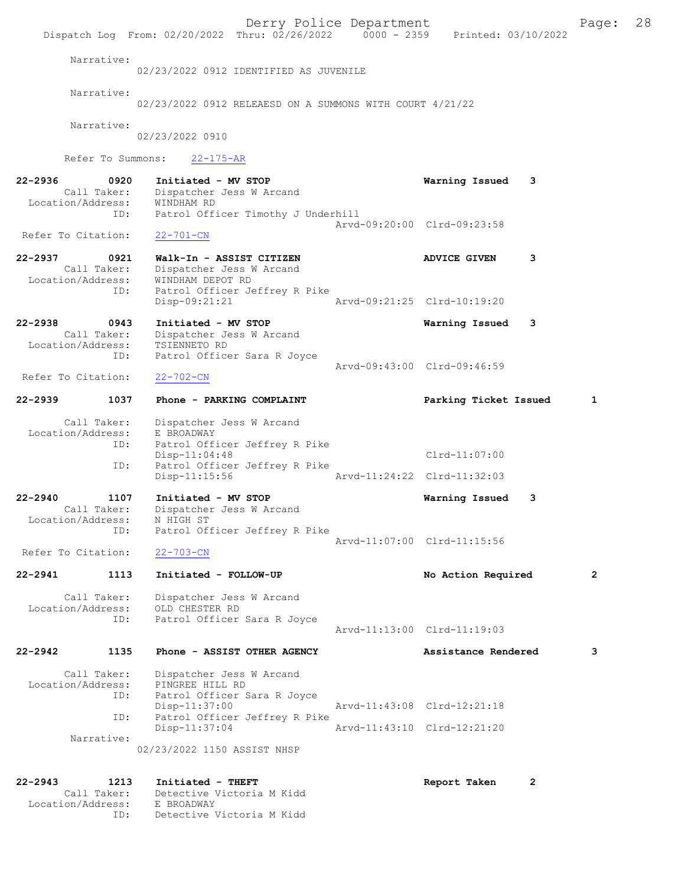Derry Police Department Form Page: 28 Dispatch Log From: 02/20/2022 Thru:  $02/26/2022$  0000 - 2359 Printed: 03/10/2022 Narrative: 02/23/2022 0912 IDENTIFIED AS JUVENILE Narrative: 02/23/2022 0912 RELEAESD ON A SUMMONS WITH COURT 4/21/22 Narrative: 02/23/2022 0910 Refer To Summons: 22-175-AR 22-2936 0920 Initiated - MV STOP Warning Issued 3 Call Taker: Dispatcher Jess W Arcand Location/Address: WINDHAM RD<br>ID: Patrol Offi Patrol Officer Timothy J Underhill Arvd-09:20:00 Clrd-09:23:58<br>22-701-CN Refer To Citation: 22-2937 0921 Walk-In - ASSIST CITIZEN ADVICE GIVEN 3 Call Taker: Dispatcher Jess W Arcand Location/Address: WINDHAM DEPOT RD Patrol Officer Jeffrey R Pike<br>Disp-09:21:21 Disp-09:21:21 Arvd-09:21:25 Clrd-10:19:20 22-2938 0943 Initiated - MV STOP Warning Issued 3 Call Taker: Dispatcher Jess W Arcand Location/Address: TSIENNETO RD ID: Patrol Officer Sara R Joyce Arvd-09:43:00 Clrd-09:46:59<br>22-702-CN Refer To Citation: 22-2939 1037 Phone - PARKING COMPLAINT Parking Ticket Issued 1 Call Taker: Dispatcher Jess W Arcand Location/Address: E BROADWAY<br>ID: Patrol Off: Patrol Officer Jeffrey R Pike<br>Disp-11:04:48 Clrd-11:07:00 ID: Patrol Officer Jeffrey R Pike<br>Disp-11:15:56 Mrvd-11:24:22 Clrd-11:32:03 Disp-11:15:56 22-2940 1107 Initiated - MV STOP Warning Issued 3 Call Taker: Dispatcher Jess W Arcand<br>Cation/Address: N HIGH ST Location/Address:<br>ID: Patrol Officer Jeffrey R Pike Arvd-11:07:00 Clrd-11:15:56<br>22-703-CN Refer To Citation: 22-2941 1113 Initiated - FOLLOW-UP No Action Required 2 Call Taker: Dispatcher Jess W Arcand<br>Location/Address: OLD CHESTER RD Location/Address: OLD CHESTER RD ID: Patrol Officer Sara R Joyce Arvd-11:13:00 Clrd-11:19:03 22-2942 1135 Phone - ASSIST OTHER AGENCY Assistance Rendered 3 Call Taker: Dispatcher Jess W Arcand Location/Address: PINGREE HILL RD ID: Patrol Officer Sara R Joyce<br>Disp-11:37:00 Arvd-11:43:08 Clrd-12:21:18 ID: Patrol Officer Jeffrey R Pike Arvd-11:43:10 Clrd-12:21:20 Narrative: 02/23/2022 1150 ASSIST NHSP 22-2943 1213 Initiated - THEFT Report Taken 2 Call Taker: Detective Victoria M Kidd<br>cion/Address: E BROADWAY Location/Address:<br>ID:

Detective Victoria M Kidd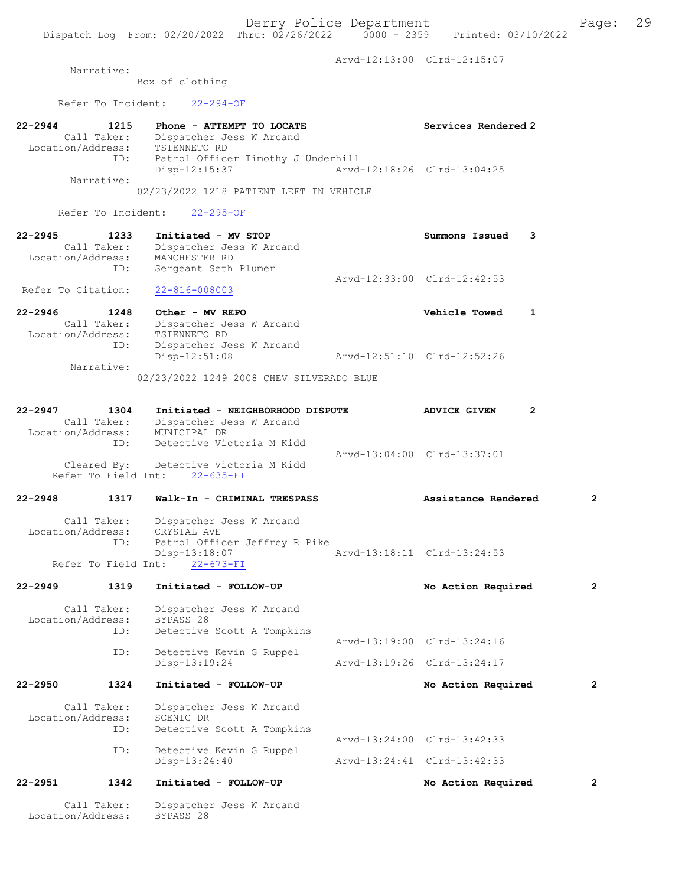22-2944 1215 Phone - ATTEMPT TO LOCATE Next Services Rendered 2

Arvd-12:13:00 Clrd-12:15:07

Narrative:

Box of clothing

Refer To Incident: 22-294-OF

|                               |                     | Disp-13:24:40                                                                                                              | Arvd-13:24:41 Clrd-13:42:33 |                             |   |
|-------------------------------|---------------------|----------------------------------------------------------------------------------------------------------------------------|-----------------------------|-----------------------------|---|
|                               |                     | Detective Kevin G Ruppel                                                                                                   |                             |                             |   |
|                               | ID:<br>ID:          | Detective Scott A Tompkins                                                                                                 |                             | Arvd-13:24:00 Clrd-13:42:33 |   |
| Location/Address:             | Call Taker:         | Dispatcher Jess W Arcand<br>SCENIC DR                                                                                      |                             |                             |   |
| 22-2950                       | 1324                | Initiated - FOLLOW-UP                                                                                                      |                             | No Action Required          | 2 |
|                               | ID:                 | Detective Kevin G Ruppel<br>Disp-13:19:24                                                                                  |                             | Arvd-13:19:26 Clrd-13:24:17 |   |
| Location/Address:             | ID:                 | BYPASS 28<br>Detective Scott A Tompkins                                                                                    |                             | Arvd-13:19:00 Clrd-13:24:16 |   |
| 22-2949                       | 1319<br>Call Taker: | Initiated - FOLLOW-UP<br>Dispatcher Jess W Arcand                                                                          |                             | No Action Required          | 2 |
|                               | Refer To Field Int: | $22 - 673 - FI$                                                                                                            |                             |                             |   |
| Location/Address:             | Call Taker:<br>ID:  | Dispatcher Jess W Arcand<br>CRYSTAL AVE<br>Patrol Officer Jeffrey R Pike<br>Disp-13:18:07                                  |                             | Arvd-13:18:11 Clrd-13:24:53 |   |
| 22-2948                       | 1317                | Walk-In - CRIMINAL TRESPASS                                                                                                |                             | Assistance Rendered         | 2 |
|                               | ID:                 | Detective Victoria M Kidd<br>Cleared By: Detective Victoria M Kidd<br>Refer To Field Int: 22-635-FI                        |                             | Arvd-13:04:00 Clrd-13:37:01 |   |
| 22-2947                       | 1304<br>Call Taker: | Initiated - NEIGHBORHOOD DISPUTE<br>Dispatcher Jess W Arcand<br>Call Taker: Dispatcher J<br>Location/Address: MUNICIPAL DR |                             | <b>ADVICE GIVEN</b>         | 2 |
|                               |                     | 02/23/2022 1249 2008 CHEV SILVERADO BLUE                                                                                   |                             |                             |   |
|                               | ID:<br>Narrative:   | Dispatcher Jess W Arcand<br>$Disp-12:51:08$                                                                                | Arvd-12:51:10 Clrd-12:52:26 |                             |   |
| Location/Address:             | Call Taker:         | Dispatcher Jess W Arcand<br>TSIENNETO RD                                                                                   |                             |                             |   |
| Refer To Citation:<br>22-2946 | 1248                | $22 - 816 - 008003$<br>Other - MV REPO                                                                                     |                             | <b>Vehicle Towed</b>        | 1 |
| Location/Address:             | ID:                 | MANCHESTER RD<br>Sergeant Seth Plumer                                                                                      |                             | Arvd-12:33:00 Clrd-12:42:53 |   |
| 22-2945                       | 1233<br>Call Taker: | Initiated - MV STOP<br>Dispatcher Jess W Arcand                                                                            |                             | Summons Issued              | 3 |
|                               | Refer To Incident:  | $22 - 295 - OF$                                                                                                            |                             |                             |   |
|                               | Narrative:          | 02/23/2022 1218 PATIENT LEFT IN VEHICLE                                                                                    |                             |                             |   |
| Location/Address:             | ID:                 | TSIENNETO RD<br>Patrol Officer Timothy J Underhill<br>Disp-12:15:37                                                        |                             | Arvd-12:18:26 Clrd-13:04:25 |   |
|                               | Call Taker:         | Dispatcher Jess W Arcand                                                                                                   |                             |                             |   |

 Call Taker: Dispatcher Jess W Arcand Location/Address: BYPASS 28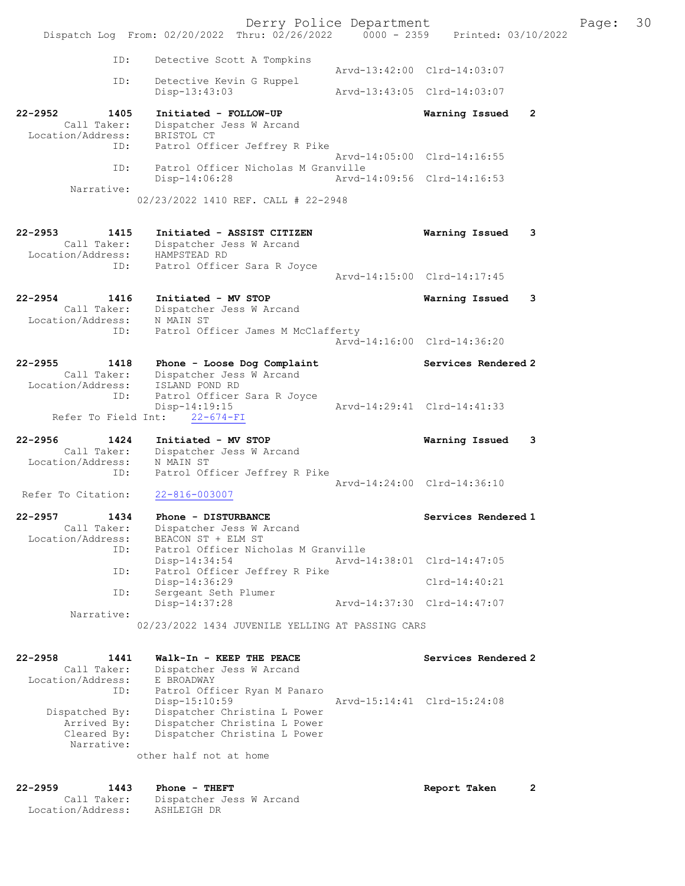Derry Police Department Fage: 30 Dispatch Log From: 02/20/2022 Thru: 02/26/2022 0000 - 2359 Printed: 03/10/2022 ID: Detective Scott A Tompkins Arvd-13:42:00 Clrd-14:03:07 ID: Detective Kevin G Ruppel<br>Disp-13:43:03 Disp-13:43:03 Arvd-13:43:05 Clrd-14:03:07 22-2952 1405 Initiated - FOLLOW-UP Warning Issued 2 Call Taker: Dispatcher Jess W Arcand Location/Address: BRISTOL CT ID: Patrol Officer Jeffrey R Pike Arvd-14:05:00 Clrd-14:16:55 ID: Patrol Officer Nicholas M Granville Disp-14:06:28 Arvd-14:09:56 Clrd-14:16:53 Narrative: 02/23/2022 1410 REF. CALL # 22-2948 22-2953 1415 Initiated - ASSIST CITIZEN Warning Issued 3 Call Taker: Dispatcher Jess W Arcand Location/Address: HAMPSTEAD RD ID: Patrol Officer Sara R Joyce Arvd-14:15:00 Clrd-14:17:45 22-2954 1416 Initiated - MV STOP Warning Issued 3 Call Taker: Dispatcher Jess W Arcand Location/Address: N MAIN ST ID: Patrol Officer James M McClafferty Arvd-14:16:00 Clrd-14:36:20 22-2955 1418 Phone - Loose Dog Complaint Services Rendered 2 Call Taker: Dispatcher Jess W Arcand Location/Address: ISLAND POND RD ID: Patrol Officer Sara R Joyce Disp-14:19:15 Arvd-14:29:41 Clrd-14:41:33 Refer To Field Int: 22-674-FI 22-2956 1424 Initiated - MV STOP Warning Issued 3 Call Taker: Dispatcher Jess W Arcand Location/Address: N MAIN ST ID: Patrol Officer Jeffrey R Pike Arvd-14:24:00 Clrd-14:36:10<br>22-816-003007 Refer To Citation: 22-2957 1434 Phone - DISTURBANCE Services Rendered 1 Call Taker: Dispatcher Jess W Arcand Location/Address: BEACON ST + ELM ST ID: Patrol Officer Nicholas M Granville Disp-14:34:54 Arvd-14:38:01 Clrd-14:47:05 ID: Patrol Officer Jeffrey R Pike Disp-14:36:29 Clrd-14:40:21 ID: Sergeant Seth Plumer Disp-14:37:28 Arvd-14:37:30 Clrd-14:47:07 Narrative: 02/23/2022 1434 JUVENILE YELLING AT PASSING CARS 22-2958 1441 Walk-In - KEEP THE PEACE Services Rendered 2 Call Taker: Dispatcher Jess W Arcand Location/Address: E BROADWAY ID: Patrol Officer Ryan M Panaro Disp-15:10:59 Arvd-15:14:41 Clrd-15:24:08 Dispatched By: Dispatcher Christina L Power Arrived By: Dispatcher Christina L Power Cleared By: Dispatcher Christina L Power Narrative: other half not at home

22-2959 1443 Phone - THEFT 2000 2000 Report Taken 2 Call Taker: Dispatcher Jess W Arcand Location/Address: ASHLEIGH DR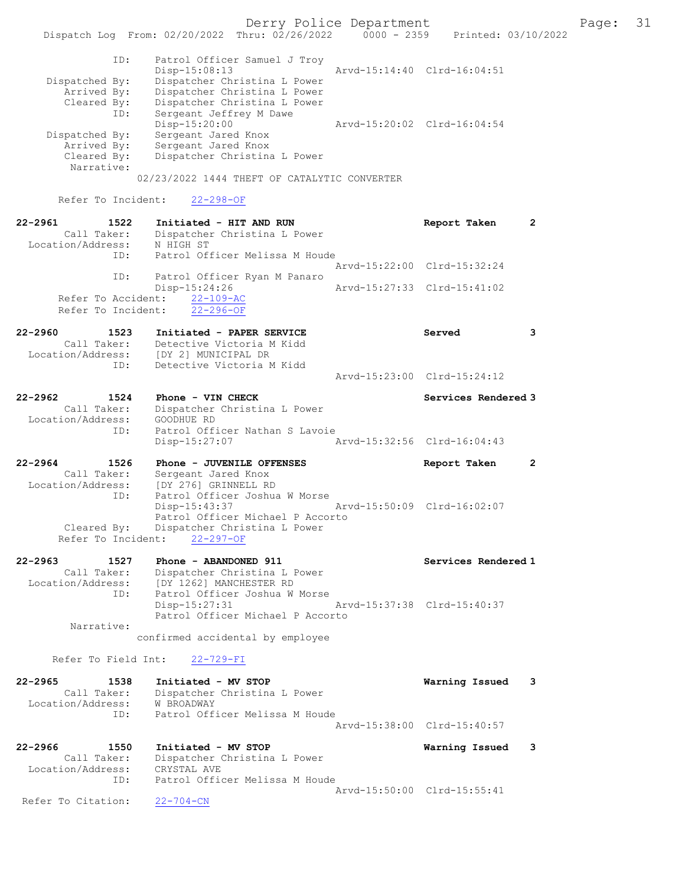Derry Police Department Fage: 31 Dispatch Log From: 02/20/2022 Thru: 02/26/2022 0000 - 2359 Printed: 03/10/2022 ID: Patrol Officer Samuel J Troy Disp-15:08:13 Arvd-15:14:40 Clrd-16:04:51 Dispatched By: Dispatcher Christina L Power Arrived By: Dispatcher Christina L Power Cleared By: Dispatcher Christina L Power ID: Sergeant Jeffrey M Dawe Disp-15:20:00 Arvd-15:20:02 Clrd-16:04:54 Dispatched By: Sergeant Jared Knox Arrived By: Sergeant Jared Knox Cleared By: Dispatcher Christina L Power Narrative: 02/23/2022 1444 THEFT OF CATALYTIC CONVERTER Refer To Incident: 22-298-OF 22-2961 1522 Initiated - HIT AND RUN Report Taken 2 Call Taker: Dispatcher Christina L Power Location/Address: N HIGH ST ID: Patrol Officer Melissa M Houde Arvd-15:22:00 Clrd-15:32:24 ID: Patrol Officer Ryan M Panaro Disp-15:24:26 Arvd-15:27:33 Clrd-15:41:02 Refer To Accident: 22-109-AC Refer To Incident: 22-296-OF 22-2960 1523 Initiated - PAPER SERVICE Served 3 Call Taker: Detective Victoria M Kidd Location/Address: [DY 2] MUNICIPAL DR ID: Detective Victoria M Kidd Arvd-15:23:00 Clrd-15:24:12 22-2962 1524 Phone - VIN CHECK Services Rendered 3 Call Taker: Dispatcher Christina L Power Location/Address: GOODHUE RD ID: Patrol Officer Nathan S Lavoie Disp-15:27:07 Arvd-15:32:56 Clrd-16:04:43 22-2964 1526 Phone - JUVENILE OFFENSES Report Taken 2 Call Taker: Sergeant Jared Knox Location/Address: [DY 276] GRINNELL RD ID: Patrol Officer Joshua W Morse Disp-15:43:37 Arvd-15:50:09 Clrd-16:02:07 Patrol Officer Michael P Accorto Cleared By: Dispatcher Christina L Power Refer To Incident: 22-297-OF 22-2963 1527 Phone - ABANDONED 911 Services Rendered 1 Call Taker: Dispatcher Christina L Power Location/Address: [DY 1262] MANCHESTER RD ID: Patrol Officer Joshua W Morse Disp-15:27:31 Arvd-15:37:38 Clrd-15:40:37 Patrol Officer Michael P Accorto Narrative: confirmed accidental by employee Refer To Field Int: 22-729-FI 22-2965 1538 Initiated - MV STOP Warning Issued 3 Call Taker: Dispatcher Christina L Power Location/Address: W BROADWAY ID: Patrol Officer Melissa M Houde Arvd-15:38:00 Clrd-15:40:57 22-2966 1550 Initiated - MV STOP Warning Issued 3 Call Taker: Dispatcher Christina L Power Location/Address: CRYSTAL AVE ID: Patrol Officer Melissa M Houde Arvd-15:50:00 Clrd-15:55:41 Refer To Citation: 22-704-CN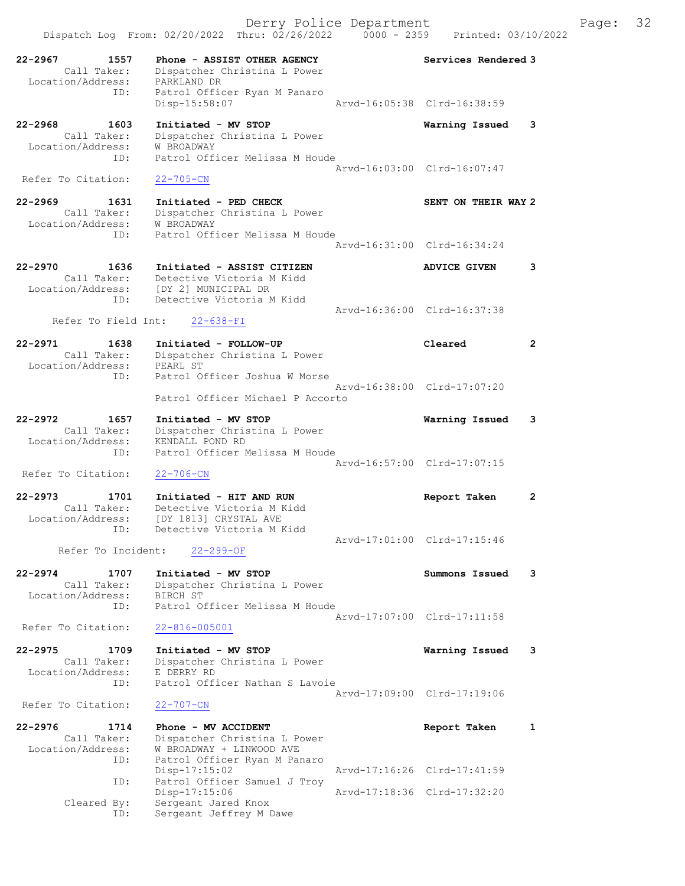Dispatch Log From: 02/20/2022 Thru: 02/26/2022 0000 - 2359 Printed: 03/10/2022 22-2967 1557 Phone - ASSIST OTHER AGENCY Services Rendered 3 Call Taker: Dispatcher Christina L Power Location/Address: PARKLAND DR ID: Patrol Officer Ryan M Panaro Disp-15:58:07 22-2968 1603 Initiated - MV STOP Warning Issued 3 Call Taker: Dispatcher Christina L Power Location/Address: W BROADWAY ID: Patrol Officer Melissa M Houde Arvd-16:03:00 Clrd-16:07:47 Refer To Citation: 22-705-CN 22-2969 1631 Initiated - PED CHECK SENT ON THEIR WAY 2 Call Taker: Dispatcher Christina L Power Location/Address: W BROADWAY ID: Patrol Officer Melissa M Houde Arvd-16:31:00 Clrd-16:34:24 22-2970 1636 Initiated - ASSIST CITIZEN ADVICE GIVEN 3 Call Taker: Detective Victoria M Kidd Location/Address: [DY 2] MUNICIPAL DR ID: Detective Victoria M Kidd Arvd-16:36:00 Clrd-16:37:38 Refer To Field Int: 22-638-FI 22-2971 1638 Initiated - FOLLOW-UP Cleared 2 Call Taker: Dispatcher Christina L Power Location/Address: PEARL ST ID: Patrol Officer Joshua W Morse Arvd-16:38:00 Clrd-17:07:20 Patrol Officer Michael P Accorto 22-2972 1657 Initiated - MV STOP Warning Issued 3 Call Taker: Dispatcher Christina L Power Location/Address: KENDALL POND RD ID: Patrol Officer Melissa M Houde Arvd-16:57:00 Clrd-17:07:15<br>22-706-CN Refer To Citation: 22-2973 1701 Initiated - HIT AND RUN Report Taken 2 Call Taker: Detective Victoria M Kidd Location/Address: [DY 1813] CRYSTAL AVE ID: Detective Victoria M Kidd Arvd-17:01:00 Clrd-17:15:46 Refer To Incident: 22-299-OF 22-2974 1707 Initiated - MV STOP Summons Issued 3 Call Taker: Dispatcher Christina L Power Location/Address: BIRCH ST ID: Patrol Officer Melissa M Houde Arvd-17:07:00 Clrd-17:11:58 Refer To Citation: 22-816-005001 22-2975 1709 Initiated - MV STOP Warning Issued 3 Call Taker: Dispatcher Christina L Power Location/Address: E DERRY RD ID: Patrol Officer Nathan S Lavoie Arvd-17:09:00 Clrd-17:19:06 Refer To Citation: 22-707-CN 22-2976 1714 Phone - MV ACCIDENT Report Taken 1 Call Taker: Dispatcher Christina L Power Location/Address: W BROADWAY + LINWOOD AVE ID: Patrol Officer Ryan M Panaro Disp-17:15:02 Arvd-17:16:26 Clrd-17:41:59 ID: Patrol Officer Samuel J Troy Disp-17:15:06 Arvd-17:18:36 Clrd-17:32:20 Cleared By: Sergeant Jared Knox ID: Sergeant Jeffrey M Dawe

Derry Police Department Fage: 32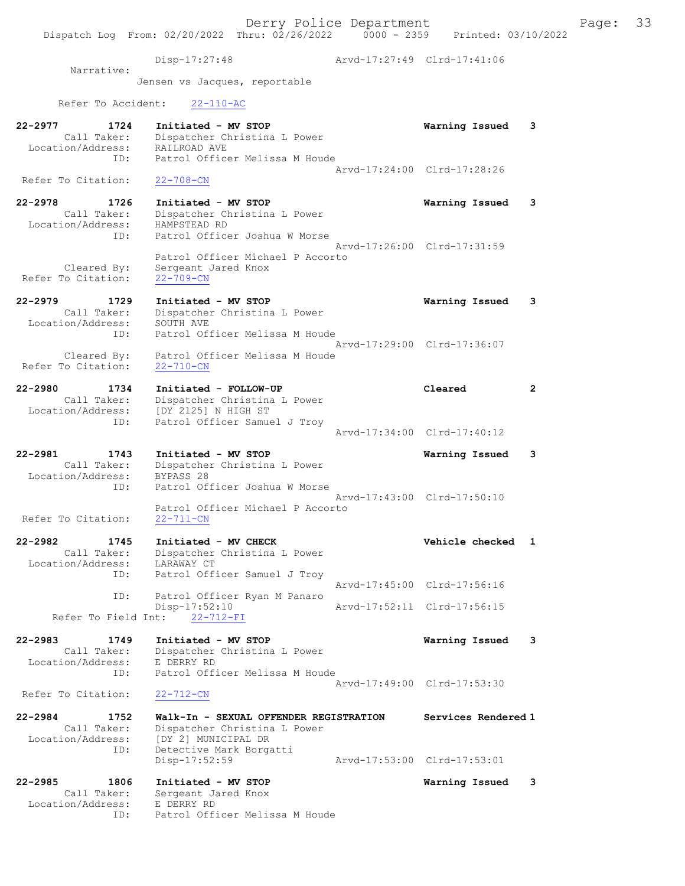Derry Police Department Fage: 33 Dispatch Log From: 02/20/2022 Thru: 02/26/2022 0000 - 2359 Printed: 03/10/2022 Disp-17:27:48 Arvd-17:27:49 Clrd-17:41:06 Narrative: Jensen vs Jacques, reportable Refer To Accident: 22-110-AC 22-2977 1724 Initiated - MV STOP Warning Issued 3 Call Taker: Dispatcher Christina L Power Location/Address: RAILROAD AVE ID: Patrol Officer Melissa M Houde Arvd-17:24:00 Clrd-17:28:26 Refer To Citation: 22-708-CN 22-2978 1726 Initiated - MV STOP Warning Issued 3 Call Taker: Dispatcher Christina L Power Location/Address: HAMPSTEAD RD ID: Patrol Officer Joshua W Morse Arvd-17:26:00 Clrd-17:31:59 Patrol Officer Michael P Accorto Cleared By: Sergeant Jared Knox Refer To Citation: 22-709-CN 22-2979 1729 Initiated - MV STOP Warning Issued 3 Call Taker: Dispatcher Christina L Power Location/Address: SOUTH AVE ID: Patrol Officer Melissa M Houde Arvd-17:29:00 Clrd-17:36:07 Cleared By: Patrol Officer Melissa M Houde Refer To Citation: 22-710-CN 22-2980 1734 Initiated - FOLLOW-UP Cleared 2 Call Taker: Dispatcher Christina L Power Location/Address: [DY 2125] N HIGH ST ID: Patrol Officer Samuel J Troy Arvd-17:34:00 Clrd-17:40:12 22-2981 1743 Initiated - MV STOP Warning Issued 3 Call Taker: Dispatcher Christina L Power Location/Address: BYPASS 28 ID: Patrol Officer Joshua W Morse Arvd-17:43:00 Clrd-17:50:10 Patrol Officer Michael P Accorto<br>22-711-CN Refer To Citation: 22-2982 1745 Initiated - MV CHECK Vehicle checked 1 Call Taker: Dispatcher Christina L Power Location/Address: LARAWAY CT ID: Patrol Officer Samuel J Troy Arvd-17:45:00 Clrd-17:56:16<br>TD: Patrol Officer Ryan M Panaro Patrol Officer Ryan M Panaro<br>Disp-17:52:10 Disp-17:52:10 Arvd-17:52:11 Clrd-17:56:15 Refer To Field Int: 22-712-FI 22-2983 1749 Initiated - MV STOP Warning Issued 3 Call Taker: Dispatcher Christina L Power Location/Address: E DERRY RD ID: Patrol Officer Melissa M Houde Arvd-17:49:00 Clrd-17:53:30<br>22-712-CN Refer To Citation: 22-2984 1752 Walk-In - SEXUAL OFFENDER REGISTRATION Services Rendered 1 Call Taker: Dispatcher Christina L Power Location/Address: [DY 2] MUNICIPAL DR ID: Detective Mark Borgatti Disp-17:52:59 Arvd-17:53:00 Clrd-17:53:01 22-2985 1806 Initiated - MV STOP Warning Issued 3 Call Taker: Sergeant Jared Knox Location/Address: E DERRY RD

ID: Patrol Officer Melissa M Houde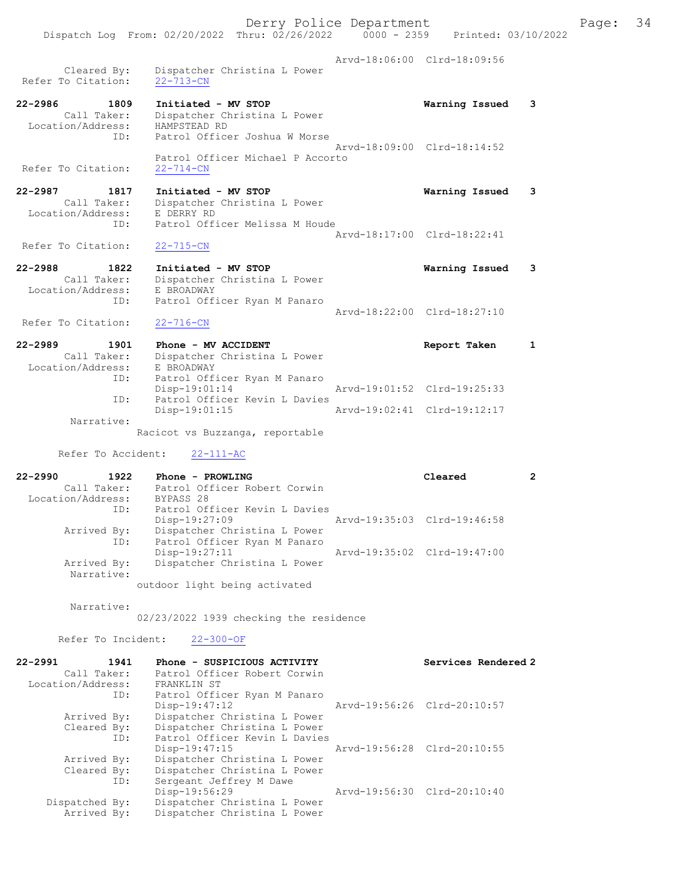Derry Police Department Fage: 34 Dispatch Log From: 02/20/2022 Thru: 02/26/2022 0000 - 2359 Printed: 03/10/2022 Arvd-18:06:00 Clrd-18:09:56 Cleared By: Dispatcher Christina L Power Refer To Citation: 22-713-CN 22-2986 1809 Initiated - MV STOP Warning Issued 3 Call Taker: Dispatcher Christina L Power Location/Address: HAMPSTEAD RD ID: Patrol Officer Joshua W Morse Arvd-18:09:00 Clrd-18:14:52 Patrol Officer Michael P Accorto Refer To Citation: 22-2987 1817 Initiated - MV STOP Warning Issued 3 Call Taker: Dispatcher Christina L Power Location/Address: E DERRY RD ID: Patrol Officer Melissa M Houde Arvd-18:17:00 Clrd-18:22:41<br>22-715-CN Refer To Citation: 22-2988 1822 Initiated - MV STOP Warning Issued 3 Call Taker: Dispatcher Christina L Power Location/Address: E BROADWAY ID: Patrol Officer Ryan M Panaro Arvd-18:22:00 Clrd-18:27:10 Refer To Citation: 22-716-CN 22-2989 1901 Phone - MV ACCIDENT 1 22-2989 Report Taken 1 Call Taker: Dispatcher Christina L Power Location/Address: E BROADWAY ID: Patrol Officer Ryan M Panaro Disp-19:01:14 Arvd-19:01:52 Clrd-19:25:33 ID: Patrol Officer Kevin L Davies<br>Disp-19:01:15 Arvd-19:02:41 Clrd-19:12:17 Narrative: Racicot vs Buzzanga, reportable Refer To Accident: 22-111-AC 22-2990 1922 Phone - PROWLING Cleared 2 Call Taker: Patrol Officer Robert Corwin Location/Address: BYPASS 28 ID: Patrol Officer Kevin L Davies<br>Disp-19:27:09 Mrvd-19:35:03 Clrd-19:46:58 Disp-19:27:09 Arvd-19:35:03 Clrd-19:46:58

 Arrived By: Dispatcher Christina L Power ID: Patrol Officer Ryan M Panaro Disp-19:27:11 Arvd-19:35:02 Clrd-19:47:00 Arrived By: Dispatcher Christina L Power Narrative:

outdoor light being activated

Narrative:

02/23/2022 1939 checking the residence

Refer To Incident: 22-300-OF

| 22-2991           | 1941 | Phone - SUSPICIOUS ACTIVITY   | Services Rendered 2         |
|-------------------|------|-------------------------------|-----------------------------|
| Call Taker:       |      | Patrol Officer Robert Corwin  |                             |
| Location/Address: |      | FRANKLIN ST                   |                             |
|                   | ID:  | Patrol Officer Ryan M Panaro  |                             |
|                   |      | $Disp-19:47:12$               | Arvd-19:56:26 Clrd-20:10:57 |
| Arrived By:       |      | Dispatcher Christina L Power  |                             |
| Cleared By:       |      | Dispatcher Christina L Power  |                             |
|                   | ID:  | Patrol Officer Kevin L Davies |                             |
|                   |      | $Disp-19:47:15$               | Arvd-19:56:28 Clrd-20:10:55 |
| Arrived By:       |      | Dispatcher Christina L Power  |                             |
| Cleared By:       |      | Dispatcher Christina L Power  |                             |
|                   | ID:  | Sergeant Jeffrey M Dawe       |                             |
|                   |      | Disp-19:56:29                 | Arvd-19:56:30 Clrd-20:10:40 |
| Dispatched By:    |      | Dispatcher Christina L Power  |                             |
| Arrived By:       |      | Dispatcher Christina L Power  |                             |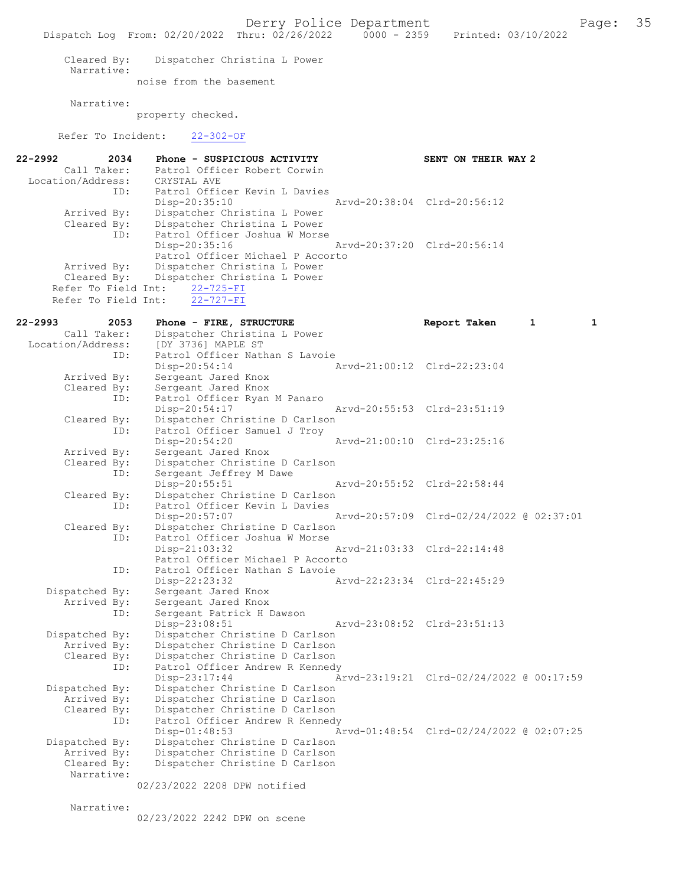Derry Police Department<br>hru:  $02/26/2022$  0000 - 2359 Printed: 03/10/2022 Dispatch Log From: 02/20/2022 Thru: 02/26/2022 Cleared By: Dispatcher Christina L Power Narrative: noise from the basement Narrative: property checked. Refer To Incident: 22-302-OF 22-2992 2034 Phone - SUSPICIOUS ACTIVITY<br>Call Taker: Patrol Officer Robert Corwin Patrol Officer Robert Corwin<br>CRYSTAL AVE Location/Address: ID: Patrol Officer Kevin L Davies Disp-20:35:10 Arvd-20:38:04 Clrd-20:56:12<br>Arrived By: Dispatcher Christina L Power Dispatcher Christina L Power Cleared By: Dispatcher Christina L Power ID: Patrol Officer Joshua W Morse<br>Disp-20:35:16 Disp-20:35:16 Arvd-20:37:20 Clrd-20:56:14 Patrol Officer Michael P Accorto Arrived By: Dispatcher Christina L Power Cleared By: Dispatcher Christina L Power Refer To Field Int:  $22-725-FI$ <br>Refer To Field Int:  $22-727-FI$ Refer To Field Int: 22-2993 2053 Phone - FIRE, STRUCTURE 2010 Report Taken 1 1 Call Taker: Dispatcher Christina L Power Location/Address: [DY 3736] MAPLE ST<br>ID: Patrol Officer Nath Patrol Officer Nathan S Lavoie<br>Disp-20:54:14 / Disp-20:54:14 Arvd-21:00:12 Clrd-22:23:04 Arrived By: Sergeant Jared Knox<br>Cleared By: Sergeant Jared Knox By: Sergeant Jared Knox<br>ID: Patrol Officer Ryan Patrol Officer Ryan M Panaro<br>Disp-20:54:17 Disp-20:54:17 Arvd-20:55:53 Clrd-23:51:19<br>Cleared By: Dispatcher Christine D Carlson By: Dispatcher Christine D Carlson<br>ID: Patrol Officer Samuel J Troy Patrol Officer Samuel J Troy<br>Disp-20:54:20 Disp-20:54:20 <br>Arrived By: Sergeant Jared Knox <br>Arrived By: Sergeant Jared Knox Sergeant Jared Knox Cleared By: Dispatcher Christine D Carlson<br>TD: Sergeant Jeffrey M Dawe Sergeant Jeffrey M Dawe<br>Disp-20:55:51 Disp-20:55:51 Arvd-20:55:52 Clrd-22:58:44 Cleared By: Dispatcher Christine D Carlson<br>ID: Patrol Officer Kevin L Davies Patrol Officer Kevin L Davies<br>Disp-20:57:07 Disp-20:57:07 Arvd-20:57:09 Clrd-02/24/2022 @ 02:37:01<br>Cleared By: Dispatcher Christine D Carlson By: Dispatcher Christine D Carlson<br>ID: Patrol Officer Joshua W Morse Patrol Officer Joshua W Morse Disp-21:03:32 Arvd-21:03:33 Clrd-22:14:48 Patrol Officer Michael P Accorto<br>TD: Patrol Officer Nathan S Lavoie Patrol Officer Nathan S Lavoie Disp-22:23:32 Arvd-22:23:34 Clrd-22:45:29<br>Dispatched By: Sergeant Jared Knox spatched By: Sergeant Jared Knox<br>Arrived By: Sergeant Jared Knox Sergeant Jared Knox ID: Sergeant Patrick H Dawson Disp-23:08:51 Arvd-23:08:52 Clrd-23:51:13<br>Dispatched By: Dispatcher Christine D Carlson patched By: Dispatcher Christine D Carlson<br>Arrived By: Dispatcher Christine D Carlson Arrived By: Dispatcher Christine D Carlson<br>Cleared By: Dispatcher Christine D Carlson Dispatcher Christine D Carlson ID: Patrol Officer Andrew R Kennedy<br>Disp-23:17:44 A Disp-23:17:44 <br>Dispatched By: Dispatcher Christine D Carlson<br>Dispatched By: Dispatcher Christine D Carlson patched By: Dispatcher Christine D Carlson<br>Arrived By: Dispatcher Christine D Carlson Arrived By: Dispatcher Christine D Carlson<br>Cleared By: Dispatcher Christine D Carlson By: Dispatcher Christine D Carlson<br>ID: Patrol Officer Andrew R Kenned Patrol Officer Andrew R Kennedy Disp-01:48:53 Arvd-01:48:54 Clrd-02/24/2022 @ 02:07:25 Dispatched By: Dispatcher Christine D Carlson Arrived By: Dispatcher Christine D Carlson Cleared By: Dispatcher Christine D Carlson Narrative: 02/23/2022 2208 DPW notified

Narrative:

02/23/2022 2242 DPW on scene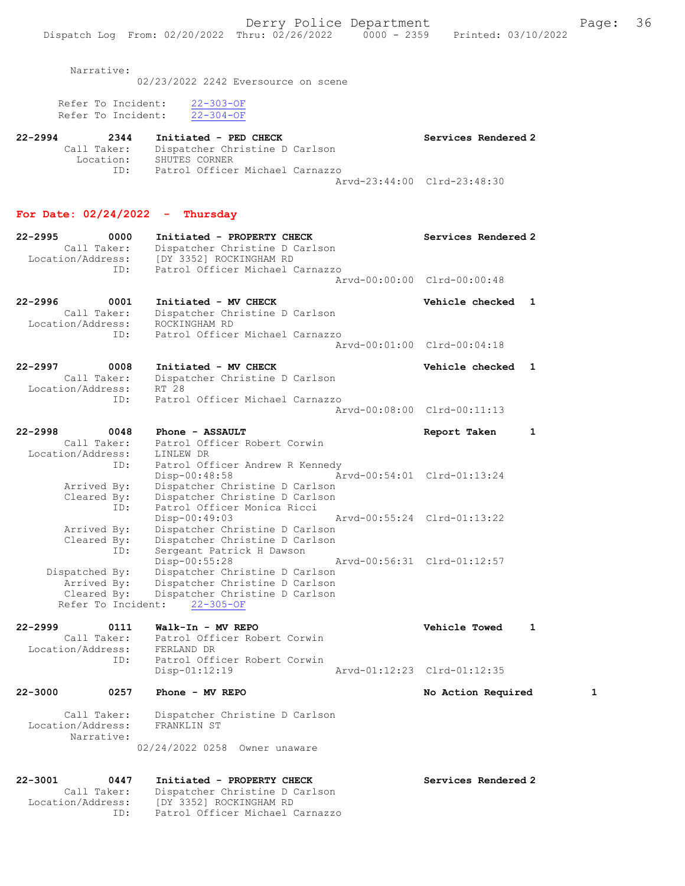Narrative:

02/23/2022 2242 Eversource on scene

|  | Refer To Incident: | $22 - 303 - OF$ |
|--|--------------------|-----------------|
|  | Refer To Incident: | $22 - 304 - OF$ |

| 22-2994 | 2344        | Initiated - PED CHECK           |                             | Services Rendered 2 |
|---------|-------------|---------------------------------|-----------------------------|---------------------|
|         | Call Taker: | Dispatcher Christine D Carlson  |                             |                     |
|         | Location:   | SHUTES CORNER                   |                             |                     |
|         | TD:         | Patrol Officer Michael Carnazzo |                             |                     |
|         |             |                                 | Arvd-23:44:00 Clrd-23:48:30 |                     |

#### For Date: 02/24/2022 - Thursday

| $22 - 2995$ | 0000                             | Initiated - PROPERTY CHECK                                |                             | Services Rendered 2 |  |
|-------------|----------------------------------|-----------------------------------------------------------|-----------------------------|---------------------|--|
|             | Call Taker:<br>Location/Address: | Dispatcher Christine D Carlson<br>[DY 3352] ROCKINGHAM RD |                             |                     |  |
|             | ID:                              | Patrol Officer Michael Carnazzo                           |                             |                     |  |
|             |                                  |                                                           | Aryd-00:00:00 Clrd-00:00:48 |                     |  |
| $22 - 2996$ | 0001                             | Initiated - MV CHECK                                      |                             | Vehicle checked 1   |  |

| Call Taker:       | Dispatcher Christine D Carlson  |  |
|-------------------|---------------------------------|--|
| Location/Address: | ROCKINGHAM RD                   |  |
| ID:               | Patrol Officer Michael Carnazzo |  |
|                   | Arvd-00:01:00 Clrd-00:04:18     |  |

| $22 - 2997$       | 0008        | Initiated - MV CHECK            | Vehicle checked 1           |  |
|-------------------|-------------|---------------------------------|-----------------------------|--|
|                   | Call Taker: | Dispatcher Christine D Carlson  |                             |  |
| Location/Address: |             | RT 28                           |                             |  |
|                   | TD:         | Patrol Officer Michael Carnazzo |                             |  |
|                   |             |                                 | Aryd-00:08:00 Clrd-00:11:13 |  |

| 22-2998            | 0048 | Phone - ASSAULT                 |                             | Report Taken                |  |
|--------------------|------|---------------------------------|-----------------------------|-----------------------------|--|
| Call Taker:        |      | Patrol Officer Robert Corwin    |                             |                             |  |
| Location/Address:  |      | LINLEW DR                       |                             |                             |  |
|                    | ID:  | Patrol Officer Andrew R Kennedy |                             |                             |  |
|                    |      | $Disp-00:48:58$                 |                             |                             |  |
| Arrived By:        |      | Dispatcher Christine D Carlson  |                             |                             |  |
| Cleared By:        |      | Dispatcher Christine D Carlson  |                             |                             |  |
|                    | ID:  | Patrol Officer Monica Ricci     |                             |                             |  |
|                    |      | $Disp-00:49:03$                 | Arvd-00:55:24 Clrd-01:13:22 |                             |  |
| Arrived By:        |      | Dispatcher Christine D Carlson  |                             |                             |  |
| Cleared By:        |      | Dispatcher Christine D Carlson  |                             |                             |  |
|                    | ID:  | Sergeant Patrick H Dawson       |                             |                             |  |
|                    |      | Disp-00:55:28                   |                             | Arvd-00:56:31 Clrd-01:12:57 |  |
| Dispatched By:     |      | Dispatcher Christine D Carlson  |                             |                             |  |
| Arrived By:        |      | Dispatcher Christine D Carlson  |                             |                             |  |
| Cleared By:        |      | Dispatcher Christine D Carlson  |                             |                             |  |
| Refer To Incident: |      | $22 - 305 - 0F$                 |                             |                             |  |

## 22-2999 0111 Walk-In - MV REPO Vehicle Towed 1 Call Taker: Patrol Officer Robert Corwin Location/Address: FERLAND DR ID: Patrol Officer Robert Corwin<br>Disp-01:12:19 Disp-01:12:19 Arvd-01:12:23 Clrd-01:12:35

## 22-3000 0257 Phone - MV REPO **No Action Required** 1

 Call Taker: Dispatcher Christine D Carlson Location/Address: FRANKLIN ST Narrative: 02/24/2022 0258 Owner unaware

#### 22-3001 0447 Initiated - PROPERTY CHECK Services Rendered 2 Call Taker: Dispatcher Christine D Carlson Location/Address: [DY 3352] ROCKINGHAM RD ID: Patrol Officer Michael Carnazzo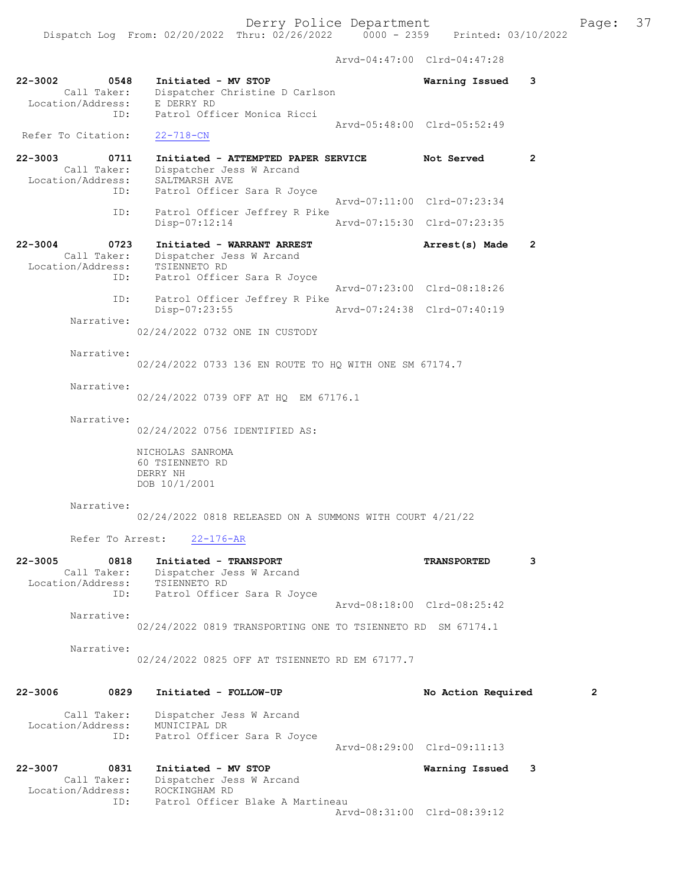Arvd-04:47:00 Clrd-04:47:28

| 22-3002<br>0548<br>Call Taker:<br>Location/Address:            | Initiated - MV STOP<br>Dispatcher Christine D Carlson<br>E DERRY RD                                   | Warning Issued              | 3              |
|----------------------------------------------------------------|-------------------------------------------------------------------------------------------------------|-----------------------------|----------------|
| ID:<br>Refer To Citation:                                      | Patrol Officer Monica Ricci<br>$22 - 718 - CN$                                                        | Arvd-05:48:00 Clrd-05:52:49 |                |
| $22 - 3003$<br>0711<br>Call Taker:<br>Location/Address:        | Initiated - ATTEMPTED PAPER SERVICE Not Served<br>Dispatcher Jess W Arcand<br>SALTMARSH AVE           |                             | 2              |
| ID:                                                            | Patrol Officer Sara R Joyce                                                                           | Arvd-07:11:00 Clrd-07:23:34 |                |
| ID:                                                            | Patrol Officer Jeffrey R Pike<br>Disp-07:12:14                                                        | Arvd-07:15:30 Clrd-07:23:35 |                |
| $22 - 3004$<br>0723<br>Call Taker:<br>Location/Address:<br>ID: | Initiated - WARRANT ARREST<br>Dispatcher Jess W Arcand<br>TSIENNETO RD<br>Patrol Officer Sara R Joyce | Arrest(s) Made              | 2              |
| ID:                                                            | Patrol Officer Jeffrey R Pike                                                                         | Arvd-07:23:00 Clrd-08:18:26 |                |
| Narrative:                                                     | Disp-07:23:55                                                                                         | Arvd-07:24:38 Clrd-07:40:19 |                |
|                                                                | 02/24/2022 0732 ONE IN CUSTODY                                                                        |                             |                |
| Narrative:                                                     | 02/24/2022 0733 136 EN ROUTE TO HQ WITH ONE SM 67174.7                                                |                             |                |
| Narrative:                                                     | 02/24/2022 0739 OFF AT HQ EM 67176.1                                                                  |                             |                |
| Narrative:                                                     | 02/24/2022 0756 IDENTIFIED AS:                                                                        |                             |                |
|                                                                | NICHOLAS SANROMA<br>60 TSIENNETO RD<br>DERRY NH<br>DOB 10/1/2001                                      |                             |                |
| Narrative:                                                     | 02/24/2022 0818 RELEASED ON A SUMMONS WITH COURT 4/21/22                                              |                             |                |
| Refer To Arrest:                                               | $22 - 176 - AR$                                                                                       |                             |                |
| $22 - 3005$<br>0818<br>Call Taker:<br>Location/Address:<br>ID: | Initiated - TRANSPORT<br>Dispatcher Jess W Arcand<br>TSIENNETO RD<br>Patrol Officer Sara R Joyce      | <b>TRANSPORTED</b>          | 3              |
| Narrative:                                                     |                                                                                                       | Arvd-08:18:00 Clrd-08:25:42 |                |
|                                                                | 02/24/2022 0819 TRANSPORTING ONE TO TSIENNETO RD SM 67174.1                                           |                             |                |
| Narrative:                                                     | 02/24/2022 0825 OFF AT TSIENNETO RD EM 67177.7                                                        |                             |                |
| 0829<br>22-3006                                                | Initiated - FOLLOW-UP                                                                                 | No Action Required          | $\overline{2}$ |
| Call Taker:<br>Location/Address:<br>ID:                        | Dispatcher Jess W Arcand<br>MUNICIPAL DR<br>Patrol Officer Sara R Joyce                               |                             |                |
|                                                                |                                                                                                       | Arvd-08:29:00 Clrd-09:11:13 |                |
| 22-3007<br>0831<br>Call Taker:<br>Location/Address:<br>ID:     | Initiated - MV STOP<br>Dispatcher Jess W Arcand<br>ROCKINGHAM RD<br>Patrol Officer Blake A Martineau  | Warning Issued              | 3              |
|                                                                |                                                                                                       | Arvd-08:31:00 Clrd-08:39:12 |                |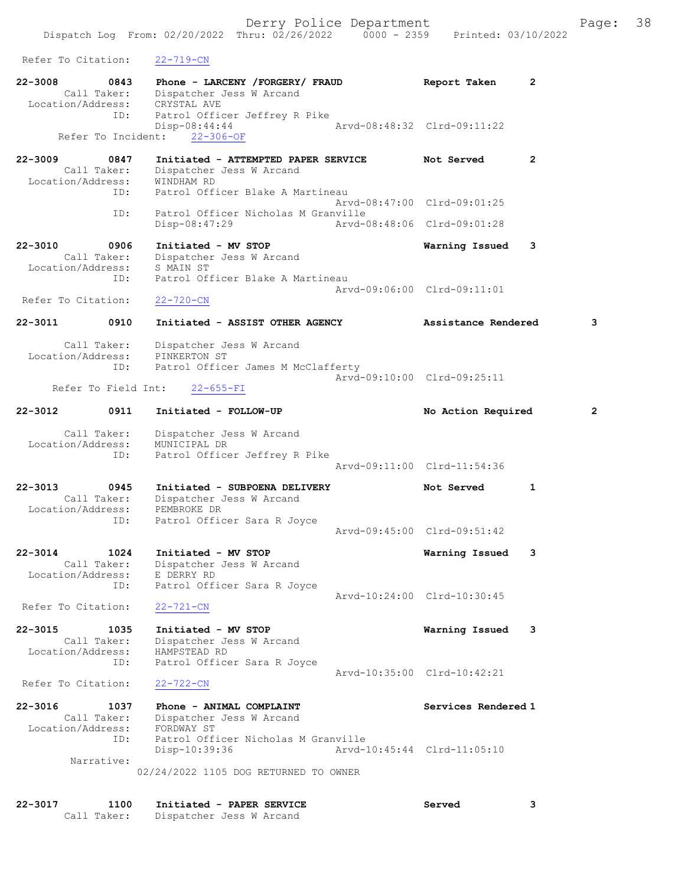Refer To Citation: 22-719-CN

| Refer To Citation:                                             | <u> ZZ=119-CN</u>                                                                                                 |                                                            |   |
|----------------------------------------------------------------|-------------------------------------------------------------------------------------------------------------------|------------------------------------------------------------|---|
| $22 - 3008$<br>0843<br>Call Taker:<br>Location/Address:        | Phone - LARCENY / FORGERY / FRAUD<br>Dispatcher Jess W Arcand<br>CRYSTAL AVE                                      | 2<br>Report Taken                                          |   |
| ID:<br>Refer To Incident:                                      | Patrol Officer Jeffrey R Pike<br>Disp-08:44:44<br>$22 - 306 - OF$                                                 | Arvd-08:48:32 Clrd-09:11:22                                |   |
| $22 - 3009$<br>0847<br>Call Taker:<br>Location/Address:<br>ID: | Initiated - ATTEMPTED PAPER SERVICE<br>Dispatcher Jess W Arcand<br>WINDHAM RD<br>Patrol Officer Blake A Martineau | $\overline{2}$<br>Not Served                               |   |
| ID:                                                            | Patrol Officer Nicholas M Granville<br>Disp-08:47:29                                                              | Arvd-08:47:00 Clrd-09:01:25<br>Arvd-08:48:06 Clrd-09:01:28 |   |
| 22-3010<br>0906<br>Call Taker:<br>Location/Address:<br>ID:     | Initiated - MV STOP<br>Dispatcher Jess W Arcand<br>S MAIN ST<br>Patrol Officer Blake A Martineau                  | 3<br>Warning Issued                                        |   |
| Refer To Citation:                                             | $22 - 720 - CN$                                                                                                   | Arvd-09:06:00 Clrd-09:11:01                                |   |
| $22 - 3011$<br>0910                                            | Initiated - ASSIST OTHER AGENCY                                                                                   | Assistance Rendered                                        | 3 |
| Call Taker:<br>Location/Address:<br>ID:<br>Refer To Field Int: | Dispatcher Jess W Arcand<br>PINKERTON ST<br>Patrol Officer James M McClafferty<br>$22 - 655 - FI$                 | Arvd-09:10:00 Clrd-09:25:11                                |   |
| 22-3012<br>0911                                                | Initiated - FOLLOW-UP                                                                                             | No Action Required                                         | 2 |
| Call Taker:<br>Location/Address:<br>ID:                        | Dispatcher Jess W Arcand<br>MUNICIPAL DR<br>Patrol Officer Jeffrey R Pike                                         | Arvd-09:11:00 Clrd-11:54:36                                |   |
| $22 - 3013$<br>0945<br>Call Taker:<br>Location/Address:<br>ID: | Initiated - SUBPOENA DELIVERY<br>Dispatcher Jess W Arcand<br>PEMBROKE DR<br>Patrol Officer Sara R Joyce           | 1<br>Not Served<br>Arvd-09:45:00 Clrd-09:51:42             |   |
| 1024<br>$22 - 3014$<br>Call Taker:<br>Location/Address:<br>ID: | Initiated - MV STOP<br>Dispatcher Jess W Arcand<br>E DERRY RD<br>Patrol Officer Sara R Joyce                      | Warning Issued<br>3                                        |   |
| Refer To Citation:                                             | $22 - 721 - CN$                                                                                                   | Arvd-10:24:00 Clrd-10:30:45                                |   |
| $22 - 3015$<br>1035<br>Call Taker:<br>Location/Address:<br>ID: | Initiated - MV STOP<br>Dispatcher Jess W Arcand<br>HAMPSTEAD RD<br>Patrol Officer Sara R Joyce                    | Warning Issued<br>3                                        |   |
| Refer To Citation:                                             | $22 - 722 - CN$                                                                                                   | Aryd-10:35:00 Clrd-10:42:21                                |   |
| $22 - 3016$<br>1037<br>Call Taker:<br>Location/Address:<br>ID: | Phone - ANIMAL COMPLAINT<br>Dispatcher Jess W Arcand<br>FORDWAY ST<br>Patrol Officer Nicholas M Granville         | Services Rendered 1                                        |   |
| Narrative:                                                     | Disp-10:39:36<br>02/24/2022 1105 DOG RETURNED TO OWNER                                                            | Arvd-10:45:44 Clrd-11:05:10                                |   |

| 22-3017 | 1100 | Initiated - PAPER SERVICE            | Served |  |
|---------|------|--------------------------------------|--------|--|
|         |      | Call Taker: Dispatcher Jess W Arcand |        |  |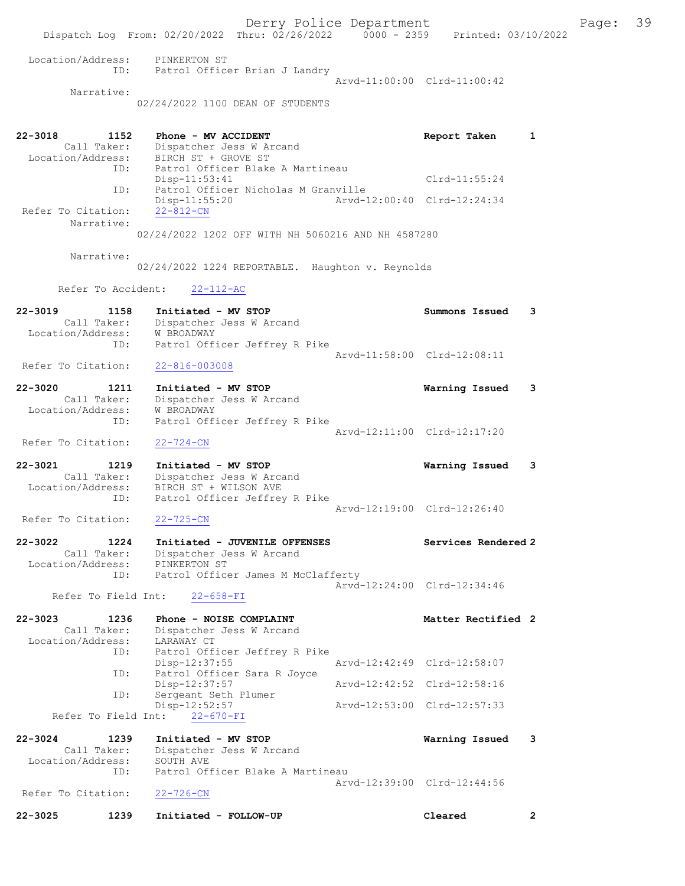Derry Police Department Fage: 39 Dispatch Log From: 02/20/2022 Thru: 02/26/2022 0000 - 2359 Printed: 03/10/2022 Location/Address: PINKERTON ST ID: Patrol Officer Brian J Landry Arvd-11:00:00 Clrd-11:00:42 Narrative: 02/24/2022 1100 DEAN OF STUDENTS 22-3018 1152 Phone - MV ACCIDENT Report Taken 1 Call Taker: Dispatcher Jess W Arcand Location/Address: BIRCH ST + GROVE ST ID: Patrol Officer Blake A Martineau Disp-11:53:41 Clrd-11:55:24 ID: Patrol Officer Nicholas M Granville Disp-11:55:20 Arvd-12:00:40 Clrd-12:24:34 Refer To Citation: 22-812-CN Narrative: 02/24/2022 1202 OFF WITH NH 5060216 AND NH 4587280 Narrative: 02/24/2022 1224 REPORTABLE. Haughton v. Reynolds Refer To Accident: 22-112-AC 22-3019 1158 Initiated - MV STOP Summons Issued 3 Call Taker: Dispatcher Jess W Arcand Location/Address: W BROADWAY ID: Patrol Officer Jeffrey R Pike Arvd-11:58:00 Clrd-12:08:11<br>22-816-003008 Refer To Citation: 22-3020 1211 Initiated - MV STOP Warning Issued 3 Call Taker: Dispatcher Jess W Arcand Location/Address: W BROADWAY ID: Patrol Officer Jeffrey R Pike Arvd-12:11:00 Clrd-12:17:20 Refer To Citation: 22-724-CN 22-3021 1219 Initiated - MV STOP Warning Issued 3 Call Taker: Dispatcher Jess W Arcand Location/Address: BIRCH ST + WILSON AVE ID: Patrol Officer Jeffrey R Pike Arvd-12:19:00 Clrd-12:26:40<br>22-725-CN Refer To Citation: 22-3022 1224 Initiated - JUVENILE OFFENSES Services Rendered 2 Call Taker: Dispatcher Jess W Arcand Location/Address: PINKERTON ST ID: Patrol Officer James M McClafferty Arvd-12:24:00 Clrd-12:34:46 Refer To Field Int: 22-658-FI 22-3023 1236 Phone - NOISE COMPLAINT Noted that Matter Rectified 2 Call Taker: Dispatcher Jess W Arcand Location/Address: LARAWAY CT ID: Patrol Officer Jeffrey R Pike<br>Disp-12:37:55 Mrvd-12:42:49 Clrd-12:58:07 Disp-12:37:55 Arvd-12:42:49 Clrd-12:58:07 ID: Patrol Officer Sara R Joyce Disp-12:37:57 Arvd-12:42:52 Clrd-12:58:16 ID: Sergeant Seth Plumer Disp-12:52:57 Arvd-12:53:00 Clrd-12:57:33 Refer To Field Int: 22-670-FI 22-3024 1239 Initiated - MV STOP Warning Issued 3 Call Taker: Dispatcher Jess W Arcand Location/Address: SOUTH AVE ID: Patrol Officer Blake A Martineau Arvd-12:39:00 Clrd-12:44:56 Refer To Citation: 22-726-CN 22-3025 1239 Initiated - FOLLOW-UP Cleared 2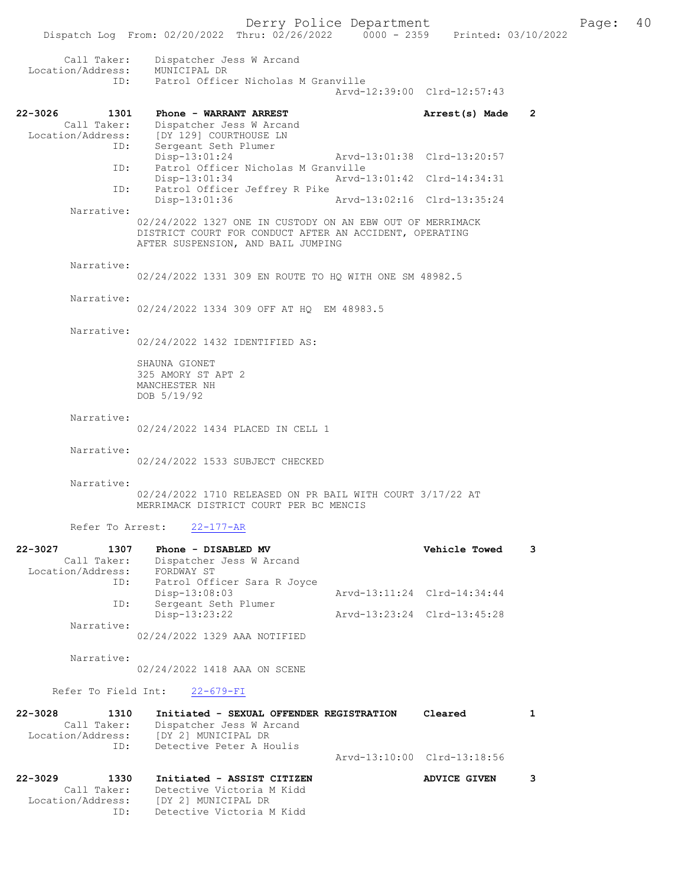|                                  | Dispatch Log From: 02/20/2022 Thru: $02/26/2022$ $0000 - 2359$ Printed: 03/10/2022                                                                         | Derry Police Department     |                             |                | Page: 40 |  |
|----------------------------------|------------------------------------------------------------------------------------------------------------------------------------------------------------|-----------------------------|-----------------------------|----------------|----------|--|
| Call Taker:<br>Location/Address: | Dispatcher Jess W Arcand<br>MUNICIPAL DR                                                                                                                   |                             |                             |                |          |  |
|                                  | ID: Patrol Officer Nicholas M Granville                                                                                                                    |                             |                             |                |          |  |
|                                  |                                                                                                                                                            |                             | Arvd-12:39:00 Clrd-12:57:43 |                |          |  |
| 22-3026<br>1301                  | Phone - WARRANT ARREST                                                                                                                                     |                             | Arrest(s) Made              | $\overline{2}$ |          |  |
| Call Taker:                      | Dispatcher Jess W Arcand<br>Location/Address: [DY 129] COURTHOUSE LN                                                                                       |                             |                             |                |          |  |
| ID:                              | Sergeant Seth Plumer                                                                                                                                       |                             |                             |                |          |  |
|                                  | Disp-13:01:24                                                                                                                                              | Arvd-13:01:38 Clrd-13:20:57 |                             |                |          |  |
| ID:                              | Patrol Officer Nicholas M Granville<br>Disp-13:01:34                                                                                                       | Arvd-13:01:42 Clrd-14:34:31 |                             |                |          |  |
| ID:                              | Patrol Officer Jeffrey R Pike                                                                                                                              |                             |                             |                |          |  |
|                                  | Disp-13:01:36                                                                                                                                              | Arvd-13:02:16 Clrd-13:35:24 |                             |                |          |  |
| Narrative:                       |                                                                                                                                                            |                             |                             |                |          |  |
|                                  | 02/24/2022 1327 ONE IN CUSTODY ON AN EBW OUT OF MERRIMACK<br>DISTRICT COURT FOR CONDUCT AFTER AN ACCIDENT, OPERATING<br>AFTER SUSPENSION, AND BAIL JUMPING |                             |                             |                |          |  |
| Narrative:                       | 02/24/2022 1331 309 EN ROUTE TO HQ WITH ONE SM 48982.5                                                                                                     |                             |                             |                |          |  |
| Narrative:                       | 02/24/2022 1334 309 OFF AT HQ EM 48983.5                                                                                                                   |                             |                             |                |          |  |
| Narrative:                       |                                                                                                                                                            |                             |                             |                |          |  |
|                                  | 02/24/2022 1432 IDENTIFIED AS:                                                                                                                             |                             |                             |                |          |  |
|                                  | SHAUNA GIONET<br>325 AMORY ST APT 2<br>MANCHESTER NH<br>DOB 5/19/92                                                                                        |                             |                             |                |          |  |
| Narrative:                       |                                                                                                                                                            |                             |                             |                |          |  |
|                                  | 02/24/2022 1434 PLACED IN CELL 1                                                                                                                           |                             |                             |                |          |  |
| Narrative:                       | 02/24/2022 1533 SUBJECT CHECKED                                                                                                                            |                             |                             |                |          |  |
| Narrative:                       | 02/24/2022 1710 RELEASED ON PR BAIL WITH COURT 3/17/22 AT<br>MERRIMACK DISTRICT COURT PER BC MENCIS                                                        |                             |                             |                |          |  |
| Refer To Arrest:                 | $22 - 177 - AR$                                                                                                                                            |                             |                             |                |          |  |
| 22-3027<br>1307                  | Phone - DISABLED MV                                                                                                                                        |                             | Vehicle Towed               | 3              |          |  |
| Call Taker:                      | Dispatcher Jess W Arcand<br>FORDWAY ST                                                                                                                     |                             |                             |                |          |  |
| Location/Address:<br>ID:         | Patrol Officer Sara R Joyce                                                                                                                                |                             |                             |                |          |  |
|                                  | Disp-13:08:03                                                                                                                                              |                             | Arvd-13:11:24 Clrd-14:34:44 |                |          |  |
| ID:                              | Sergeant Seth Plumer                                                                                                                                       |                             |                             |                |          |  |
|                                  | Disp-13:23:22                                                                                                                                              | Arvd-13:23:24 Clrd-13:45:28 |                             |                |          |  |

02/24/2022 1329 AAA NOTIFIED

Narrative:

Narrative:

02/24/2022 1418 AAA ON SCENE

## Refer To Field Int:  $22-679-FI$

 Call Taker: Detective Victoria M Kidd Location/Address: [DY 2] MUNICIPAL DR ID: Detective Victoria M Kidd

| $22 - 3028$ | 1310<br>Call Taker:<br>Location/Address:<br>TD: | Initiated - SEXUAL OFFENDER REGISTRATION<br>Dispatcher Jess W Arcand<br>[DY 2] MUNICIPAL DR<br>Detective Peter A Houlis | Cleared                     |  |
|-------------|-------------------------------------------------|-------------------------------------------------------------------------------------------------------------------------|-----------------------------|--|
|             |                                                 |                                                                                                                         | Arvd-13:10:00 Clrd-13:18:56 |  |
| $22 - 3029$ | 1330                                            | Initiated - ASSIST CITIZEN                                                                                              | ADVICE GIVEN                |  |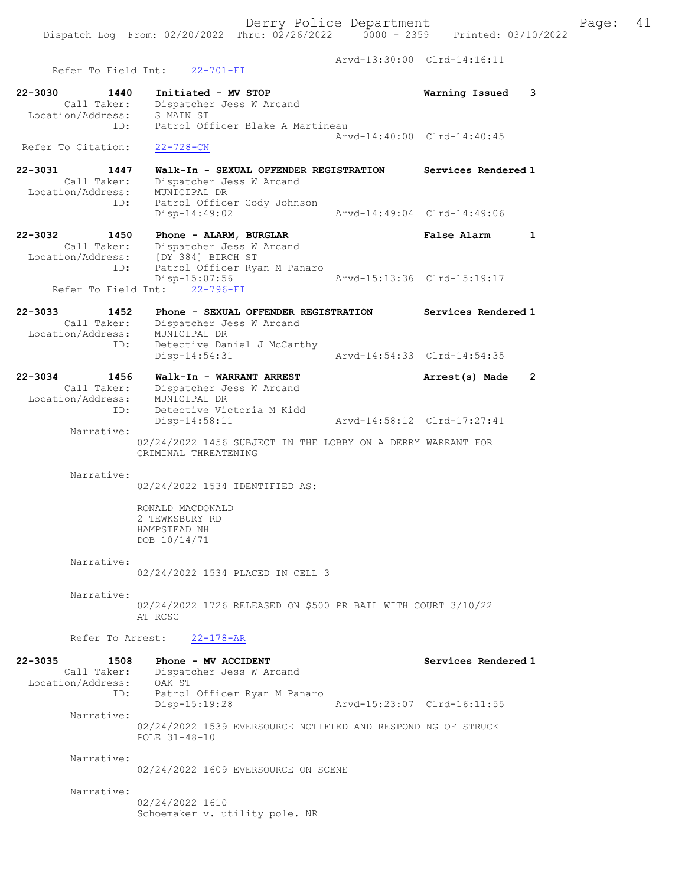Dispatch Log From: 02/20/2022 Thru: 02/26/2022 0000 - 2359 Printed: 03/10/2022

 Arvd-13:30:00 Clrd-14:16:11 Refer To Field Int: 22-701-FI 22-3030 1440 Initiated - MV STOP Warning Issued 3 Call Taker: Dispatcher Jess W Arcand Location/Address: S MAIN ST ID: Patrol Officer Blake A Martineau Arvd-14:40:00 Clrd-14:40:45 Refer To Citation: 22-728-CN 22-3031 1447 Walk-In - SEXUAL OFFENDER REGISTRATION Services Rendered 1 Call Taker: Dispatcher Jess W Arcand Location/Address: MUNICIPAL DR ID: Patrol Officer Cody Johnson Disp-14:49:02 Arvd-14:49:04 Clrd-14:49:06 22-3032 1450 Phone - ALARM, BURGLAR False Alarm 1 Call Taker: Dispatcher Jess W Arcand Location/Address: [DY 384] BIRCH ST ID: Patrol Officer Ryan M Panaro Disp-15:07:56 Arvd-15:13:36 Clrd-15:19:17 Refer To Field Int: 22-796-FI 22-3033 1452 Phone - SEXUAL OFFENDER REGISTRATION Services Rendered 1 Call Taker: Dispatcher Jess W Arcand Location/Address: MUNICIPAL DR ID: Detective Daniel J McCarthy Disp-14:54:31 Arvd-14:54:33 Clrd-14:54:35 22-3034 1456 Walk-In - WARRANT ARREST Arrest(s) Made 2 Call Taker: Dispatcher Jess W Arcand Location/Address: MUNICIPAL DR ID: Detective Victoria M Kidd Arvd-14:58:12 Clrd-17:27:41 Narrative: 02/24/2022 1456 SUBJECT IN THE LOBBY ON A DERRY WARRANT FOR CRIMINAL THREATENING Narrative: 02/24/2022 1534 IDENTIFIED AS: RONALD MACDONALD 2 TEWKSBURY RD HAMPSTEAD NH DOB 10/14/71 Narrative: 02/24/2022 1534 PLACED IN CELL 3 Narrative: 02/24/2022 1726 RELEASED ON \$500 PR BAIL WITH COURT 3/10/22 AT RCSC Refer To Arrest: 22-178-AR 22-3035 1508 Phone - MV ACCIDENT Services Rendered 1 Call Taker: Dispatcher Jess W Arcand Location/Address: OAK ST ID: Patrol Officer Ryan M Panaro Disp-15:19:28 Arvd-15:23:07 Clrd-16:11:55 Narrative: 02/24/2022 1539 EVERSOURCE NOTIFIED AND RESPONDING OF STRUCK POLE 31-48-10 Narrative: 02/24/2022 1609 EVERSOURCE ON SCENE Narrative:

> 02/24/2022 1610 Schoemaker v. utility pole. NR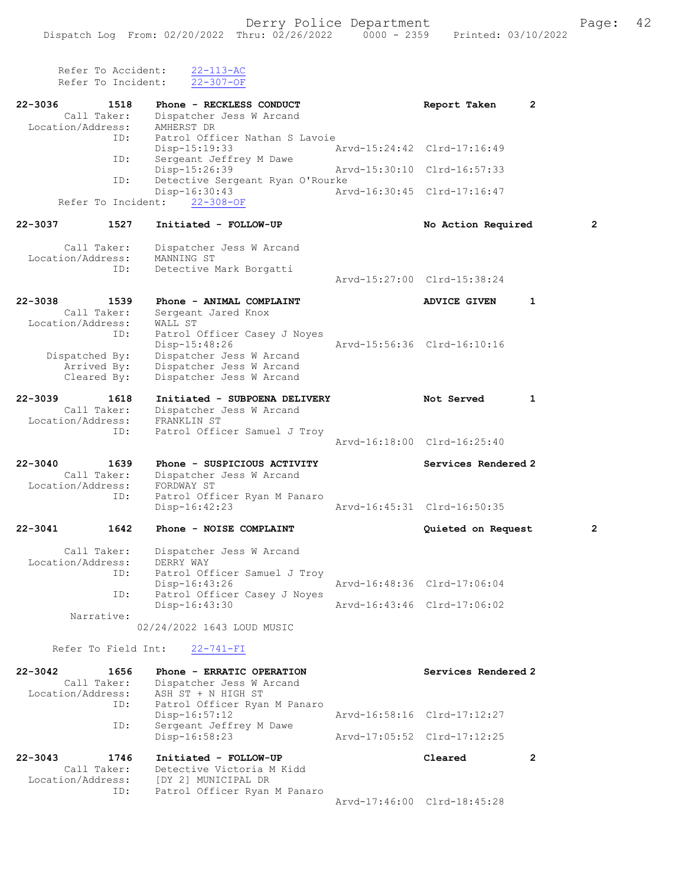| Refer To Accident:<br>Refer To Incident:                | $22 - 113 - AC$<br>$22 - 307 - OF$                                                |                             |                |
|---------------------------------------------------------|-----------------------------------------------------------------------------------|-----------------------------|----------------|
| 22-3036<br>1518                                         | Phone - RECKLESS CONDUCT                                                          | Report Taken                | $\mathbf{2}$   |
| Call Taker:<br>Location/Address:                        | Dispatcher Jess W Arcand<br>AMHERST DR                                            |                             |                |
| ID:                                                     | Patrol Officer Nathan S Lavoie<br>Disp-15:19:33                                   | Arvd-15:24:42 Clrd-17:16:49 |                |
| ID:                                                     | Sergeant Jeffrey M Dawe<br>Disp-15:26:39                                          | Arvd-15:30:10 Clrd-16:57:33 |                |
| ID:                                                     | Detective Sergeant Ryan O'Rourke<br>Disp-16:30:43                                 | Arvd-16:30:45 Clrd-17:16:47 |                |
|                                                         | Refer To Incident: 22-308-OF                                                      |                             |                |
| 22-3037<br>1527                                         | Initiated - FOLLOW-UP                                                             | No Action Required          | $\overline{2}$ |
| Call Taker:<br>Location/Address:                        | Dispatcher Jess W Arcand<br>MANNING ST                                            |                             |                |
| ID:                                                     | Detective Mark Borgatti                                                           | Arvd-15:27:00 Clrd-15:38:24 |                |
|                                                         |                                                                                   |                             |                |
| 22-3038<br>1539<br>Call Taker:                          | Phone - ANIMAL COMPLAINT<br>Sergeant Jared Knox                                   | <b>ADVICE GIVEN</b>         | $\mathbf{1}$   |
| Location/Address:<br>ID:                                | WALL ST<br>Patrol Officer Casey J Noyes                                           |                             |                |
|                                                         | Disp-15:48:26                                                                     | Arvd-15:56:36 Clrd-16:10:16 |                |
| Dispatched By:<br>Arrived By:                           | Dispatcher Jess W Arcand<br>Dispatcher Jess W Arcand                              |                             |                |
| Cleared By:                                             | Dispatcher Jess W Arcand                                                          |                             |                |
| $22 - 3039$<br>1618<br>Call Taker:                      | Initiated - SUBPOENA DELIVERY                                                     | Not Served                  | 1              |
| Location/Address:                                       | Dispatcher Jess W Arcand<br>FRANKLIN ST                                           |                             |                |
| ID:                                                     | Patrol Officer Samuel J Troy                                                      | Arvd-16:18:00 Clrd-16:25:40 |                |
| $22 - 3040$<br>1639                                     | Phone - SUSPICIOUS ACTIVITY                                                       | Services Rendered 2         |                |
| Call Taker:<br>Location/Address:                        | Dispatcher Jess W Arcand<br>FORDWAY ST                                            |                             |                |
| ID:                                                     | Patrol Officer Ryan M Panaro                                                      |                             |                |
|                                                         | Disp-16:42:23                                                                     | Arvd-16:45:31 Clrd-16:50:35 |                |
| 1642<br>22-3041                                         | Phone - NOISE COMPLAINT                                                           | Quieted on Request          | $\mathbf{2}$   |
| Location/Address:<br>ID:                                | Call Taker: Dispatcher Jess W Arcand<br>DERRY WAY<br>Patrol Officer Samuel J Troy |                             |                |
|                                                         | Disp-16:43:26                                                                     | Arvd-16:48:36 Clrd-17:06:04 |                |
| ID:                                                     | Patrol Officer Casey J Noyes<br>Disp-16:43:30                                     | Arvd-16:43:46 Clrd-17:06:02 |                |
| Narrative:                                              | 02/24/2022 1643 LOUD MUSIC                                                        |                             |                |
| Refer To Field Int:                                     | $22 - 741 - FI$                                                                   |                             |                |
| $22 - 3042$<br>1656<br>Call Taker:<br>Location/Address: | Phone - ERRATIC OPERATION<br>Dispatcher Jess W Arcand<br>ASH ST + N HIGH ST       | Services Rendered 2         |                |
| ID:                                                     | Patrol Officer Ryan M Panaro                                                      | Arvd-16:58:16 Clrd-17:12:27 |                |
| ID:                                                     | Disp-16:57:12<br>Sergeant Jeffrey M Dawe                                          |                             |                |
|                                                         | Disp-16:58:23                                                                     | Arvd-17:05:52 Clrd-17:12:25 |                |
| $22 - 3043$<br>1746<br>Call Taker:<br>Location/Address: | Initiated - FOLLOW-UP<br>Detective Victoria M Kidd<br>[DY 2] MUNICIPAL DR         | Cleared                     | $\overline{2}$ |
| ID:                                                     | Patrol Officer Ryan M Panaro                                                      | Arvd-17:46:00 Clrd-18:45:28 |                |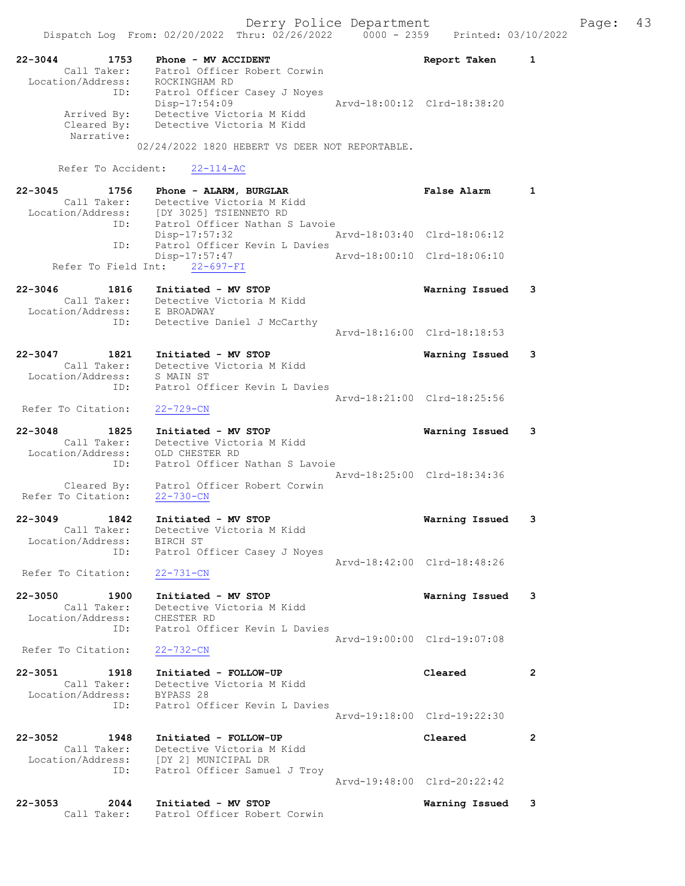| 22-3044<br>1753                  | Phone - MV ACCIDENT                                                | Report Taken                | $\mathbf{1}$   |
|----------------------------------|--------------------------------------------------------------------|-----------------------------|----------------|
| Call Taker:                      | Patrol Officer Robert Corwin<br>ROCKINGHAM RD                      |                             |                |
| Location/Address:<br>ID:         | Patrol Officer Casey J Noyes                                       |                             |                |
|                                  | Disp-17:54:09                                                      | Arvd-18:00:12 Clrd-18:38:20 |                |
| Arrived By:                      | Detective Victoria M Kidd                                          |                             |                |
| Cleared By:<br>Narrative:        | Detective Victoria M Kidd                                          |                             |                |
|                                  | 02/24/2022 1820 HEBERT VS DEER NOT REPORTABLE.                     |                             |                |
| Refer To Accident:               | $22 - 114 - AC$                                                    |                             |                |
|                                  |                                                                    |                             |                |
| 22-3045<br>1756<br>Call Taker:   | Phone - ALARM, BURGLAR<br>Detective Victoria M Kidd                | <b>False Alarm</b>          | $\mathbf{1}$   |
| Location/Address:                | [DY 3025] TSIENNETO RD                                             |                             |                |
| ID:                              | Patrol Officer Nathan S Lavoie                                     |                             |                |
| ID:                              | Disp-17:57:32<br>Patrol Officer Kevin L Davies                     | Arvd-18:03:40 Clrd-18:06:12 |                |
|                                  | Disp-17:57:47                                                      | Arvd-18:00:10 Clrd-18:06:10 |                |
|                                  | Refer To Field Int: 22-697-FI                                      |                             |                |
| 22-3046<br>1816                  | Initiated - MV STOP                                                | Warning Issued              | 3              |
|                                  | Call Taker: Detective Victoria M Kidd                              |                             |                |
| Location/Address:                | E BROADWAY                                                         |                             |                |
| ID:                              | Detective Daniel J McCarthy                                        | Aryd-18:16:00 Clrd-18:18:53 |                |
|                                  |                                                                    |                             |                |
| $22 - 3047$<br>1821              | Initiated - MV STOP                                                | Warning Issued              | 3              |
| Call Taker:<br>Location/Address: | Detective Victoria M Kidd<br>S MAIN ST                             |                             |                |
| ID:                              | Patrol Officer Kevin L Davies                                      |                             |                |
|                                  |                                                                    | Arvd-18:21:00 Clrd-18:25:56 |                |
| Refer To Citation:               | $22 - 729 - CN$                                                    |                             |                |
| $22 - 3048$<br>1825              | Initiated - MV STOP                                                | Warning Issued              | 3              |
| Call Taker:                      | Detective Victoria M Kidd                                          |                             |                |
| Location/Address:                | OLD CHESTER RD                                                     |                             |                |
| ID:                              | Patrol Officer Nathan S Lavoie                                     | Arvd-18:25:00 Clrd-18:34:36 |                |
| Cleared By:                      | Patrol Officer Robert Corwin                                       |                             |                |
| Refer To Citation:               | $22 - 730 - CN$                                                    |                             |                |
| $22 - 3049$<br>1842              | Initiated - MV STOP                                                | Warning Issued              | 3              |
| Call Taker:                      | Detective Victoria M Kidd                                          |                             |                |
| Location/Address:                | BIRCH ST                                                           |                             |                |
| ID:                              | Patrol Officer Casey J Noyes                                       | Arvd-18:42:00 Clrd-18:48:26 |                |
| Refer To Citation:               | $22 - 731 - CN$                                                    |                             |                |
|                                  |                                                                    |                             |                |
| $22 - 3050$<br>1900              | Initiated - MV STOP                                                | Warning Issued              | 3              |
| Call Taker:<br>Location/Address: | Detective Victoria M Kidd<br>CHESTER RD                            |                             |                |
| ID:                              | Patrol Officer Kevin L Davies                                      |                             |                |
|                                  |                                                                    | Aryd-19:00:00 Clrd-19:07:08 |                |
| Refer To Citation:               | $22 - 732 - CN$                                                    |                             |                |
| 22-3051<br>1918                  | Initiated - FOLLOW-UP                                              | Cleared                     | $\mathbf{2}$   |
| Call Taker:                      | Detective Victoria M Kidd                                          |                             |                |
| Location/Address:                | BYPASS 28                                                          |                             |                |
| ID:                              | Patrol Officer Kevin L Davies                                      | Arvd-19:18:00 Clrd-19:22:30 |                |
|                                  |                                                                    |                             |                |
| 22-3052<br>1948                  | Initiated - FOLLOW-UP                                              | Cleared                     | $\overline{2}$ |
| Call Taker:                      | Detective Victoria M Kidd<br>Location/Address: [DY 2] MUNICIPAL DR |                             |                |
| ID:                              | Patrol Officer Samuel J Troy                                       |                             |                |
|                                  |                                                                    | Arvd-19:48:00 Clrd-20:22:42 |                |
| 22-3053<br>2044                  | Initiated - MV STOP                                                | Warning Issued              | 3              |
| Call Taker:                      | Patrol Officer Robert Corwin                                       |                             |                |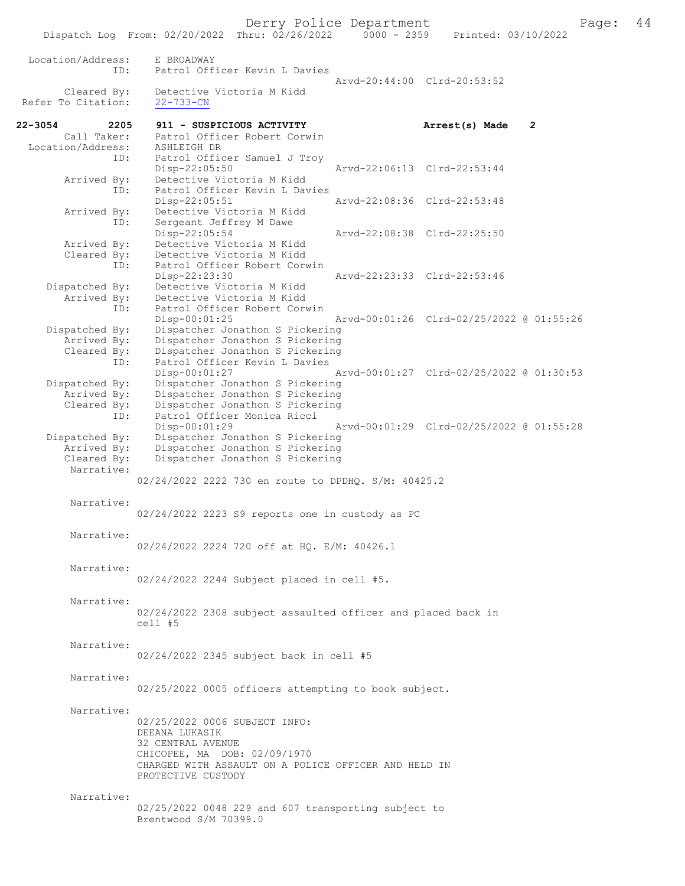Location/Address: E BROADWAY ID: Patrol Officer Kevin L Davies Arvd-20:44:00 Clrd-20:53:52<br>Cleared By: Detective Victoria M Kidd Detective Victoria M Kidd<br>22-733-CN Refer To Citation: 22-3054 2205 911 - SUSPICIOUS ACTIVITY **Arrest(s) Made 2**<br>Call Taker: Patrol Officer Robert Corwin Patrol Officer Robert Corwin<br>ASHLEIGH DR Location/Address: ID: Patrol Officer Samuel J Troy<br>Disp-22:05:50 Disp-22:05:50 Arvd-22:06:13 Clrd-22:53:44 Arrived By: Detective Victoria M Kidd<br>TD: Patrol Officer Kevin L Day Patrol Officer Kevin L Davies<br>Disp-22:05:51 Disp-22:05:51 Arvd-22:08:36 Clrd-22:53:48 Arrived By: Detective Victoria M Kidd<br>ID: Sergeant Jeffrey M Dawe Sergeant Jeffrey M Dawe<br>Disp-22:05:54 Disp-22:05:54 Arvd-22:08:38 Clrd-22:25:50<br>Arrived By: Detective Victoria M Kidd Arrived By: Detective Victoria M Kidd<br>Cleared By: Detective Victoria M Kidd By: Detective Victoria M Kidd<br>ID: Patrol Officer Robert Corw Patrol Officer Robert Corwin<br>Disp-22:23:30 Disp-22:23:30 Arvd-22:23:33 Clrd-22:53:46 Dispatched By: Detective Victoria M Kidd Arrived By: Detective Victoria M Kidd<br>ID: Patrol Officer Robert Core Patrol Officer Robert Corwin<br>Disp-00:01:25 Disp-00:01:25 Arvd-00:01:26 Clrd-02/25/2022 @ 01:55:26<br>Dispatched By: Dispatcher Jonathon S Pickering Dispatcher Jonathon S Pickering Arrived By: Dispatcher Jonathon S Pickering<br>Cleared By: Dispatcher Jonathon S Pickering By: Dispatcher Jonathon S Pickering<br>ID: Patrol Officer Kevin L Davies Patrol Officer Kevin L Davies<br>Disp-00:01:27 Disp-00:01:27 Arvd-00:01:27 Clrd-02/25/2022 @ 01:30:53<br>Dispatched By: Dispatcher Jonathon S Pickering Dispatcher Jonathon S Pickering Arrived By: Dispatcher Jonathon S Pickering<br>Cleared By: Dispatcher Jonathon S Pickering Dispatcher Jonathon S Pickering ID: Patrol Officer Monica Ricci Disp-00:01:29 Arvd-00:01:29 Ard-02/25/2022 @ 01:55:28<br>Dispatched By: Dispatcher Jonathon S Pickering Dispatcher Jonathon S Pickering Arrived By: Dispatcher Jonathon S Pickering<br>Cleared By: Dispatcher Jonathon S Pickering Dispatcher Jonathon S Pickering Narrative: 02/24/2022 2222 730 en route to DPDHQ. S/M: 40425.2 Narrative: 02/24/2022 2223 S9 reports one in custody as PC Narrative: 02/24/2022 2224 720 off at HQ. E/M: 40426.1 Narrative: 02/24/2022 2244 Subject placed in cell #5. Narrative: 02/24/2022 2308 subject assaulted officer and placed back in cell #5 Narrative: 02/24/2022 2345 subject back in cell #5 Narrative: 02/25/2022 0005 officers attempting to book subject. Narrative: 02/25/2022 0006 SUBJECT INFO: DEEANA LUKASIK 32 CENTRAL AVENUE CHICOPEE, MA DOB: 02/09/1970 CHARGED WITH ASSAULT ON A POLICE OFFICER AND HELD IN PROTECTIVE CUSTODY Narrative: 02/25/2022 0048 229 and 607 transporting subject to Brentwood S/M 70399.0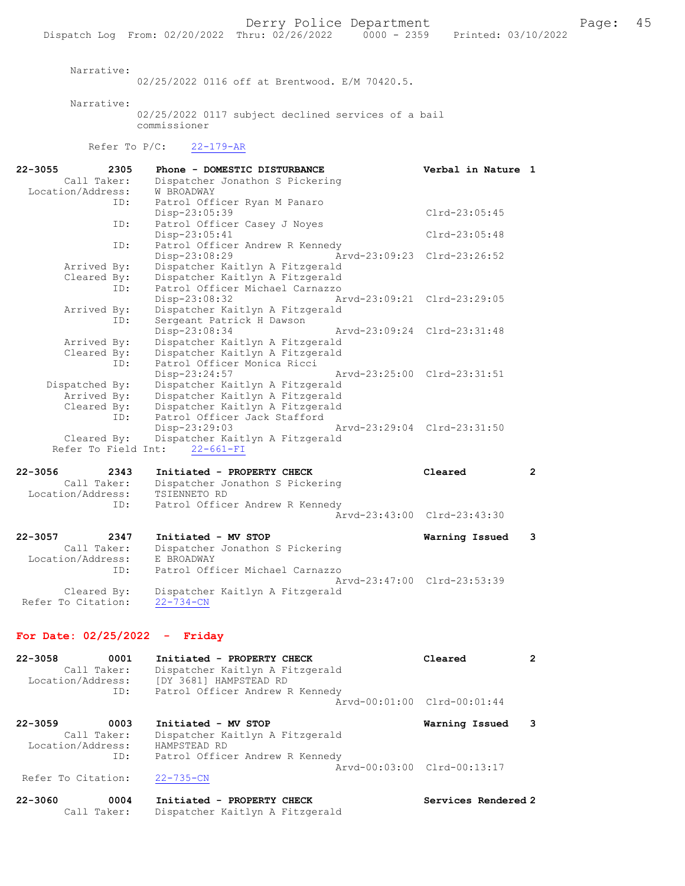Narrative:

02/25/2022 0116 off at Brentwood. E/M 70420.5.

Narrative:

02/25/2022 0117 subject declined services of a bail commissioner

Refer To P/C: 22-179-AR

| $22 - 3055$<br>2305 | Phone - DOMESTIC DISTURBANCE                | Verbal in Nature 1          |
|---------------------|---------------------------------------------|-----------------------------|
| Call Taker:         | Dispatcher Jonathon S Pickering             |                             |
| Location/Address:   | W BROADWAY                                  |                             |
| ID:                 | Patrol Officer Ryan M Panaro                |                             |
|                     | Disp-23:05:39                               | $Clrd-23:05:45$             |
| ID:                 | Patrol Officer Casey J Noyes                |                             |
|                     | Disp-23:05:41                               | $Clrd-23:05:48$             |
| ID:                 | Patrol Officer Andrew R Kennedy             |                             |
|                     | $Disp-23:08:29$                             | Arvd-23:09:23 Clrd-23:26:52 |
| Arrived By:         | Dispatcher Kaitlyn A Fitzgerald             |                             |
| Cleared By:         | Dispatcher Kaitlyn A Fitzgerald             |                             |
| ID:                 | Patrol Officer Michael Carnazzo             |                             |
|                     | Disp-23:08:32                               | Arvd-23:09:21 Clrd-23:29:05 |
| Arrived By:         | Dispatcher Kaitlyn A Fitzgerald             |                             |
| ID:                 | Sergeant Patrick H Dawson                   |                             |
|                     | Disp-23:08:34                               | Arvd-23:09:24 Clrd-23:31:48 |
| Arrived By:         | Dispatcher Kaitlyn A Fitzgerald             |                             |
| Cleared By:         | Dispatcher Kaitlyn A Fitzgerald             |                             |
| ID:                 | Patrol Officer Monica Ricci                 |                             |
|                     | Disp-23:24:57 Arvd-23:25:00 Clrd-23:31:51   |                             |
| Dispatched By:      | Dispatcher Kaitlyn A Fitzgerald             |                             |
| Arrived By:         | Dispatcher Kaitlyn A Fitzgerald             |                             |
| Cleared By:         | Dispatcher Kaitlyn A Fitzgerald             |                             |
| ID:                 | Patrol Officer Jack Stafford                |                             |
|                     | Disp-23:29:03                               | Arvd-23:29:04 Clrd-23:31:50 |
|                     | Cleared By: Dispatcher Kaitlyn A Fitzgerald |                             |
|                     | Refer To Field Int: 22-661-FI               |                             |
|                     |                                             |                             |
| $22 - 3056$<br>2343 | Initiated - PROPERTY CHECK                  | $\overline{2}$<br>Cleared   |
| Call Taker:         | Dispatcher Jonathon S Pickering             |                             |
| Location/Address:   | TSIENNETO RD                                |                             |
| ID:                 | Patrol Officer Andrew R Kennedy             |                             |

22-3057 2347 Initiated - MV STOP Warning Issued 3 Call Taker: Dispatcher Jonathon S Pickering Location/Address: E BROADWAY ID: Patrol Officer Michael Carnazzo Arvd-23:47:00 Clrd-23:53:39 Cleared By: Dispatcher Kaitlyn A Fitzgerald Refer To Citation: 22-734-CN

Arvd-23:43:00 Clrd-23:43:30

#### For Date: 02/25/2022 - Friday

| $22 - 3058$       | 0001 | Initiated - PROPERTY CHECK      | Cleared |  |
|-------------------|------|---------------------------------|---------|--|
| Call Taker:       |      | Dispatcher Kaitlyn A Fitzgerald |         |  |
| Location/Address: |      | [DY 3681] HAMPSTEAD RD          |         |  |
|                   | ID:  | Patrol Officer Andrew R Kennedy |         |  |
|                   |      | Arvd-00:01:00 Clrd-00:01:44     |         |  |
|                   |      |                                 |         |  |

22-3059 0003 Initiated - MV STOP Warning Issued 3 Call Taker: Dispatcher Kaitlyn A Fitzgerald Location/Address: HAMPSTEAD RD ID: Patrol Officer Andrew R Kennedy Arvd-00:03:00 Clrd-00:13:17<br>22-735-CN Refer To Citation:

22-3060 0004 Initiated - PROPERTY CHECK Services Rendered 2 Call Taker: Dispatcher Kaitlyn A Fitzgerald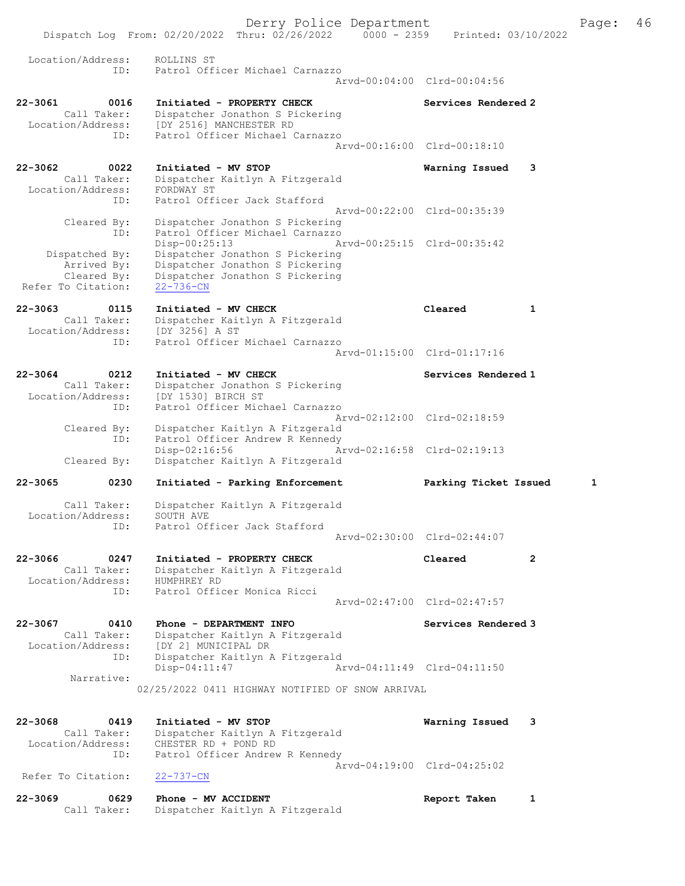Dispatch Log From: 02/20/2022 Thru: 02/26/2022 0000 - 2359 Printed: 03/10/2022 Location/Address: ROLLINS ST ID: Patrol Officer Michael Carnazzo Arvd-00:04:00 Clrd-00:04:56 22-3061 0016 Initiated - PROPERTY CHECK Services Rendered 2 Call Taker: Dispatcher Jonathon S Pickering Location/Address: [DY 2516] MANCHESTER RD ID: Patrol Officer Michael Carnazzo Arvd-00:16:00 Clrd-00:18:10 22-3062 0022 Initiated - MV STOP Warning Issued 3 Call Taker: Dispatcher Kaitlyn A Fitzgerald Location/Address: FORDWAY ST ID: Patrol Officer Jack Stafford Arvd-00:22:00 Clrd-00:35:39 Cleared By: Dispatcher Jonathon S Pickering ID: Patrol Officer Michael Carnazzo Disp-00:25:13 Arvd-00:25:15 Clrd-00:35:42 Dispatched By: Dispatcher Jonathon S Pickering Arrived By: Dispatcher Jonathon S Pickering Cleared By: Dispatcher Jonathon S Pickering Refer To Citation: 22-736-CN 22-3063 0115 Initiated - MV CHECK Cleared 1 Call Taker: Dispatcher Kaitlyn A Fitzgerald Location/Address: [DY 3256] A ST ID: Patrol Officer Michael Carnazzo Arvd-01:15:00 Clrd-01:17:16 22-3064 0212 Initiated - MV CHECK Services Rendered 1 Call Taker: Dispatcher Jonathon S Pickering Location/Address: [DY 1530] BIRCH ST ID: Patrol Officer Michael Carnazzo Arvd-02:12:00 Clrd-02:18:59 Cleared By: Dispatcher Kaitlyn A Fitzgerald ID: Patrol Officer Andrew R Kennedy Disp-02:16:56 Arvd-02:16:58 Cleared By: Dispatcher Kaitlyn A Fitzgerald Dispatcher Kaitlyn A Fitzgerald 22-3065 0230 Initiated - Parking Enforcement Parking Ticket Issued 1 Call Taker: Dispatcher Kaitlyn A Fitzgerald Location/Address: SOUTH AVE ID: Patrol Officer Jack Stafford Arvd-02:30:00 Clrd-02:44:07 22-3066 0247 Initiated - PROPERTY CHECK Cleared 2 Call Taker: Dispatcher Kaitlyn A Fitzgerald Location/Address: HUMPHREY RD ID: Patrol Officer Monica Ricci Arvd-02:47:00 Clrd-02:47:57 22-3067 0410 Phone - DEPARTMENT INFO Services Rendered 3 Call Taker: Dispatcher Kaitlyn A Fitzgerald Location/Address: [DY 2] MUNICIPAL DR ID: Dispatcher Kaitlyn A Fitzgerald Disp-04:11:47 Arvd-04:11:49 Clrd-04:11:50 Narrative: 02/25/2022 0411 HIGHWAY NOTIFIED OF SNOW ARRIVAL 22-3068 0419 Initiated - MV STOP Warning Issued 3 Call Taker: Dispatcher Kaitlyn A Fitzgerald Location/Address: CHESTER RD + POND RD ID: Patrol Officer Andrew R Kennedy Arvd-04:19:00 Clrd-04:25:02<br>22-737-CN Refer To Citation: 22-3069 0629 Phone - MV ACCIDENT Report Taken 1

Call Taker: Dispatcher Kaitlyn A Fitzgerald

Derry Police Department The Page: 46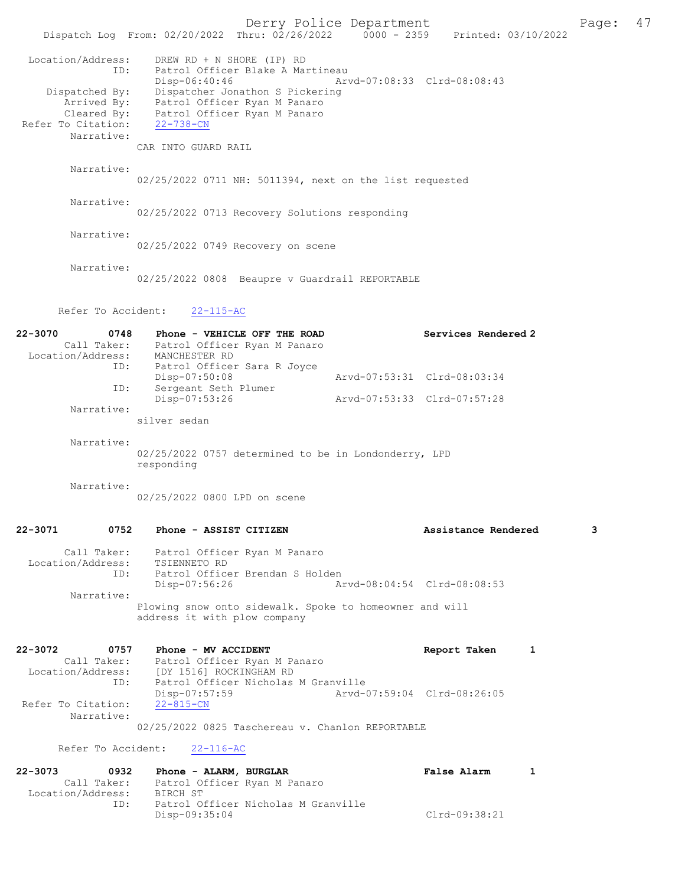Derry Police Department Page: 47 Dispatch Log From: 02/20/2022 Thru: 02/26/2022 Location/Address: DREW RD + N SHORE (IP) RD<br>ID: Patrol Officer Blake A Mar Patrol Officer Blake A Martineau<br>Disp-06:40:46 Arw Disp-06:40:46 Arvd-07:08:33 Clrd-08:08:43 Dispatched By: Dispatcher Jonathon S Pickering Arrived By: Patrol Officer Ryan M Panaro Cleared By: Patrol Officer Ryan M Panaro Refer To Citation: 22-738-CN Narrative: CAR INTO GUARD RAIL Narrative: 02/25/2022 0711 NH: 5011394, next on the list requested Narrative: 02/25/2022 0713 Recovery Solutions responding Narrative: 02/25/2022 0749 Recovery on scene Narrative: 02/25/2022 0808 Beaupre v Guardrail REPORTABLE Refer To Accident: 22-115-AC 22-3070 0748 Phone - VEHICLE OFF THE ROAD Services Rendered 2 Call Taker: Patrol Officer Ryan M Panaro Location/Address: MANCHESTER RD Patrol Officer Sara R Joyce<br>Disp-07:50:08 Disp-07:50:08 <br>ID: Sergeant Seth Plumer <br>Arvd-07:53:31 Clrd-08:03:34 Sergeant Seth Plumer<br>Disp-07:53:26 Disp-07:53:26 Arvd-07:53:33 Clrd-07:57:28 Narrative: silver sedan Narrative: 02/25/2022 0757 determined to be in Londonderry, LPD responding Narrative: 02/25/2022 0800 LPD on scene 22-3071 0752 Phone - ASSIST CITIZEN Assistance Rendered 3 Call Taker: Patrol Officer Ryan M Panaro Location/Address: TSIENNETO RD<br>ID: Patrol Office Patrol Officer Brendan S Holden<br>Disp-07:56:26 Am Disp-07:56:26 Arvd-08:04:54 Clrd-08:08:53 Narrative: Plowing snow onto sidewalk. Spoke to homeowner and will address it with plow company 22-3072 0757 Phone - MV ACCIDENT Report Taken 1 Call Taker: Patrol Officer Ryan M Panaro Location/Address: [DY 1516] ROCKINGHAM RD Patrol Officer Nicholas M Granville<br>Disp-07:57:59 Arvd-0 Disp-07:57:59 Arvd-07:59:04 Clrd-08:26:05 Refer To Citation: Narrative: 02/25/2022 0825 Taschereau v. Chanlon REPORTABLE Refer To Accident: 22-116-AC 22-3073 0932 Phone - ALARM, BURGLAR False Alarm 1 Call Taker: Patrol Officer Ryan M Panaro<br>ion/Address: BIRCH ST Location/Address:<br>ID: Patrol Officer Nicholas M Granville

Disp-09:35:04 Clrd-09:38:21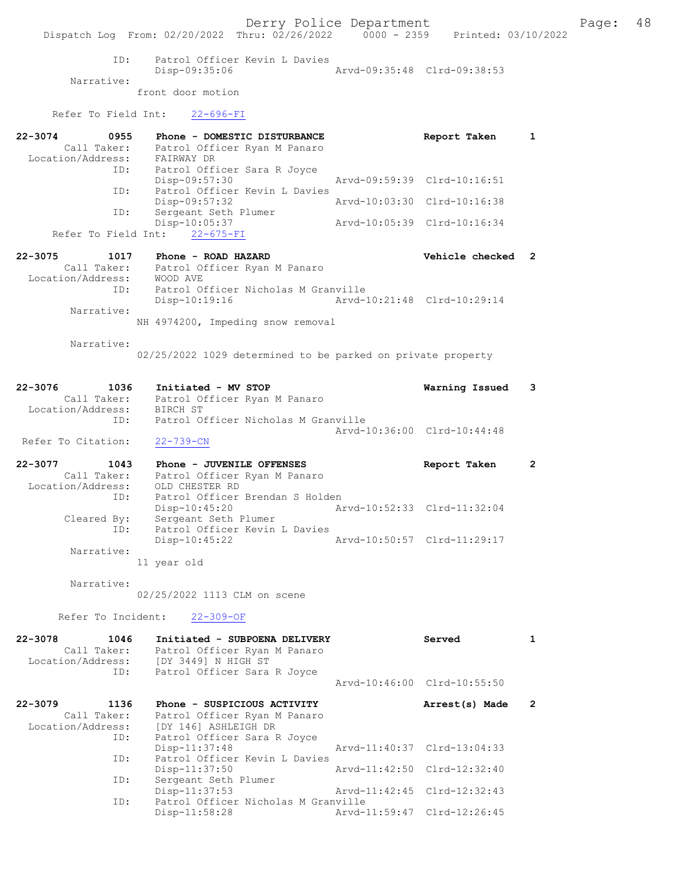Derry Police Department Fage: 48 Dispatch Log From: 02/20/2022 Thru: 02/26/2022 0000 - 2359 Printed: 03/10/2022 ID: Patrol Officer Kevin L Davies<br>Disp-09:35:06 Mrvd-09:35:48 Clrd-09:38:53 Disp-09:35:06 Narrative: front door motion Refer To Field Int: 22-696-FI 22-3074 0955 Phone - DOMESTIC DISTURBANCE Report Taken 1 Call Taker: Patrol Officer Ryan M Panaro Location/Address: FAIRWAY DR ID: Patrol Officer Sara R Joyce Disp-09:57:30 Arvd-09:59:39 Clrd-10:16:51 ID: Patrol Officer Kevin L Davies Disp-09:57:32 Arvd-10:03:30 Clrd-10:16:38 ID: Sergeant Seth Plumer Disp-10:05:37 Arvd-10:05:39 Clrd-10:16:34 Refer To Field Int: 22-675-FI 22-3075 1017 Phone - ROAD HAZARD Vehicle checked 2 Call Taker: Patrol Officer Ryan M Panaro Location/Address: WOOD AVE ID: Patrol Officer Nicholas M Granville Disp-10:19:16 Arvd-10:21:48 Clrd-10:29:14 Narrative: NH 4974200, Impeding snow removal Narrative: 02/25/2022 1029 determined to be parked on private property 22-3076 1036 Initiated - MV STOP Warning Issued 3 Call Taker: Patrol Officer Ryan M Panaro Location/Address: BIRCH ST ID: Patrol Officer Nicholas M Granville Arvd-10:36:00 Clrd-10:44:48 Refer To Citation: 22-739-CN 22-3077 1043 Phone - JUVENILE OFFENSES Report Taken 2 Call Taker: Patrol Officer Ryan M Panaro Location/Address: OLD CHESTER RD ID: Patrol Officer Brendan S Holden Disp-10:45:20 Arvd-10:52:33 Clrd-11:32:04 Cleared By: Sergeant Seth Plumer ID: Patrol Officer Kevin L Davies Disp-10:45:22 Arvd-10:50:57 Clrd-11:29:17 Narrative: 11 year old Narrative: 02/25/2022 1113 CLM on scene Refer To Incident: 22-309-OF 22-3078 1046 Initiated - SUBPOENA DELIVERY Served 1 Call Taker: Patrol Officer Ryan M Panaro Location/Address: [DY 3449] N HIGH ST ID: Patrol Officer Sara R Joyce Arvd-10:46:00 Clrd-10:55:50 22-3079 1136 Phone - SUSPICIOUS ACTIVITY Arrest(s) Made 2 Call Taker: Patrol Officer Ryan M Panaro Location/Address: [DY 146] ASHLEIGH DR ID: Patrol Officer Sara R Joyce Disp-11:37:48 Arvd-11:40:37 Clrd-13:04:33 ID: Patrol Officer Kevin L Davies Disp-11:37:50 Arvd-11:42:50 Clrd-12:32:40<br>Sergeant Seth Plumer <br>And 11:42:45 Clrd-12:32:43 ID: Sergeant Sergeant<br>
Disp-11:37:53<br>
Perficer Arvd-11:42:45 Clrd-12:32:43 ID: Patrol Officer Nicholas M Granville<br>Disp-11:58:28 Arvd-1 Arvd-11:59:47 Clrd-12:26:45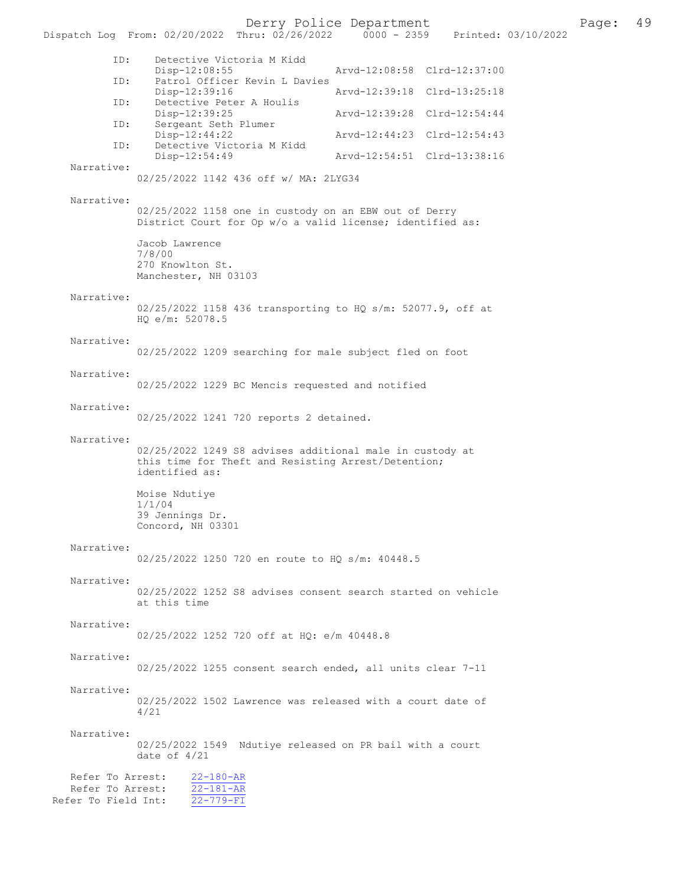Derry Police Department Fage: 49

| Dispatch Log From: 02/20/2022 Thru: 02/26/2022 |                                                                                                                                   |  | 0000 - 2359 Printed: 03/10/2022 |                             |  |
|------------------------------------------------|-----------------------------------------------------------------------------------------------------------------------------------|--|---------------------------------|-----------------------------|--|
| ID:                                            | Detective Victoria M Kidd                                                                                                         |  |                                 |                             |  |
| ID:                                            | $Disp-12:08:55$<br>Patrol Officer Kevin L Davies                                                                                  |  |                                 | Arvd-12:08:58 Clrd-12:37:00 |  |
| ID:                                            | Disp-12:39:16<br>Detective Peter A Houlis                                                                                         |  |                                 | Arvd-12:39:18 Clrd-13:25:18 |  |
|                                                | Disp-12:39:25                                                                                                                     |  |                                 | Arvd-12:39:28 Clrd-12:54:44 |  |
| ID:                                            | Sergeant Seth Plumer<br>Disp-12:44:22                                                                                             |  |                                 | Arvd-12:44:23 Clrd-12:54:43 |  |
| ID:                                            | Detective Victoria M Kidd<br>Disp-12:54:49                                                                                        |  |                                 | Arvd-12:54:51 Clrd-13:38:16 |  |
| Narrative:                                     | 02/25/2022 1142 436 off w/ MA: 2LYG34                                                                                             |  |                                 |                             |  |
|                                                |                                                                                                                                   |  |                                 |                             |  |
| Narrative:                                     | 02/25/2022 1158 one in custody on an EBW out of Derry<br>District Court for Op w/o a valid license; identified as:                |  |                                 |                             |  |
|                                                | Jacob Lawrence                                                                                                                    |  |                                 |                             |  |
|                                                | 7/8/00<br>270 Knowlton St.                                                                                                        |  |                                 |                             |  |
|                                                | Manchester, NH 03103                                                                                                              |  |                                 |                             |  |
| Narrative:                                     | 02/25/2022 1158 436 transporting to HQ s/m: 52077.9, off at<br>HQ e/m: 52078.5                                                    |  |                                 |                             |  |
| Narrative:                                     | 02/25/2022 1209 searching for male subject fled on foot                                                                           |  |                                 |                             |  |
| Narrative:                                     | 02/25/2022 1229 BC Mencis requested and notified                                                                                  |  |                                 |                             |  |
| Narrative:                                     | 02/25/2022 1241 720 reports 2 detained.                                                                                           |  |                                 |                             |  |
| Narrative:                                     | 02/25/2022 1249 S8 advises additional male in custody at<br>this time for Theft and Resisting Arrest/Detention;<br>identified as: |  |                                 |                             |  |
|                                                | Moise Ndutiye<br>1/1/04<br>39 Jennings Dr.<br>Concord, NH 03301                                                                   |  |                                 |                             |  |
| Narrative:                                     | 02/25/2022 1250 720 en route to HO s/m: 40448.5                                                                                   |  |                                 |                             |  |
| Narrative:                                     | 02/25/2022 1252 S8 advises consent search started on vehicle<br>at this time                                                      |  |                                 |                             |  |
| Narrative:                                     | 02/25/2022 1252 720 off at HO: e/m 40448.8                                                                                        |  |                                 |                             |  |
| Narrative:                                     | 02/25/2022 1255 consent search ended, all units clear 7-11                                                                        |  |                                 |                             |  |
| Narrative:                                     | 02/25/2022 1502 Lawrence was released with a court date of<br>4/21                                                                |  |                                 |                             |  |
| Narrative:                                     | 02/25/2022 1549 Ndutiye released on PR bail with a court<br>date of $4/21$                                                        |  |                                 |                             |  |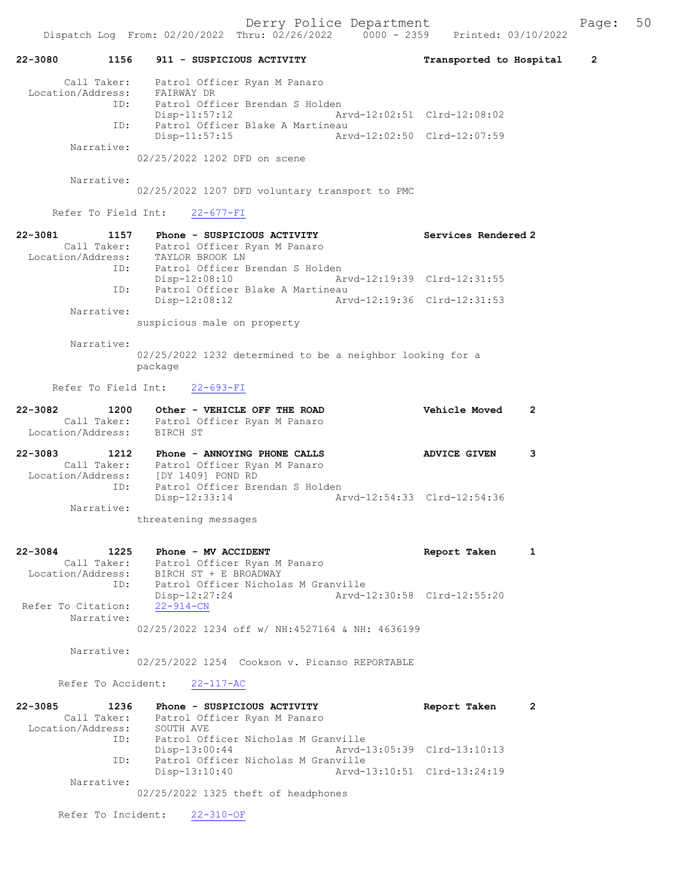|                                                    |         |                                  | Dispatch Log From: 02/20/2022 Thru: 02/26/2022 0000 - 2359 Printed: 03/10/2022                                                                          | $-2 = 1$ $-2 = -20$ $-20$ $-20$ $-20$ |                             |   |
|----------------------------------------------------|---------|----------------------------------|---------------------------------------------------------------------------------------------------------------------------------------------------------|---------------------------------------|-----------------------------|---|
| 22-3080 1156                                       |         |                                  | 911 - SUSPICIOUS ACTIVITY                                                                                                                               |                                       | Transported to Hospital 2   |   |
| Location/Address: FAIRWAY DR                       |         |                                  | Call Taker: Patrol Officer Ryan M Panaro                                                                                                                |                                       |                             |   |
|                                                    |         | Disp-11:57:12                    | ID: Patrol Officer Brendan S Holden                                                                                                                     |                                       | Arvd-12:02:51 Clrd-12:08:02 |   |
|                                                    |         | $Disp-11:57:15$                  | ID: Patrol Officer Blake A Martineau                                                                                                                    |                                       | Arvd-12:02:50 Clrd-12:07:59 |   |
| Narrative:                                         |         |                                  | 02/25/2022 1202 DFD on scene                                                                                                                            |                                       |                             |   |
| Narrative:                                         |         |                                  |                                                                                                                                                         |                                       |                             |   |
|                                                    |         |                                  | 02/25/2022 1207 DFD voluntary transport to PMC                                                                                                          |                                       |                             |   |
|                                                    |         | Refer To Field Int: 22-677-FI    |                                                                                                                                                         |                                       |                             |   |
| 22-3081<br>Location/Address: TAYLOR BROOK LN       |         |                                  | 1157 Phone - SUSPICIOUS ACTIVITY<br>Call Taker: Patrol Officer Ryan M Panaro                                                                            |                                       | Services Rendered 2         |   |
|                                                    |         | Disp-12:08:10                    | ID: Patrol Officer Brendan S Holden                                                                                                                     |                                       | Arvd-12:19:39 Clrd-12:31:55 |   |
| Narrative:                                         |         | $Disp-12:08:12$                  | ID: Patrol Officer Blake A Martineau                                                                                                                    |                                       | Arvd-12:19:36 Clrd-12:31:53 |   |
|                                                    |         | suspicious male on property      |                                                                                                                                                         |                                       |                             |   |
| Narrative:                                         | package |                                  | 02/25/2022 1232 determined to be a neighbor looking for a                                                                                               |                                       |                             |   |
|                                                    |         | Refer To Field Int: 22-693-FI    |                                                                                                                                                         |                                       |                             |   |
|                                                    |         |                                  |                                                                                                                                                         |                                       |                             |   |
| 22-3082<br>Location/Address: BIRCH ST              |         |                                  | 1200 Other - VEHICLE OFF THE ROAD<br>Call Taker: Patrol Officer Ryan M Panaro                                                                           |                                       | Vehicle Moved               | 2 |
| 22-3083                                            | ID:     |                                  | 1212 Phone - ANNOYING PHONE CALLS<br>Call Taker: Patrol Officer Ryan M Panaro<br>Location/Address: [DY 1409] POND RD<br>Patrol Officer Brendan S Holden |                                       | <b>ADVICE GIVEN</b>         | 3 |
| Narrative:                                         |         | Disp-12:33:14                    |                                                                                                                                                         |                                       | Arvd-12:54:33 Clrd-12:54:36 |   |
|                                                    |         | threatening messages             |                                                                                                                                                         |                                       |                             |   |
| 22-3084<br>Location/Address: BIRCH ST + E BROADWAY | 1225    | Phone - MV ACCIDENT              | Call Taker: Patrol Officer Ryan M Panaro                                                                                                                |                                       | Report Taken                | 1 |
| Refer To Citation:                                 | ID:     | Disp-12:27:24<br>$22 - 914 - CN$ | Patrol Officer Nicholas M Granville                                                                                                                     |                                       | Arvd-12:30:58 Clrd-12:55:20 |   |
| Narrative:                                         |         |                                  | 02/25/2022 1234 off w/ NH:4527164 & NH: 4636199                                                                                                         |                                       |                             |   |
| Narrative:                                         |         |                                  | 02/25/2022 1254 Cookson v. Picanso REPORTABLE                                                                                                           |                                       |                             |   |
|                                                    |         | Refer To Accident: 22-117-AC     |                                                                                                                                                         |                                       |                             |   |
| $22 - 3085$                                        | 1236    |                                  | Phone - SUSPICIOUS ACTIVITY                                                                                                                             |                                       | Report Taken                | 2 |
| Call Taker:<br>Location/Address:                   | ID:     | SOUTH AVE                        | Patrol Officer Ryan M Panaro<br>Patrol Officer Nicholas M Granville                                                                                     |                                       |                             |   |
|                                                    | ID:     | Disp-13:00:44                    | Patrol Officer Nicholas M Granville                                                                                                                     |                                       | Arvd-13:05:39 Clrd-13:10:13 |   |

Narrative:

02/25/2022 1325 theft of headphones

Refer To Incident: 22-310-OF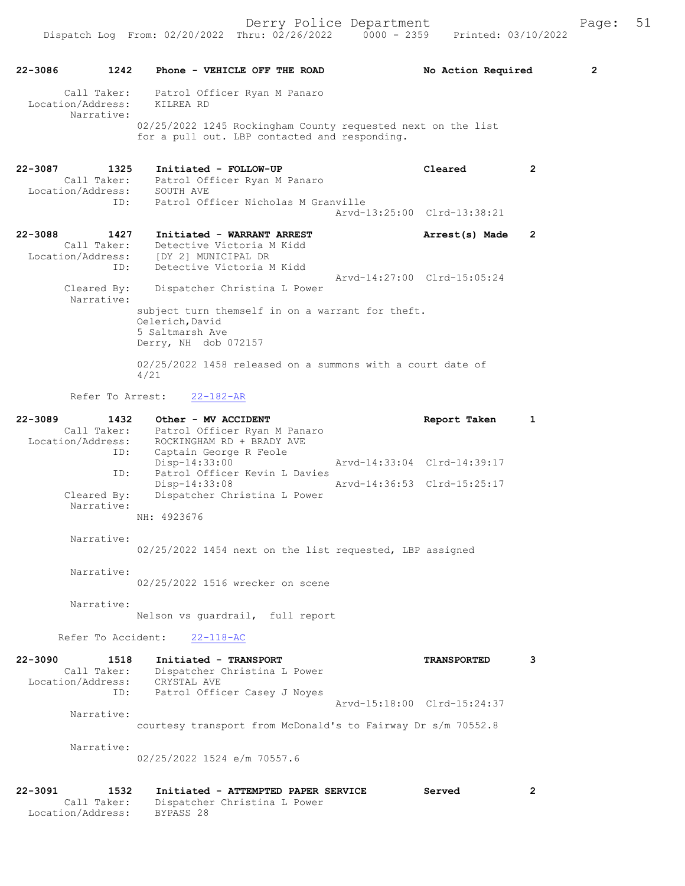| $22 - 3086$                                     | 1242        | Phone - VEHICLE OFF THE ROAD                                                                                   | No Action Required          | 2 |
|-------------------------------------------------|-------------|----------------------------------------------------------------------------------------------------------------|-----------------------------|---|
| Call Taker:<br>Location/Address:<br>Narrative:  |             | Patrol Officer Ryan M Panaro<br>KILREA RD                                                                      |                             |   |
|                                                 |             | 02/25/2022 1245 Rockingham County requested next on the list<br>for a pull out. LBP contacted and responding.  |                             |   |
| 22-3087<br>Call Taker:<br>Location/Address:     | 1325        | Initiated - FOLLOW-UP<br>Patrol Officer Ryan M Panaro<br>SOUTH AVE                                             | Cleared                     | 2 |
|                                                 | ID:         | Patrol Officer Nicholas M Granville                                                                            | Aryd-13:25:00 Clrd-13:38:21 |   |
| 22-3088                                         | 1427        | Initiated - WARRANT ARREST                                                                                     | Arrest(s) Made              | 2 |
| Call Taker:<br>Location/Address:                |             | Detective Victoria M Kidd<br>[DY 2] MUNICIPAL DR                                                               |                             |   |
|                                                 | ID:         | Detective Victoria M Kidd                                                                                      |                             |   |
| Cleared By:<br>Narrative:                       |             | Dispatcher Christina L Power                                                                                   | Arvd-14:27:00 Clrd-15:05:24 |   |
|                                                 |             | subject turn themself in on a warrant for theft.<br>Oelerich, David<br>5 Saltmarsh Ave<br>Derry, NH dob 072157 |                             |   |
|                                                 |             |                                                                                                                |                             |   |
|                                                 |             | 02/25/2022 1458 released on a summons with a court date of<br>4/21                                             |                             |   |
|                                                 |             | Refer To Arrest:<br>$22 - 182 - AR$                                                                            |                             |   |
| $22 - 3089$<br>Call Taker:<br>Location/Address: | 1432<br>ID: | Other - MV ACCIDENT<br>Patrol Officer Ryan M Panaro<br>ROCKINGHAM RD + BRADY AVE<br>Captain George R Feole     | Report Taken                | 1 |
|                                                 |             | Disp-14:33:00                                                                                                  | Arvd-14:33:04 Clrd-14:39:17 |   |
| Cleared By:                                     | ID:         | Patrol Officer Kevin L Davies<br>Disp-14:33:08<br>Dispatcher Christina L Power                                 | Arvd-14:36:53 Clrd-15:25:17 |   |
| Narrative:                                      |             | NH: 4923676                                                                                                    |                             |   |
| Narrative:                                      |             | 02/25/2022 1454 next on the list requested, LBP assigned                                                       |                             |   |
| Narrative:                                      |             | 02/25/2022 1516 wrecker on scene                                                                               |                             |   |
|                                                 |             |                                                                                                                |                             |   |
| Narrative:                                      |             | Nelson vs quardrail, full report                                                                               |                             |   |
| Refer To Accident:                              |             | $22 - 118 - AC$                                                                                                |                             |   |
| $22 - 3090$                                     | 1518        | Initiated - TRANSPORT                                                                                          | <b>TRANSPORTED</b>          | 3 |
| Call Taker:<br>Location/Address:                |             | Dispatcher Christina L Power<br>CRYSTAL AVE                                                                    |                             |   |
|                                                 | ID:         | Patrol Officer Casey J Noyes                                                                                   |                             |   |
| Narrative:                                      |             |                                                                                                                | Arvd-15:18:00 Clrd-15:24:37 |   |
|                                                 |             | courtesy transport from McDonald's to Fairway Dr s/m 70552.8                                                   |                             |   |
| Narrative:                                      |             | 02/25/2022 1524 e/m 70557.6                                                                                    |                             |   |
| 22-3091<br>Call Taker:<br>Location/Address:     | 1532        | Initiated - ATTEMPTED PAPER SERVICE<br>Dispatcher Christina L Power<br>BYPASS 28                               | Served                      | 2 |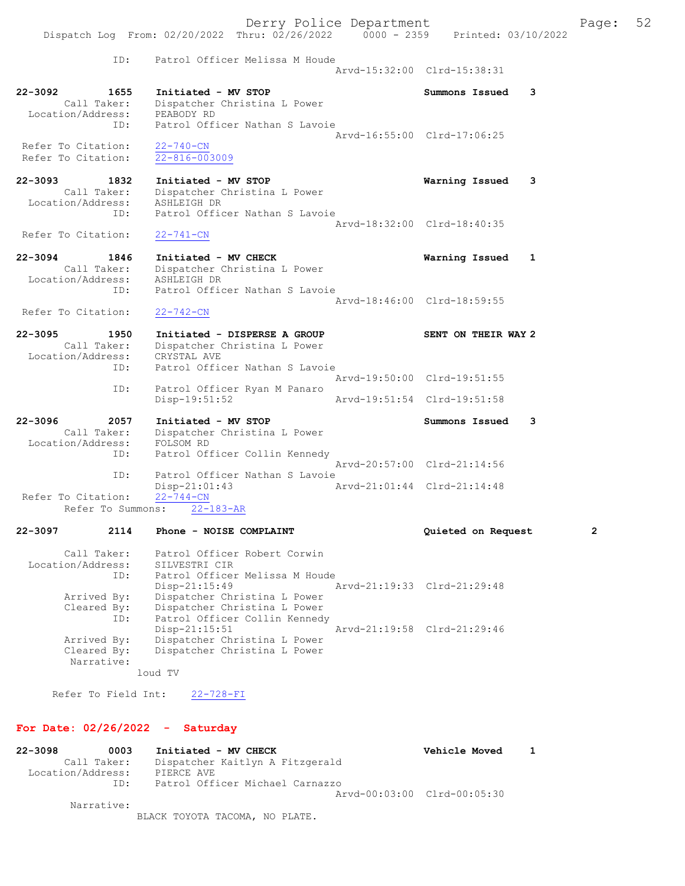Derry Police Department Fage: 52 Dispatch Log From: 02/20/2022 Thru: 02/26/2022 0000 - 2359 Printed: 03/10/2022 ID: Patrol Officer Melissa M Houde Arvd-15:32:00 Clrd-15:38:31 22-3092 1655 Initiated - MV STOP Summons Issued 3 Call Taker: Dispatcher Christina L Power Location/Address: PEABODY RD ID: Patrol Officer Nathan S Lavoie Arvd-16:55:00 Clrd-17:06:25 Refer To Citation: 22-740-CN Refer To Citation: 22-816-003009 22-3093 1832 Initiated - MV STOP Warning Issued 3 Call Taker: Dispatcher Christina L Power Location/Address: ASHLEIGH DR ID: Patrol Officer Nathan S Lavoie Arvd-18:32:00 Clrd-18:40:35<br>22-741-CN Refer To Citation: 22-3094 1846 Initiated - MV CHECK Naming Issued 1 Call Taker: Dispatcher Christina L Power Location/Address: ASHLEIGH DR ID: Patrol Officer Nathan S Lavoie Arvd-18:46:00 Clrd-18:59:55 Refer To Citation: 22-742-CN 22-3095 1950 Initiated - DISPERSE A GROUP SENT ON THEIR WAY 2 Call Taker: Dispatcher Christina L Power Location/Address: CRYSTAL AVE ID: Patrol Officer Nathan S Lavoie Arvd-19:50:00 Clrd-19:51:55 ID: Patrol Officer Ryan M Panaro Disp-19:51:52 Arvd-19:51:54 Clrd-19:51:58 22-3096 2057 Initiated - MV STOP Summons Issued 3 Call Taker: Dispatcher Christina L Power Location/Address: FOLSOM RD ID: Patrol Officer Collin Kennedy Arvd-20:57:00 Clrd-21:14:56 ID: Patrol Officer Nathan S Lavoie<br>Disp-21:01:43 Arvd-21:01:44 Clrd-21:14:48 Disp-21:01:43 Refer To Citation: 22-744-CN Refer To Summons: 22-183-AR 22-3097 2114 Phone - NOISE COMPLAINT Quieted on Request 2 Call Taker: Patrol Officer Robert Corwin Location/Address: SILVESTRI CIR ID: Patrol Officer Melissa M Houde

 Disp-21:15:49 Arvd-21:19:33 Clrd-21:29:48 Arrived By: Dispatcher Christina L Power Cleared By: Dispatcher Christina L Power ID: Patrol Officer Collin Kennedy Disp-21:15:51 Arvd-21:19:58 Clrd-21:29:46 Arrived By: Dispatcher Christina L Power Cleared By: Dispatcher Christina L Power Narrative:

loud TV

Refer To Field Int: 22-728-FI

#### For Date: 02/26/2022 - Saturday

22-3098 0003 Initiated - MV CHECK Vehicle Moved 1 Call Taker: Dispatcher Kaitlyn A Fitzgerald Location/Address: PIERCE AVE ID: Patrol Officer Michael Carnazzo Arvd-00:03:00 Clrd-00:05:30 Narrative:

BLACK TOYOTA TACOMA, NO PLATE.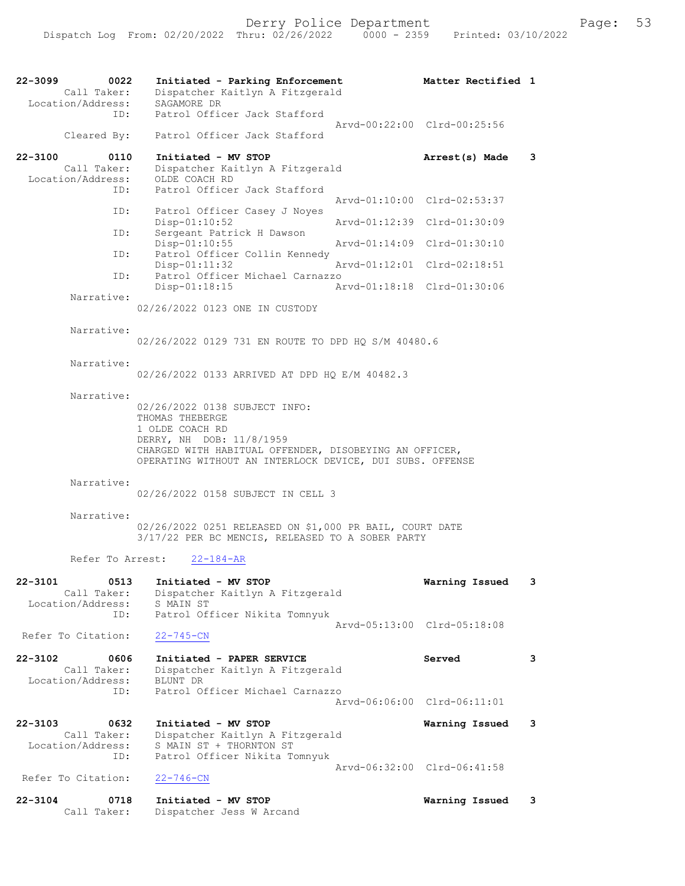| $22 - 3099$ | 0022                             | Initiated - Parking Enforcement                            | Matter Rectified 1          |   |
|-------------|----------------------------------|------------------------------------------------------------|-----------------------------|---|
|             | Call Taker:<br>Location/Address: | Dispatcher Kaitlyn A Fitzgerald<br>SAGAMORE DR             |                             |   |
|             | ID:                              | Patrol Officer Jack Stafford                               | Arvd-00:22:00 Clrd-00:25:56 |   |
|             | Cleared By:                      | Patrol Officer Jack Stafford                               |                             |   |
| $22 - 3100$ | 0110                             | Initiated - MV STOP                                        | Arrest(s) Made              | 3 |
|             | Call Taker:<br>Location/Address: | Dispatcher Kaitlyn A Fitzgerald<br>OLDE COACH RD           |                             |   |
|             | ID:                              | Patrol Officer Jack Stafford                               | Arvd-01:10:00 Clrd-02:53:37 |   |
|             | ID:                              | Patrol Officer Casey J Noyes<br>Disp-01:10:52              | Arvd-01:12:39 Clrd-01:30:09 |   |
|             | ID:                              | Sergeant Patrick H Dawson<br>Disp-01:10:55                 | Arvd-01:14:09 Clrd-01:30:10 |   |
|             | ID:                              | Patrol Officer Collin Kennedy                              |                             |   |
|             | ID:                              | Disp-01:11:32<br>Patrol Officer Michael Carnazzo           | Arvd-01:12:01 Clrd-02:18:51 |   |
|             |                                  | $Disp-01:18:15$                                            | Arvd-01:18:18 Clrd-01:30:06 |   |
|             | Narrative:                       | 02/26/2022 0123 ONE IN CUSTODY                             |                             |   |
|             | Narrative:                       |                                                            |                             |   |
|             |                                  | 02/26/2022 0129 731 EN ROUTE TO DPD HQ S/M 40480.6         |                             |   |
|             | Narrative:                       |                                                            |                             |   |
|             |                                  | 02/26/2022 0133 ARRIVED AT DPD HQ E/M 40482.3              |                             |   |
|             | Narrative:                       |                                                            |                             |   |
|             |                                  | 02/26/2022 0138 SUBJECT INFO:                              |                             |   |
|             |                                  | THOMAS THEBERGE<br>1 OLDE COACH RD                         |                             |   |
|             |                                  | DERRY, NH DOB: 11/8/1959                                   |                             |   |
|             |                                  | CHARGED WITH HABITUAL OFFENDER, DISOBEYING AN OFFICER,     |                             |   |
|             |                                  | OPERATING WITHOUT AN INTERLOCK DEVICE, DUI SUBS. OFFENSE   |                             |   |
|             | Narrative:                       |                                                            |                             |   |
|             |                                  | 02/26/2022 0158 SUBJECT IN CELL 3                          |                             |   |
|             | Narrative:                       |                                                            |                             |   |
|             |                                  | 02/26/2022 0251 RELEASED ON \$1,000 PR BAIL, COURT DATE    |                             |   |
|             |                                  | 3/17/22 PER BC MENCIS, RELEASED TO A SOBER PARTY           |                             |   |
|             | Refer To Arrest:                 | $22 - 184 - AR$                                            |                             |   |
| 22-3101     | 0513                             | Initiated - MV STOP                                        | Warning Issued              | 3 |
|             | Call Taker:                      | Dispatcher Kaitlyn A Fitzgerald                            |                             |   |
|             | Location/Address:<br>ID:         | S MAIN ST                                                  |                             |   |
|             |                                  | Patrol Officer Nikita Tomnyuk                              | Arvd-05:13:00 Clrd-05:18:08 |   |
|             | Refer To Citation:               | $22 - 745 - CN$                                            |                             |   |
| $22 - 3102$ | 0606                             | Initiated - PAPER SERVICE                                  | Served                      | 3 |
|             | Call Taker:                      | Dispatcher Kaitlyn A Fitzgerald                            |                             |   |
|             | Location/Address:<br>ID:         | BLUNT DR<br>Patrol Officer Michael Carnazzo                |                             |   |
|             |                                  | $Arvd - 06:06:00$                                          | Clrd-06:11:01               |   |
| $22 - 3103$ | 0632<br>Call Taker:              | Initiated - MV STOP                                        | Warning Issued              | 3 |
|             | Location/Address:                | Dispatcher Kaitlyn A Fitzgerald<br>S MAIN ST + THORNTON ST |                             |   |
|             | ID:                              | Patrol Officer Nikita Tomnyuk                              |                             |   |
|             | Refer To Citation:               | $22 - 746 - CN$                                            | Arvd-06:32:00 Clrd-06:41:58 |   |
| $22 - 3104$ | 0718                             | Initiated - MV STOP                                        | Warning Issued              | 3 |
|             | Call Taker:                      | Dispatcher Jess W Arcand                                   |                             |   |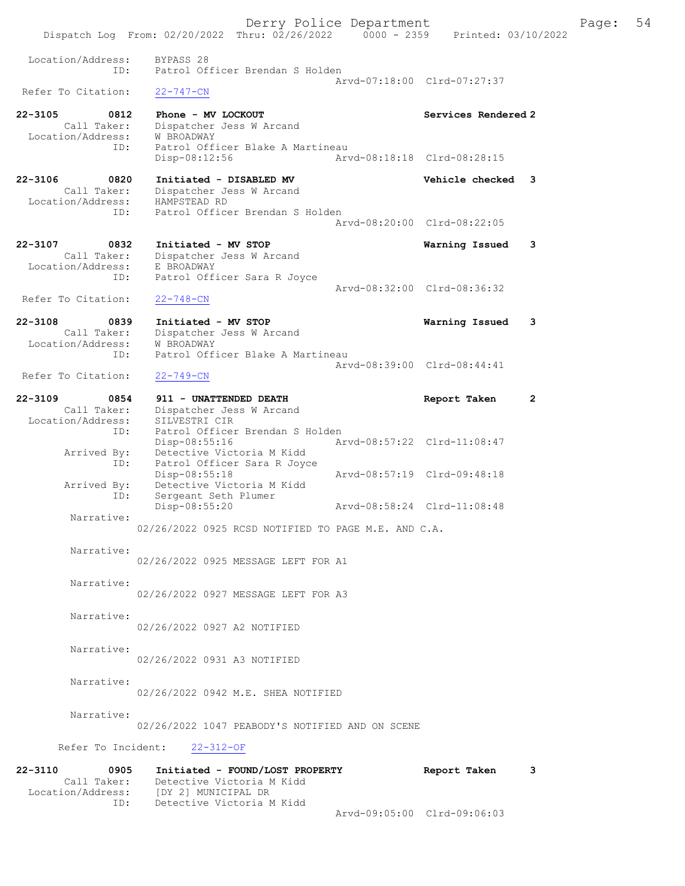Derry Police Department Fage: 54 Dispatch Log From: 02/20/2022 Thru: 02/26/2022 0000 - 2359 Printed: 03/10/2022 Location/Address: BYPASS 28 ID: Patrol Officer Brendan S Holden Arvd-07:18:00 Clrd-07:27:37<br>22-747-CN Refer To Citation: 22-3105 0812 Phone - MV LOCKOUT Services Rendered 2 Call Taker: Dispatcher Jess W Arcand Location/Address: W BROADWAY ID: Patrol Officer Blake A Martineau Disp-08:12:56 Arvd-08:18:18 Clrd-08:28:15 22-3106 0820 Initiated - DISABLED MV Vehicle checked 3 Call Taker: Dispatcher Jess W Arcand Location/Address: HAMPSTEAD RD ID: Patrol Officer Brendan S Holden Arvd-08:20:00 Clrd-08:22:05 22-3107 0832 Initiated - MV STOP Warning Issued 3 Call Taker: Dispatcher Jess W Arcand Location/Address: E BROADWAY ID: Patrol Officer Sara R Joyce Arvd-08:32:00 Clrd-08:36:32 Refer To Citation: 22-748-CN 22-3108 0839 Initiated - MV STOP Warning Issued 3 Call Taker: Dispatcher Jess W Arcand Location/Address: W BROADWAY ID: Patrol Officer Blake A Martineau Arvd-08:39:00 Clrd-08:44:41<br>22-749-CN Refer To Citation: 22-3109 0854 911 - UNATTENDED DEATH Report Taken 2 Call Taker: Dispatcher Jess W Arcand Location/Address: SILVESTRI CIR ID: Patrol Officer Brendan S Holden Disp-08:55:16 Arvd-08:57:22 Clrd-11:08:47 Arrived By: Detective Victoria M Kidd ID: Patrol Officer Sara R Joyce Disp-08:55:18 Arvd-08:57:19 Clrd-09:48:18 Arrived By: Detective Victoria M Kidd ID: Sergeant Seth Plumer Disp-08:55:20 Arvd-08:58:24 Clrd-11:08:48 Narrative: 02/26/2022 0925 RCSD NOTIFIED TO PAGE M.E. AND C.A. Narrative: 02/26/2022 0925 MESSAGE LEFT FOR A1 Narrative: 02/26/2022 0927 MESSAGE LEFT FOR A3 Narrative: 02/26/2022 0927 A2 NOTIFIED Narrative: 02/26/2022 0931 A3 NOTIFIED Narrative: 02/26/2022 0942 M.E. SHEA NOTIFIED Narrative: 02/26/2022 1047 PEABODY'S NOTIFIED AND ON SCENE Refer To Incident: 22-312-OF 22-3110 0905 Initiated - FOUND/LOST PROPERTY Report Taken 3 Call Taker: Detective Victoria M Kidd

Arvd-09:05:00 Clrd-09:06:03

 Location/Address: [DY 2] MUNICIPAL DR ID: Detective Victoria M Kidd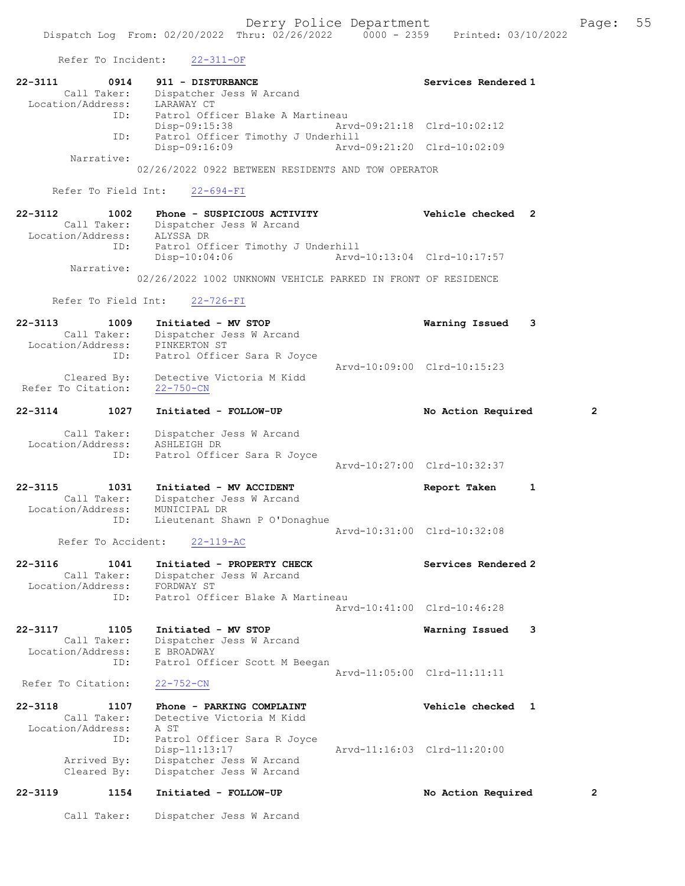Refer To Incident: 22-311-OF

|                              | 22-3111 0914 911 - DISTURBANCE                               |                             | Services Rendered 1 |   |
|------------------------------|--------------------------------------------------------------|-----------------------------|---------------------|---|
| Call Taker:                  | Dispatcher Jess W Arcand                                     |                             |                     |   |
| Location/Address: LARAWAY CT |                                                              |                             |                     |   |
|                              | ID: Patrol Officer Blake A Martineau                         |                             |                     |   |
|                              | Disp-09:15:38 Arvd-09:21:18 Clrd-10:02:12                    |                             |                     |   |
| ID:                          | Patrol Officer Timothy J Underhill                           |                             |                     |   |
|                              | Disp-09:16:09                                                | Aryd-09:21:20 Clrd-10:02:09 |                     |   |
| Narrative:                   |                                                              |                             |                     |   |
|                              | 02/26/2022 0922 BETWEEN RESIDENTS AND TOW OPERATOR           |                             |                     |   |
|                              | Refer To Field Int: 22-694-FI                                |                             |                     |   |
|                              |                                                              |                             |                     |   |
| $22 - 3112$                  | 1002 Phone - SUSPICIOUS ACTIVITY                             |                             | Vehicle checked 2   |   |
|                              |                                                              |                             |                     |   |
| Location/Address: ALYSSA DR  | Call Taker: Dispatcher Jess W Arcand                         |                             |                     |   |
|                              |                                                              |                             |                     |   |
|                              | ID: Patrol Officer Timothy J Underhill<br>$Disp-10:04:06$    | Arvd-10:13:04 Clrd-10:17:57 |                     |   |
| Narrative:                   |                                                              |                             |                     |   |
|                              | 02/26/2022 1002 UNKNOWN VEHICLE PARKED IN FRONT OF RESIDENCE |                             |                     |   |
|                              | Refer To Field Int: 22-726-FI                                |                             |                     |   |
| $22 - 3113$                  | 1009 Initiated - MV STOP                                     |                             | Warning Issued      | 3 |
| Call Taker:                  | Dispatcher Jess W Arcand                                     |                             |                     |   |

 ID: Patrol Officer Sara R Joyce Arvd-10:09:00 Clrd-10:15:23 Cleared By: Detective Victoria M Kidd Refer To Citation: 22-750-CN

22-3114 1027 Initiated - FOLLOW-UP No Action Required 2 Call Taker: Dispatcher Jess W Arcand Location/Address: ASHLEIGH DR

 ID: Patrol Officer Sara R Joyce Arvd-10:27:00 Clrd-10:32:37

## 22-3115 1031 Initiated - MV ACCIDENT Report Taken 1 Call Taker: Dispatcher Jess W Arcand Location/Address: MUNICIPAL DR ID: Lieutenant Shawn P O'Donaghue Arvd-10:31:00 Clrd-10:32:08<br>22-119-AC

Refer To Accident:

| $22 - 3116$<br>1041 | Initiated - PROPERTY CHECK       | Services Rendered 2         |
|---------------------|----------------------------------|-----------------------------|
| Call Taker:         | Dispatcher Jess W Arcand         |                             |
| Location/Address:   | FORDWAY ST                       |                             |
| TD:                 | Patrol Officer Blake A Martineau |                             |
|                     |                                  | Aryd-10:41:00 Clrd-10:46:28 |

## 22-3117 1105 Initiated - MV STOP Warning Issued 3 Call Taker: Dispatcher Jess W Arcand Location/Address: E BROADWAY ID: Patrol Officer Scott M Beegan Arvd-11:05:00 Clrd-11:11:11<br>22-752-CN

Refer To Citation:

| $22 - 3118$       | 1107        | Phone - PARKING COMPLAINT   |                             | <b>Vehicle checked</b> |  |
|-------------------|-------------|-----------------------------|-----------------------------|------------------------|--|
|                   | Call Taker: | Detective Victoria M Kidd   |                             |                        |  |
| Location/Address: |             | A ST                        |                             |                        |  |
|                   | ID:         | Patrol Officer Sara R Joyce |                             |                        |  |
|                   |             | $Disp-11:13:17$             | Arvd-11:16:03 Clrd-11:20:00 |                        |  |
|                   | Arrived By: | Dispatcher Jess W Arcand    |                             |                        |  |
|                   | Cleared By: | Dispatcher Jess W Arcand    |                             |                        |  |
|                   |             |                             |                             |                        |  |

## 22-3119 1154 Initiated - FOLLOW-UP No Action Required 2

Call Taker: Dispatcher Jess W Arcand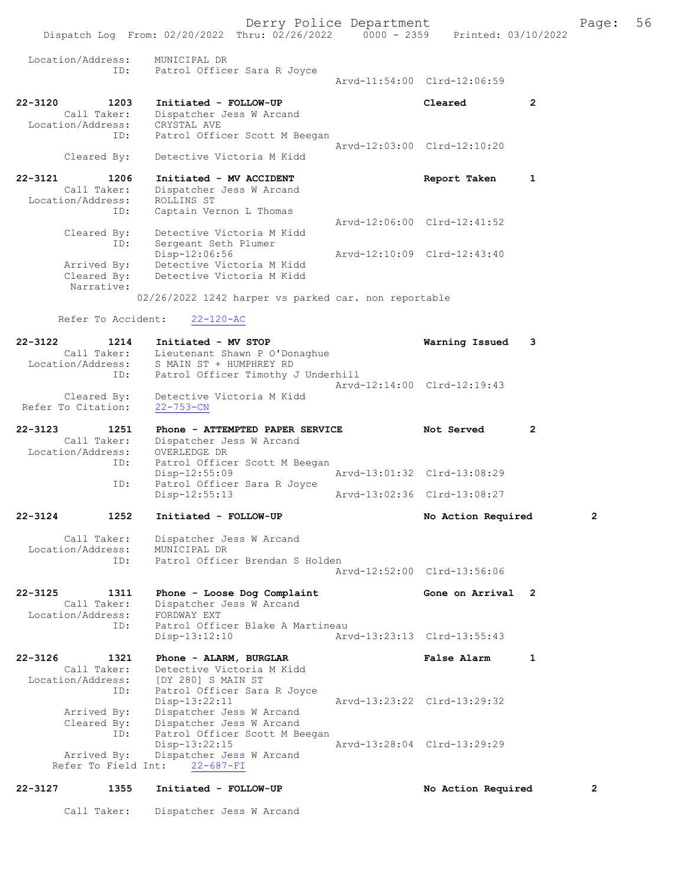Derry Police Department Fage: 56 Dispatch Log From: 02/20/2022 Thru: 02/26/2022 0000 - 2359 Printed: 03/10/2022 Location/Address: MUNICIPAL DR ID: Patrol Officer Sara R Joyce Arvd-11:54:00 Clrd-12:06:59 22-3120 1203 Initiated - FOLLOW-UP Cleared 2 Call Taker: Dispatcher Jess W Arcand Location/Address: CRYSTAL AVE ID: Patrol Officer Scott M Beegan Arvd-12:03:00 Clrd-12:10:20 Cleared By: Detective Victoria M Kidd 22-3121 1206 Initiated - MV ACCIDENT 1 2006 Report Taken 1 Call Taker: Dispatcher Jess W Arcand<br>ion/Address: ROLLINS ST Location/Address:<br>ID: Captain Vernon L Thomas Arvd-12:06:00 Clrd-12:41:52 Cleared By: Detective Victoria M Kidd ID: Sergeant Seth Plumer Disp-12:06:56 Arvd-12:10:09 Clrd-12:43:40 Arrived By: Detective Victoria M Kidd<br>Cleared By: Detective Victoria M Kidd Detective Victoria M Kidd Narrative: 02/26/2022 1242 harper vs parked car. non reportable Refer To Accident: 22-120-AC 22-3122 1214 Initiated - MV STOP Warning Issued 3<br>Call Taker: Lieutenant Shawn P O'Donaghue Call Taker: Lieutenant Shawn P O'Donaghue Location/Address: S MAIN ST + HUMPHREY RD ID: Patrol Officer Timothy J Underhill Arvd-12:14:00 Clrd-12:19:43 Cleared By: Detective Victoria M Kidd Refer To Citation: 22-753-CN 22-3123 1251 Phone - ATTEMPTED PAPER SERVICE Not Served 2 Call Taker: Dispatcher Jess W Arcand Location/Address: OVERLEDGE DR ID: Patrol Officer Scott M Beegan Disp-12:55:09<br>ID: Patrol Officer Sara R Joyce ID: Patrol Officer Sara R Joyce Disp-12:55:13 Arvd-13:02:36 Clrd-13:08:27 22-3124 1252 Initiated - FOLLOW-UP No Action Required 2 Call Taker: Dispatcher Jess W Arcand Location/Address: MUNICIPAL DR ID: Patrol Officer Brendan S Holden Arvd-12:52:00 Clrd-13:56:06 22-3125 1311 Phone - Loose Dog Complaint Gone on Arrival 2 Call Taker: Dispatcher Jess W Arcand Location/Address: FORDWAY EXT ID: Patrol Officer Blake A Martineau Disp-13:12:10 Arvd-13:23:13 Clrd-13:55:43 22-3126 1321 Phone - ALARM, BURGLAR False Alarm 1 Call Taker: Detective Victoria M Kidd Location/Address: [DY 280] S MAIN ST ID: Patrol Officer Sara R Joyce Disp-13:22:11 Arvd-13:23:22 Clrd-13:29:32 Arrived By: Dispatcher Jess W Arcand Cleared By: Dispatcher Jess W Arcand ID: Patrol Officer Scott M Beegan<br>Disp-13:22:15 Disp-13:22:15 Arvd-13:28:04 Clrd-13:29:29 Arrived By: Dispatcher Jess W Arcand Refer To Field Int: 22-687-FI

# 22-3127 1355 Initiated - FOLLOW-UP No Action Required 2

Call Taker: Dispatcher Jess W Arcand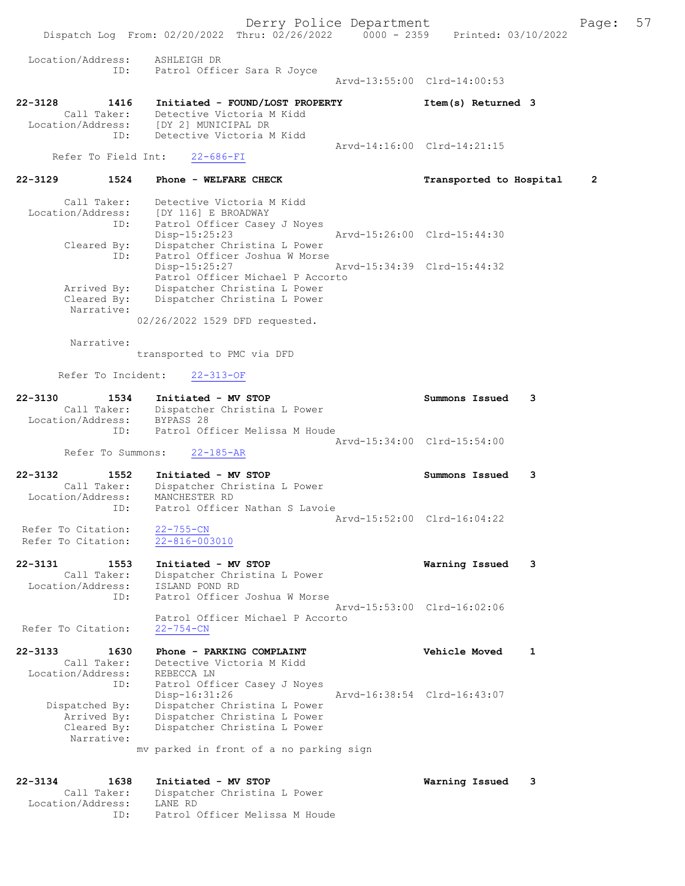Derry Police Department Form Page: 57 Dispatch Log From: 02/20/2022 Thru: 02/26/2022 0000 - 2359 Printed: 03/10/2022 Location/Address: ASHLEIGH DR ID: Patrol Officer Sara R Joyce Arvd-13:55:00 Clrd-14:00:53 22-3128 1416 Initiated - FOUND/LOST PROPERTY Item(s) Returned 3 Call Taker: Detective Victoria M Kidd<br>ion/Address: [DY 2] MUNICIPAL DR Location/Address:<br>ID: Detective Victoria M Kidd Arvd-14:16:00 Clrd-14:21:15<br>22-686-FI Refer To Field Int: 22-3129 1524 Phone - WELFARE CHECK Transported to Hospital 2 Call Taker: Detective Victoria M Kidd

 Location/Address: [DY 116] E BROADWAY ID: Patrol Officer Casey J Noyes Disp-15:25:23 Arvd-15:26:00 Clrd-15:44:30 Cleared By: Dispatcher Christina L Power ID: Patrol Officer Joshua W Morse Disp-15:25:27 Arvd-15:34:39 Clrd-15:44:32 Patrol Officer Michael P Accorto Arrived By: Dispatcher Christina L Power Cleared By: Dispatcher Christina L Power Narrative:

02/26/2022 1529 DFD requested.

Narrative:

transported to PMC via DFD

Refer To Incident: 22-313-OF

| 22-3130<br>1534   | Initiated - MV STOP            | Summons Issued              |  |
|-------------------|--------------------------------|-----------------------------|--|
| Call Taker:       | Dispatcher Christina L Power   |                             |  |
| Location/Address: | BYPASS 28                      |                             |  |
| TD:               | Patrol Officer Melissa M Houde |                             |  |
|                   |                                | Arvd-15:34:00 Clrd-15:54:00 |  |
|                   |                                |                             |  |

Refer To Summons: 22-185-AR

22-3132 1552 Initiated - MV STOP Summons Issued 3 Call Taker: Dispatcher Christina L Power Location/Address: MANCHESTER RD ID: Patrol Officer Nathan S Lavoie Arvd-15:52:00 Clrd-16:04:22<br>22-755-CN

Refer To Citation:  $\frac{22-755-CN}{22-816-003010}$ Refer To Citation:

- 22-3131 1553 Initiated MV STOP Warning Issued 3 Call Taker: Dispatcher Christina L Power Location/Address:<br>ID: ISLAND POND RD<br>Patrol Officer Joshua W Morse Arvd-15:53:00 Clrd-16:02:06 Patrol Officer Michael P Accorto<br>22-754-CN Refer To Citation:
- 22-3133 1630 Phone PARKING COMPLAINT Vehicle Moved 1 Call Taker: Detective Victoria M Kidd<br>ion/Address: REBECCA LN Location/Address: ID: Patrol Officer Casey J Noyes<br>Disp-16:31:26 Disp-16:31:26 Arvd-16:38:54 Clrd-16:43:07<br>Dispatched By: Dispatcher Christina L Power Dispatcher Christina L Power Arrived By: Dispatcher Christina L Power<br>Cleared By: Dispatcher Christina L Power Dispatcher Christina L Power Narrative: mv parked in front of a no parking sign

| 22-3134           | 1638        | Initiated - MV STOP            | Warning Issued |  |
|-------------------|-------------|--------------------------------|----------------|--|
|                   | Call Taker: | Dispatcher Christina L Power   |                |  |
| Location/Address: |             | LANE RD                        |                |  |
|                   | TD.         | Patrol Officer Melissa M Houde |                |  |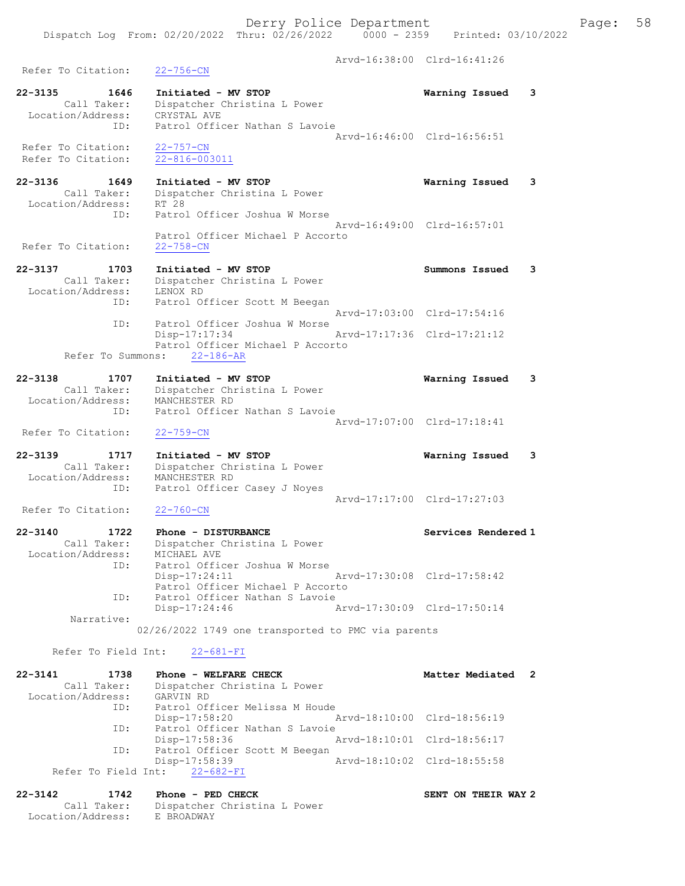Arvd-16:38:00 Clrd-16:41:26 Refer To Citation: 22-756-CN 22-3135 1646 Initiated - MV STOP Warning Issued 3 Call Taker: Dispatcher Christina L Power Location/Address: CRYSTAL AVE ID: Patrol Officer Nathan S Lavoie Arvd-16:46:00 Clrd-16:56:51 Refer To Citation: 22-757-CN Refer To Citation: 22-816-003011 22-3136 1649 Initiated - MV STOP Warning Issued 3 Call Taker: Dispatcher Christina L Power Location/Address: RT 28 ID: Patrol Officer Joshua W Morse Arvd-16:49:00 Clrd-16:57:01 Patrol Officer Michael P Accorto<br>22-758-CN Refer To Citation: 22-3137 1703 Initiated - MV STOP Summons Issued 3 Call Taker: Dispatcher Christina L Power Location/Address: LENOX RD ID: Patrol Officer Scott M Beegan Arvd-17:03:00 Clrd-17:54:16 ID: Patrol Officer Joshua W Morse Disp-17:17:34 Arvd-17:17:36 Clrd-17:21:12 Patrol Officer Michael P Accorto Refer To Summons: 22-186-AR 22-3138 1707 Initiated - MV STOP Warning Issued 3 Call Taker: Dispatcher Christina L Power Location/Address: MANCHESTER RD ID: Patrol Officer Nathan S Lavoie Arvd-17:07:00 Clrd-17:18:41 Refer To Citation: 22-759-CN 22-3139 1717 Initiated - MV STOP Warning Issued 3 Call Taker: Dispatcher Christina L Power Location/Address: MANCHESTER RD ID: Patrol Officer Casey J Noyes Arvd-17:17:00 Clrd-17:27:03 Refer To Citation: 22-760-CN 22-3140 1722 Phone - DISTURBANCE Services Rendered 1 Call Taker: Dispatcher Christina L Power Location/Address: MICHAEL AVE ID: Patrol Officer Joshua W Morse Disp-17:24:11 Arvd-17:30:08 Clrd-17:58:42 Patrol Officer Michael P Accorto ID: Patrol Officer Nathan S Lavoie Disp-17:24:46 Arvd-17:30:09 Clrd-17:50:14 Narrative: 02/26/2022 1749 one transported to PMC via parents Refer To Field Int: 22-681-FI 22-3141 1738 Phone - WELFARE CHECK 120 Matter Mediated 2 Call Taker: Dispatcher Christina L Power<br>Con/Address: GARVIN RD Location/Address:<br>ID: Patrol Officer Melissa M Houde Disp-17:58:20 Arvd-18:10:00 Clrd-18:56:19 ID: Patrol Officer Nathan S Lavoie Disp-17:58:36 Arvd-18:10:01 Clrd-18:56:17<br>ID: Patrol Officer Scott M Beegan Patrol Officer Scott M Beegan Disp-17:58:39 Arvd-18:10:02 Clrd-18:55:58 Refer To Field Int: 22-682-FI 22-3142 1742 Phone - PED CHECK SENT ON THEIR WAY 2 Call Taker: Dispatcher Christina L Power

Location/Address: E BROADWAY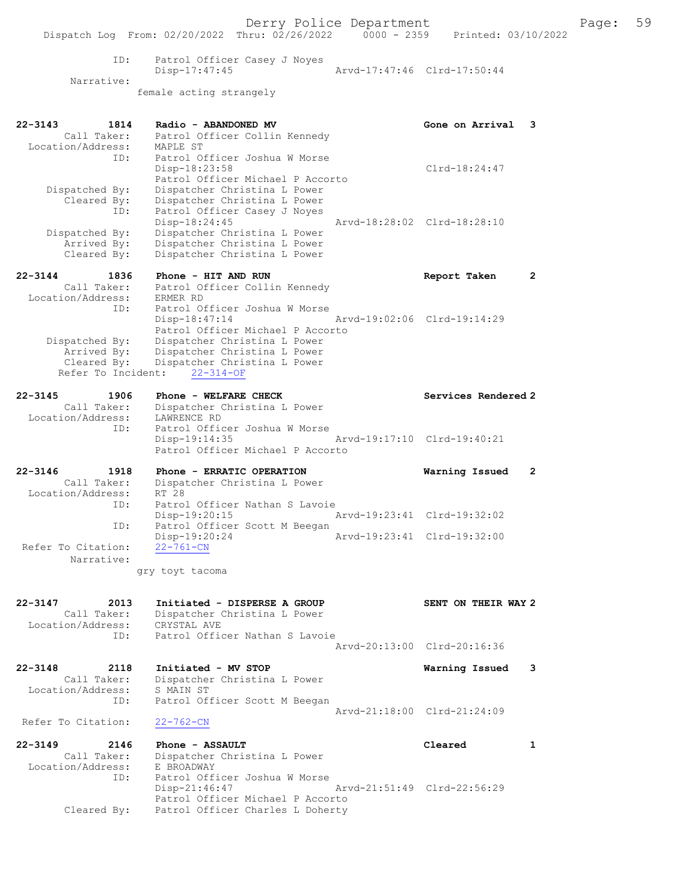Derry Police Department Fage: 59 Dispatch Log From: 02/20/2022 Thru: 02/26/2022 0000 - 2359 Printed: 03/10/2022 ID: Patrol Officer Casey J Noyes Disp-17:47:45 Arvd-17:47:46 Clrd-17:50:44 Narrative: female acting strangely 22-3143 1814 Radio - ABANDONED MV Gone on Arrival 3 Call Taker: Patrol Officer Collin Kennedy Location/Address: MAPLE ST ID: Patrol Officer Joshua W Morse Disp-18:23:58 Clrd-18:24:47 Patrol Officer Michael P Accorto Dispatched By: Dispatcher Christina L Power Cleared By: Dispatcher Christina L Power ID: Patrol Officer Casey J Noyes Disp-18:24:45 Arvd-18:28:02 Clrd-18:28:10 Dispatched By: Dispatcher Christina L Power Arrived By: Dispatcher Christina L Power Cleared By: Dispatcher Christina L Power 22-3144 1836 Phone - HIT AND RUN Report Taken 2 Call Taker: Patrol Officer Collin Kennedy Location/Address: ERMER RD ID: Patrol Officer Joshua W Morse<br>Disp-18:47.14 Disp-18:47:14 Arvd-19:02:06 Clrd-19:14:29 Patrol Officer Michael P Accorto Dispatched By: Dispatcher Christina L Power Arrived By: Dispatcher Christina L Power Cleared By: Dispatcher Christina L Power Refer To Incident: 22-314-OF 22-3145 1906 Phone - WELFARE CHECK Services Rendered 2 Call Taker: Dispatcher Christina L Power Location/Address: LAWRENCE RD ID: Patrol Officer Joshua W Morse Disp-19:14:35 Arvd-19:17:10 Clrd-19:40:21 Patrol Officer Michael P Accorto 22-3146 1918 Phone - ERRATIC OPERATION Warning Issued 2 Call Taker: Dispatcher Christina L Power Location/Address: RT 28 ID: Patrol Officer Nathan S Lavoie Disp-19:20:15 Arvd-19:23:41 Clrd-19:32:02 ID: Patrol Officer Scott M Beegan Disp-19:20:24 Arvd-19:23:41 Clrd-19:32:00 Refer To Citation: 22-761-CN Narrative: gry toyt tacoma 22-3147 2013 Initiated - DISPERSE A GROUP SENT ON THEIR WAY 2 Call Taker: Dispatcher Christina L Power Location/Address: CRYSTAL AVE ID: Patrol Officer Nathan S Lavoie Arvd-20:13:00 Clrd-20:16:36 22-3148 2118 Initiated - MV STOP Warning Issued 3 Call Taker: Dispatcher Christina L Power Location/Address: S MAIN ST ID: Patrol Officer Scott M Beegan Arvd-21:18:00 Clrd-21:24:09<br>22-762-CN Refer To Citation: 22-3149 2146 Phone - ASSAULT Cleared 1 Call Taker: Dispatcher Christina L Power Location/Address: E BROADWAY ID: Patrol Officer Joshua W Morse Disp-21:46:47 Arvd-21:51:49 Clrd-22:56:29 Patrol Officer Michael P Accorto Cleared By: Patrol Officer Charles L Doherty